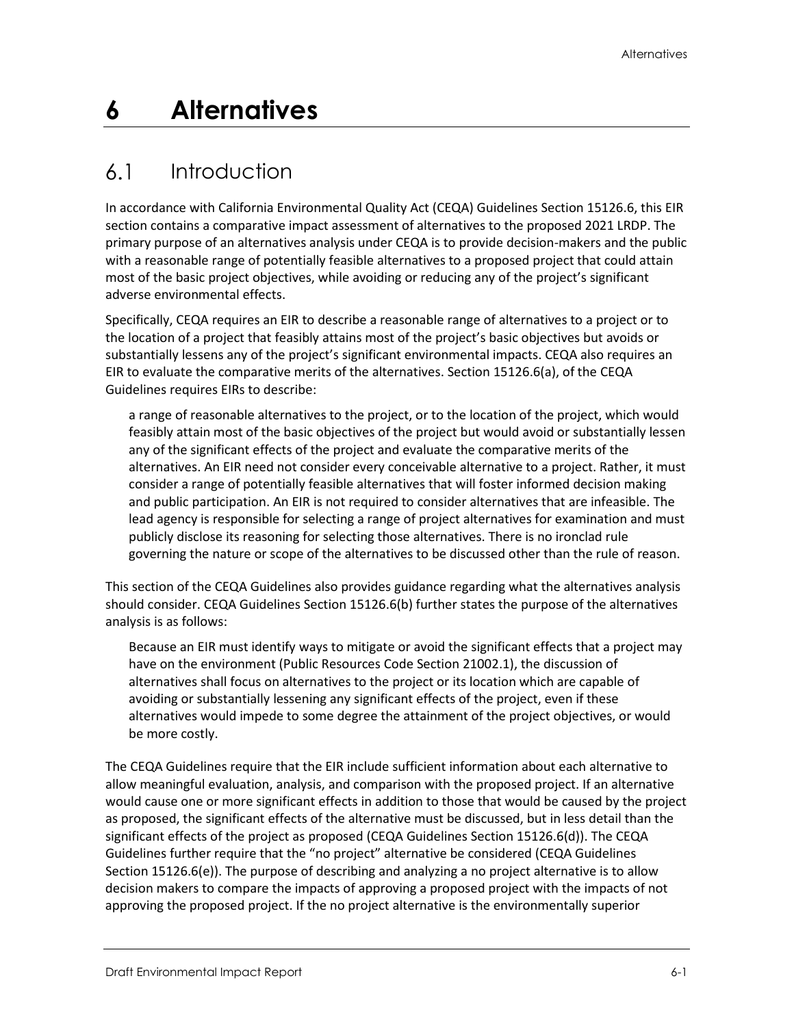# **6 Alternatives**

#### $6.1$ Introduction

In accordance with California Environmental Quality Act (CEQA) Guidelines Section 15126.6, this EIR section contains a comparative impact assessment of alternatives to the proposed 2021 LRDP. The primary purpose of an alternatives analysis under CEQA is to provide decision-makers and the public with a reasonable range of potentially feasible alternatives to a proposed project that could attain most of the basic project objectives, while avoiding or reducing any of the project's significant adverse environmental effects.

Specifically, CEQA requires an EIR to describe a reasonable range of alternatives to a project or to the location of a project that feasibly attains most of the project's basic objectives but avoids or substantially lessens any of the project's significant environmental impacts. CEQA also requires an EIR to evaluate the comparative merits of the alternatives. Section 15126.6(a), of the CEQA Guidelines requires EIRs to describe:

a range of reasonable alternatives to the project, or to the location of the project, which would feasibly attain most of the basic objectives of the project but would avoid or substantially lessen any of the significant effects of the project and evaluate the comparative merits of the alternatives. An EIR need not consider every conceivable alternative to a project. Rather, it must consider a range of potentially feasible alternatives that will foster informed decision making and public participation. An EIR is not required to consider alternatives that are infeasible. The lead agency is responsible for selecting a range of project alternatives for examination and must publicly disclose its reasoning for selecting those alternatives. There is no ironclad rule governing the nature or scope of the alternatives to be discussed other than the rule of reason.

This section of the CEQA Guidelines also provides guidance regarding what the alternatives analysis should consider. CEQA Guidelines Section 15126.6(b) further states the purpose of the alternatives analysis is as follows:

Because an EIR must identify ways to mitigate or avoid the significant effects that a project may have on the environment (Public Resources Code Section 21002.1), the discussion of alternatives shall focus on alternatives to the project or its location which are capable of avoiding or substantially lessening any significant effects of the project, even if these alternatives would impede to some degree the attainment of the project objectives, or would be more costly.

The CEQA Guidelines require that the EIR include sufficient information about each alternative to allow meaningful evaluation, analysis, and comparison with the proposed project. If an alternative would cause one or more significant effects in addition to those that would be caused by the project as proposed, the significant effects of the alternative must be discussed, but in less detail than the significant effects of the project as proposed (CEQA Guidelines Section 15126.6(d)). The CEQA Guidelines further require that the "no project" alternative be considered (CEQA Guidelines Section 15126.6(e)). The purpose of describing and analyzing a no project alternative is to allow decision makers to compare the impacts of approving a proposed project with the impacts of not approving the proposed project. If the no project alternative is the environmentally superior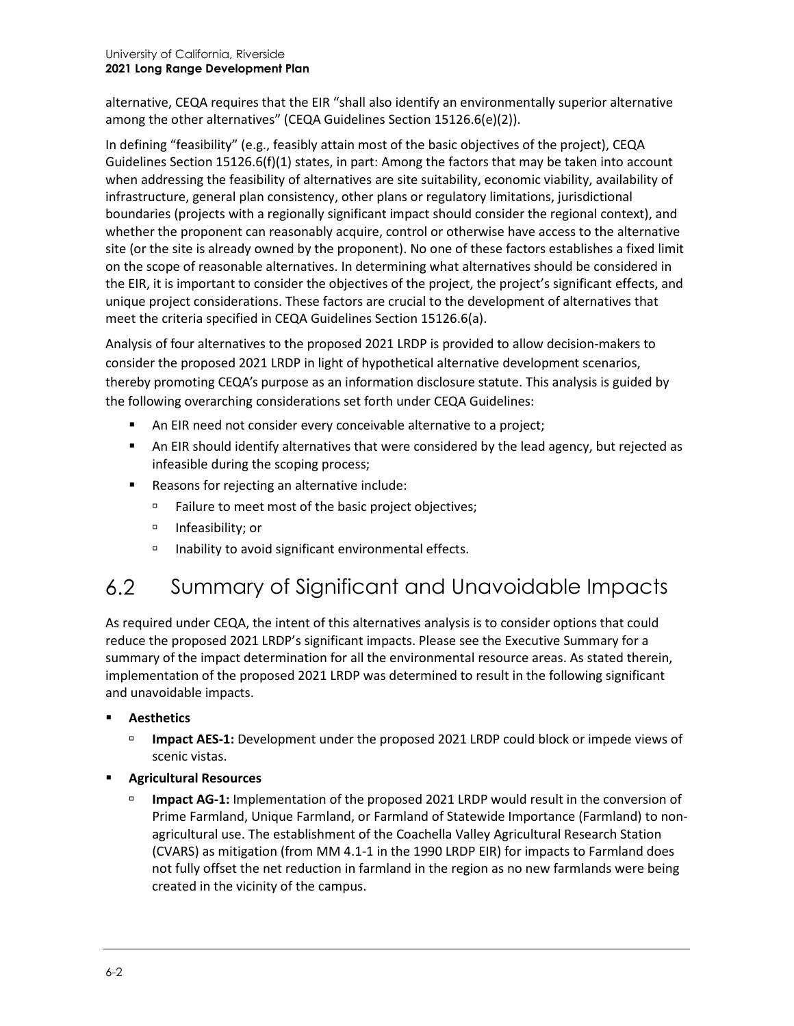#### University of California, Riverside **2021 Long Range Development Plan**

alternative, CEQA requires that the EIR "shall also identify an environmentally superior alternative among the other alternatives" (CEQA Guidelines Section 15126.6(e)(2)).

In defining "feasibility" (e.g., feasibly attain most of the basic objectives of the project), CEQA Guidelines Section 15126.6(f)(1) states, in part: Among the factors that may be taken into account when addressing the feasibility of alternatives are site suitability, economic viability, availability of infrastructure, general plan consistency, other plans or regulatory limitations, jurisdictional boundaries (projects with a regionally significant impact should consider the regional context), and whether the proponent can reasonably acquire, control or otherwise have access to the alternative site (or the site is already owned by the proponent). No one of these factors establishes a fixed limit on the scope of reasonable alternatives. In determining what alternatives should be considered in the EIR, it is important to consider the objectives of the project, the project's significant effects, and unique project considerations. These factors are crucial to the development of alternatives that meet the criteria specified in CEQA Guidelines Section 15126.6(a).

Analysis of four alternatives to the proposed 2021 LRDP is provided to allow decision-makers to consider the proposed 2021 LRDP in light of hypothetical alternative development scenarios, thereby promoting CEQA's purpose as an information disclosure statute. This analysis is guided by the following overarching considerations set forth under CEQA Guidelines:

- An EIR need not consider every conceivable alternative to a project;
- An EIR should identify alternatives that were considered by the lead agency, but rejected as infeasible during the scoping process;
- Reasons for rejecting an alternative include:
	- Failure to meet most of the basic project objectives;
	- □ Infeasibility; or
	- $\Box$  Inability to avoid significant environmental effects.

#### $6.2$ Summary of Significant and Unavoidable Impacts

As required under CEQA, the intent of this alternatives analysis is to consider options that could reduce the proposed 2021 LRDP's significant impacts. Please see the Executive Summary for a summary of the impact determination for all the environmental resource areas. As stated therein, implementation of the proposed 2021 LRDP was determined to result in the following significant and unavoidable impacts.

- **Aesthetics**
	- **Impact AES-1:** Development under the proposed 2021 LRDP could block or impede views of scenic vistas.
- **Agricultural Resources**
	- **Impact AG-1:** Implementation of the proposed 2021 LRDP would result in the conversion of Prime Farmland, Unique Farmland, or Farmland of Statewide Importance (Farmland) to nonagricultural use. The establishment of the Coachella Valley Agricultural Research Station (CVARS) as mitigation (from MM 4.1-1 in the 1990 LRDP EIR) for impacts to Farmland does not fully offset the net reduction in farmland in the region as no new farmlands were being created in the vicinity of the campus.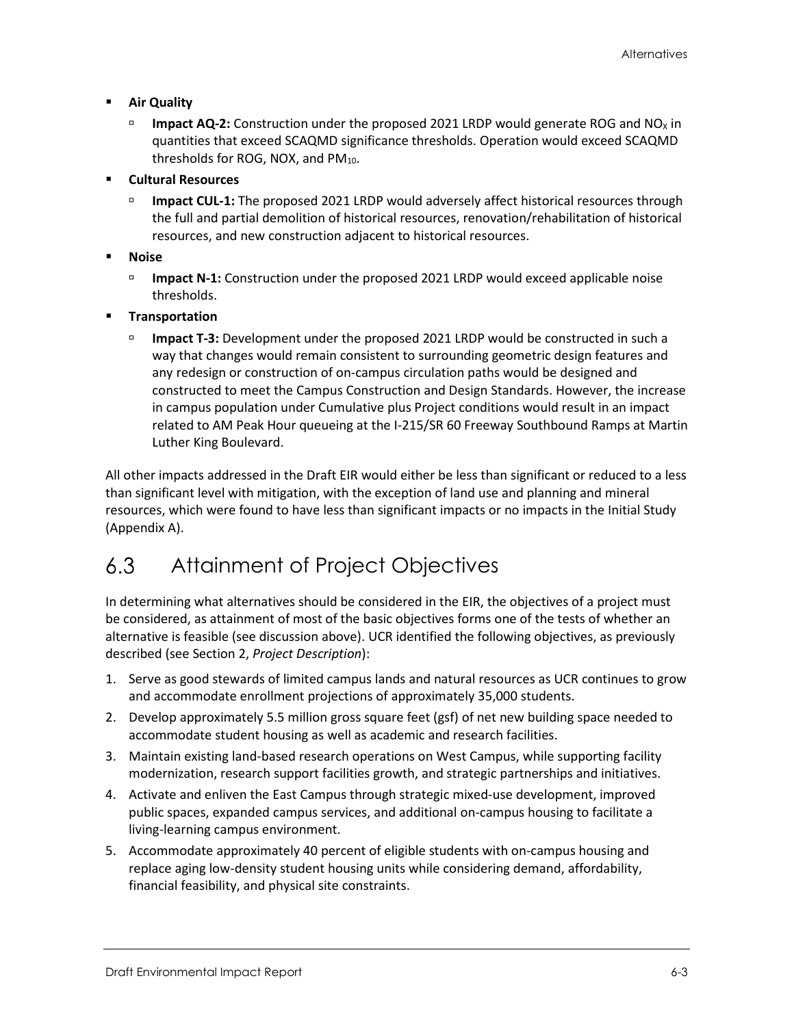- **Air Quality**
	- **Impact AQ-2:** Construction under the proposed 2021 LRDP would generate ROG and  $NO<sub>X</sub>$  in quantities that exceed SCAQMD significance thresholds. Operation would exceed SCAQMD thresholds for ROG, NOX, and  $PM_{10}$ .
- **Cultural Resources**
	- **Impact CUL-1:** The proposed 2021 LRDP would adversely affect historical resources through the full and partial demolition of historical resources, renovation/rehabilitation of historical resources, and new construction adjacent to historical resources.
- **Noise**
	- **Impact N-1:** Construction under the proposed 2021 LRDP would exceed applicable noise thresholds.
- **Transportation**
	- **Impact T-3:** Development under the proposed 2021 LRDP would be constructed in such a way that changes would remain consistent to surrounding geometric design features and any redesign or construction of on-campus circulation paths would be designed and constructed to meet the Campus Construction and Design Standards. However, the increase in campus population under Cumulative plus Project conditions would result in an impact related to AM Peak Hour queueing at the I-215/SR 60 Freeway Southbound Ramps at Martin Luther King Boulevard.

All other impacts addressed in the Draft EIR would either be less than significant or reduced to a less than significant level with mitigation, with the exception of land use and planning and mineral resources, which were found to have less than significant impacts or no impacts in the Initial Study (Appendix A).

#### $6.3$ Attainment of Project Objectives

In determining what alternatives should be considered in the EIR, the objectives of a project must be considered, as attainment of most of the basic objectives forms one of the tests of whether an alternative is feasible (see discussion above). UCR identified the following objectives, as previously described (see Section 2, *Project Description*):

- 1. Serve as good stewards of limited campus lands and natural resources as UCR continues to grow and accommodate enrollment projections of approximately 35,000 students.
- 2. Develop approximately 5.5 million gross square feet (gsf) of net new building space needed to accommodate student housing as well as academic and research facilities.
- 3. Maintain existing land-based research operations on West Campus, while supporting facility modernization, research support facilities growth, and strategic partnerships and initiatives.
- 4. Activate and enliven the East Campus through strategic mixed-use development, improved public spaces, expanded campus services, and additional on-campus housing to facilitate a living-learning campus environment.
- 5. Accommodate approximately 40 percent of eligible students with on-campus housing and replace aging low-density student housing units while considering demand, affordability, financial feasibility, and physical site constraints.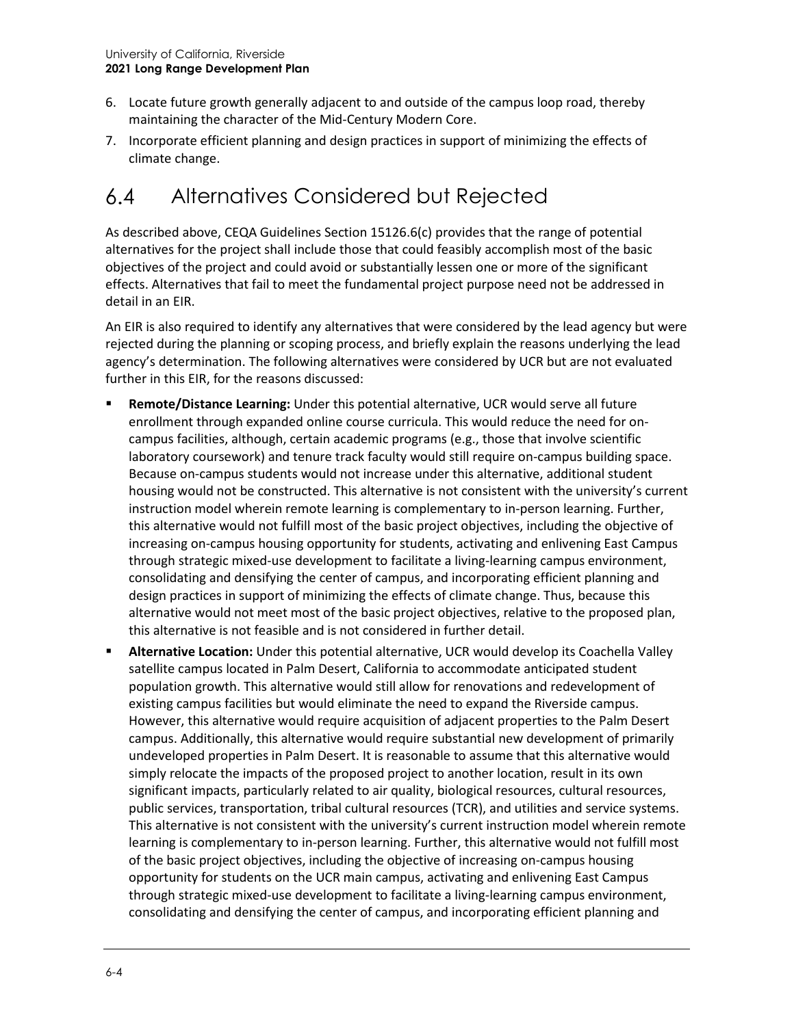- 6. Locate future growth generally adjacent to and outside of the campus loop road, thereby maintaining the character of the Mid-Century Modern Core.
- 7. Incorporate efficient planning and design practices in support of minimizing the effects of climate change.

#### $6.4$ Alternatives Considered but Rejected

As described above, CEQA Guidelines Section 15126.6(c) provides that the range of potential alternatives for the project shall include those that could feasibly accomplish most of the basic objectives of the project and could avoid or substantially lessen one or more of the significant effects. Alternatives that fail to meet the fundamental project purpose need not be addressed in detail in an EIR.

An EIR is also required to identify any alternatives that were considered by the lead agency but were rejected during the planning or scoping process, and briefly explain the reasons underlying the lead agency's determination. The following alternatives were considered by UCR but are not evaluated further in this EIR, for the reasons discussed:

- **Remote/Distance Learning:** Under this potential alternative, UCR would serve all future enrollment through expanded online course curricula. This would reduce the need for oncampus facilities, although, certain academic programs (e.g., those that involve scientific laboratory coursework) and tenure track faculty would still require on-campus building space. Because on-campus students would not increase under this alternative, additional student housing would not be constructed. This alternative is not consistent with the university's current instruction model wherein remote learning is complementary to in-person learning. Further, this alternative would not fulfill most of the basic project objectives, including the objective of increasing on-campus housing opportunity for students, activating and enlivening East Campus through strategic mixed-use development to facilitate a living-learning campus environment, consolidating and densifying the center of campus, and incorporating efficient planning and design practices in support of minimizing the effects of climate change. Thus, because this alternative would not meet most of the basic project objectives, relative to the proposed plan, this alternative is not feasible and is not considered in further detail.
- **Alternative Location:** Under this potential alternative, UCR would develop its Coachella Valley satellite campus located in Palm Desert, California to accommodate anticipated student population growth. This alternative would still allow for renovations and redevelopment of existing campus facilities but would eliminate the need to expand the Riverside campus. However, this alternative would require acquisition of adjacent properties to the Palm Desert campus. Additionally, this alternative would require substantial new development of primarily undeveloped properties in Palm Desert. It is reasonable to assume that this alternative would simply relocate the impacts of the proposed project to another location, result in its own significant impacts, particularly related to air quality, biological resources, cultural resources, public services, transportation, tribal cultural resources (TCR), and utilities and service systems. This alternative is not consistent with the university's current instruction model wherein remote learning is complementary to in-person learning. Further, this alternative would not fulfill most of the basic project objectives, including the objective of increasing on-campus housing opportunity for students on the UCR main campus, activating and enlivening East Campus through strategic mixed-use development to facilitate a living-learning campus environment, consolidating and densifying the center of campus, and incorporating efficient planning and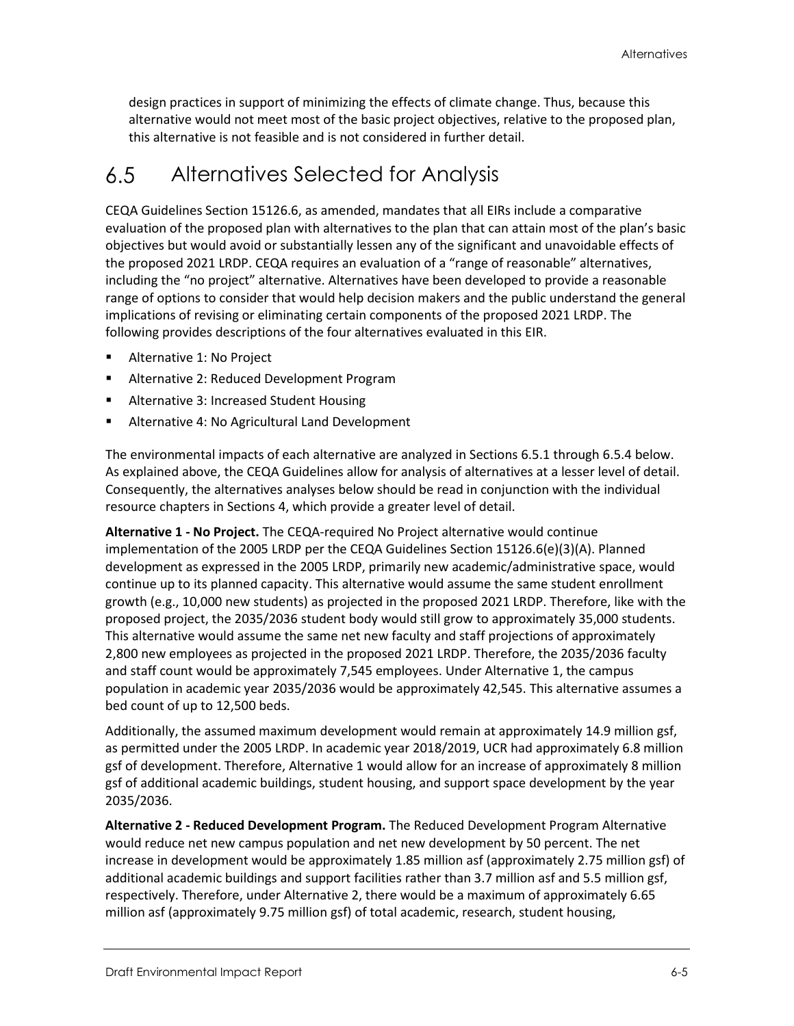design practices in support of minimizing the effects of climate change. Thus, because this alternative would not meet most of the basic project objectives, relative to the proposed plan, this alternative is not feasible and is not considered in further detail.

#### Alternatives Selected for Analysis  $6.5^{\circ}$

CEQA Guidelines Section 15126.6, as amended, mandates that all EIRs include a comparative evaluation of the proposed plan with alternatives to the plan that can attain most of the plan's basic objectives but would avoid or substantially lessen any of the significant and unavoidable effects of the proposed 2021 LRDP. CEQA requires an evaluation of a "range of reasonable" alternatives, including the "no project" alternative. Alternatives have been developed to provide a reasonable range of options to consider that would help decision makers and the public understand the general implications of revising or eliminating certain components of the proposed 2021 LRDP. The following provides descriptions of the four alternatives evaluated in this EIR.

- Alternative 1: No Project
- **Alternative 2: Reduced Development Program**
- Alternative 3: Increased Student Housing
- **Alternative 4: No Agricultural Land Development**

The environmental impacts of each alternative are analyzed in Sections 6.5.1 through 6.5.4 below. As explained above, the CEQA Guidelines allow for analysis of alternatives at a lesser level of detail. Consequently, the alternatives analyses below should be read in conjunction with the individual resource chapters in Sections 4, which provide a greater level of detail.

**Alternative 1 - No Project.** The CEQA-required No Project alternative would continue implementation of the 2005 LRDP per the CEQA Guidelines Section 15126.6(e)(3)(A). Planned development as expressed in the 2005 LRDP, primarily new academic/administrative space, would continue up to its planned capacity. This alternative would assume the same student enrollment growth (e.g., 10,000 new students) as projected in the proposed 2021 LRDP. Therefore, like with the proposed project, the 2035/2036 student body would still grow to approximately 35,000 students. This alternative would assume the same net new faculty and staff projections of approximately 2,800 new employees as projected in the proposed 2021 LRDP. Therefore, the 2035/2036 faculty and staff count would be approximately 7,545 employees. Under Alternative 1, the campus population in academic year 2035/2036 would be approximately 42,545. This alternative assumes a bed count of up to 12,500 beds.

Additionally, the assumed maximum development would remain at approximately 14.9 million gsf, as permitted under the 2005 LRDP. In academic year 2018/2019, UCR had approximately 6.8 million gsf of development. Therefore, Alternative 1 would allow for an increase of approximately 8 million gsf of additional academic buildings, student housing, and support space development by the year 2035/2036.

**Alternative 2 - Reduced Development Program.** The Reduced Development Program Alternative would reduce net new campus population and net new development by 50 percent. The net increase in development would be approximately 1.85 million asf (approximately 2.75 million gsf) of additional academic buildings and support facilities rather than 3.7 million asf and 5.5 million gsf, respectively. Therefore, under Alternative 2, there would be a maximum of approximately 6.65 million asf (approximately 9.75 million gsf) of total academic, research, student housing,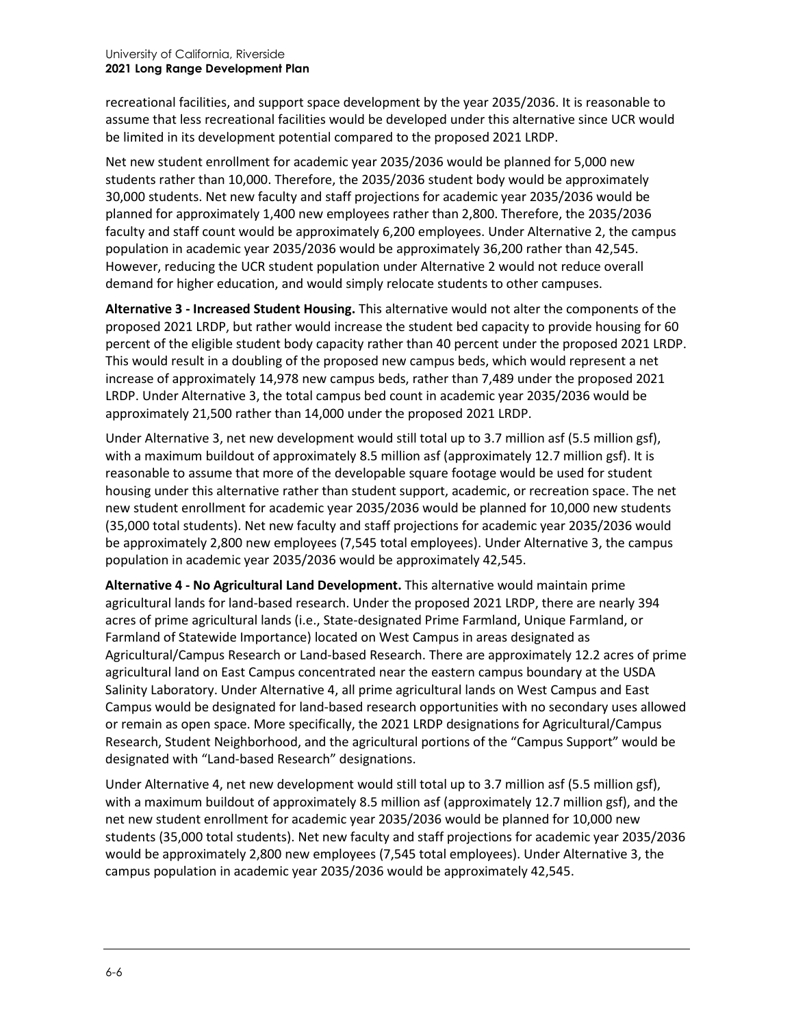recreational facilities, and support space development by the year 2035/2036. It is reasonable to assume that less recreational facilities would be developed under this alternative since UCR would be limited in its development potential compared to the proposed 2021 LRDP.

Net new student enrollment for academic year 2035/2036 would be planned for 5,000 new students rather than 10,000. Therefore, the 2035/2036 student body would be approximately 30,000 students. Net new faculty and staff projections for academic year 2035/2036 would be planned for approximately 1,400 new employees rather than 2,800. Therefore, the 2035/2036 faculty and staff count would be approximately 6,200 employees. Under Alternative 2, the campus population in academic year 2035/2036 would be approximately 36,200 rather than 42,545. However, reducing the UCR student population under Alternative 2 would not reduce overall demand for higher education, and would simply relocate students to other campuses.

**Alternative 3 - Increased Student Housing.** This alternative would not alter the components of the proposed 2021 LRDP, but rather would increase the student bed capacity to provide housing for 60 percent of the eligible student body capacity rather than 40 percent under the proposed 2021 LRDP. This would result in a doubling of the proposed new campus beds, which would represent a net increase of approximately 14,978 new campus beds, rather than 7,489 under the proposed 2021 LRDP. Under Alternative 3, the total campus bed count in academic year 2035/2036 would be approximately 21,500 rather than 14,000 under the proposed 2021 LRDP.

Under Alternative 3, net new development would still total up to 3.7 million asf (5.5 million gsf), with a maximum buildout of approximately 8.5 million asf (approximately 12.7 million gsf). It is reasonable to assume that more of the developable square footage would be used for student housing under this alternative rather than student support, academic, or recreation space. The net new student enrollment for academic year 2035/2036 would be planned for 10,000 new students (35,000 total students). Net new faculty and staff projections for academic year 2035/2036 would be approximately 2,800 new employees (7,545 total employees). Under Alternative 3, the campus population in academic year 2035/2036 would be approximately 42,545.

**Alternative 4 - No Agricultural Land Development.** This alternative would maintain prime agricultural lands for land-based research. Under the proposed 2021 LRDP, there are nearly 394 acres of prime agricultural lands (i.e., State-designated Prime Farmland, Unique Farmland, or Farmland of Statewide Importance) located on West Campus in areas designated as Agricultural/Campus Research or Land-based Research. There are approximately 12.2 acres of prime agricultural land on East Campus concentrated near the eastern campus boundary at the USDA Salinity Laboratory. Under Alternative 4, all prime agricultural lands on West Campus and East Campus would be designated for land-based research opportunities with no secondary uses allowed or remain as open space. More specifically, the 2021 LRDP designations for Agricultural/Campus Research, Student Neighborhood, and the agricultural portions of the "Campus Support" would be designated with "Land-based Research" designations.

Under Alternative 4, net new development would still total up to 3.7 million asf (5.5 million gsf), with a maximum buildout of approximately 8.5 million asf (approximately 12.7 million gsf), and the net new student enrollment for academic year 2035/2036 would be planned for 10,000 new students (35,000 total students). Net new faculty and staff projections for academic year 2035/2036 would be approximately 2,800 new employees (7,545 total employees). Under Alternative 3, the campus population in academic year 2035/2036 would be approximately 42,545.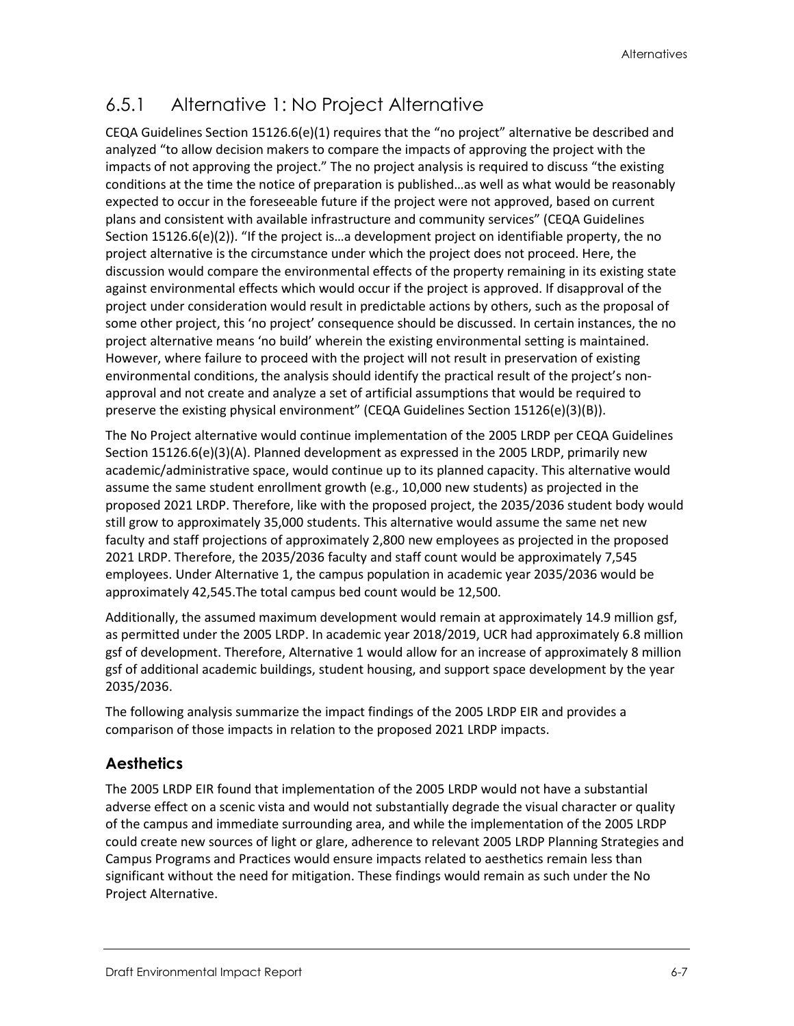# 6.5.1 Alternative 1: No Project Alternative

CEQA Guidelines Section 15126.6(e)(1) requires that the "no project" alternative be described and analyzed "to allow decision makers to compare the impacts of approving the project with the impacts of not approving the project." The no project analysis is required to discuss "the existing conditions at the time the notice of preparation is published…as well as what would be reasonably expected to occur in the foreseeable future if the project were not approved, based on current plans and consistent with available infrastructure and community services" (CEQA Guidelines Section 15126.6(e)(2)). "If the project is…a development project on identifiable property, the no project alternative is the circumstance under which the project does not proceed. Here, the discussion would compare the environmental effects of the property remaining in its existing state against environmental effects which would occur if the project is approved. If disapproval of the project under consideration would result in predictable actions by others, such as the proposal of some other project, this 'no project' consequence should be discussed. In certain instances, the no project alternative means 'no build' wherein the existing environmental setting is maintained. However, where failure to proceed with the project will not result in preservation of existing environmental conditions, the analysis should identify the practical result of the project's nonapproval and not create and analyze a set of artificial assumptions that would be required to preserve the existing physical environment" (CEQA Guidelines Section 15126(e)(3)(B)).

The No Project alternative would continue implementation of the 2005 LRDP per CEQA Guidelines Section 15126.6(e)(3)(A). Planned development as expressed in the 2005 LRDP, primarily new academic/administrative space, would continue up to its planned capacity. This alternative would assume the same student enrollment growth (e.g., 10,000 new students) as projected in the proposed 2021 LRDP. Therefore, like with the proposed project, the 2035/2036 student body would still grow to approximately 35,000 students. This alternative would assume the same net new faculty and staff projections of approximately 2,800 new employees as projected in the proposed 2021 LRDP. Therefore, the 2035/2036 faculty and staff count would be approximately 7,545 employees. Under Alternative 1, the campus population in academic year 2035/2036 would be approximately 42,545.The total campus bed count would be 12,500.

Additionally, the assumed maximum development would remain at approximately 14.9 million gsf, as permitted under the 2005 LRDP. In academic year 2018/2019, UCR had approximately 6.8 million gsf of development. Therefore, Alternative 1 would allow for an increase of approximately 8 million gsf of additional academic buildings, student housing, and support space development by the year 2035/2036.

The following analysis summarize the impact findings of the 2005 LRDP EIR and provides a comparison of those impacts in relation to the proposed 2021 LRDP impacts.

#### **Aesthetics**

The 2005 LRDP EIR found that implementation of the 2005 LRDP would not have a substantial adverse effect on a scenic vista and would not substantially degrade the visual character or quality of the campus and immediate surrounding area, and while the implementation of the 2005 LRDP could create new sources of light or glare, adherence to relevant 2005 LRDP Planning Strategies and Campus Programs and Practices would ensure impacts related to aesthetics remain less than significant without the need for mitigation. These findings would remain as such under the No Project Alternative.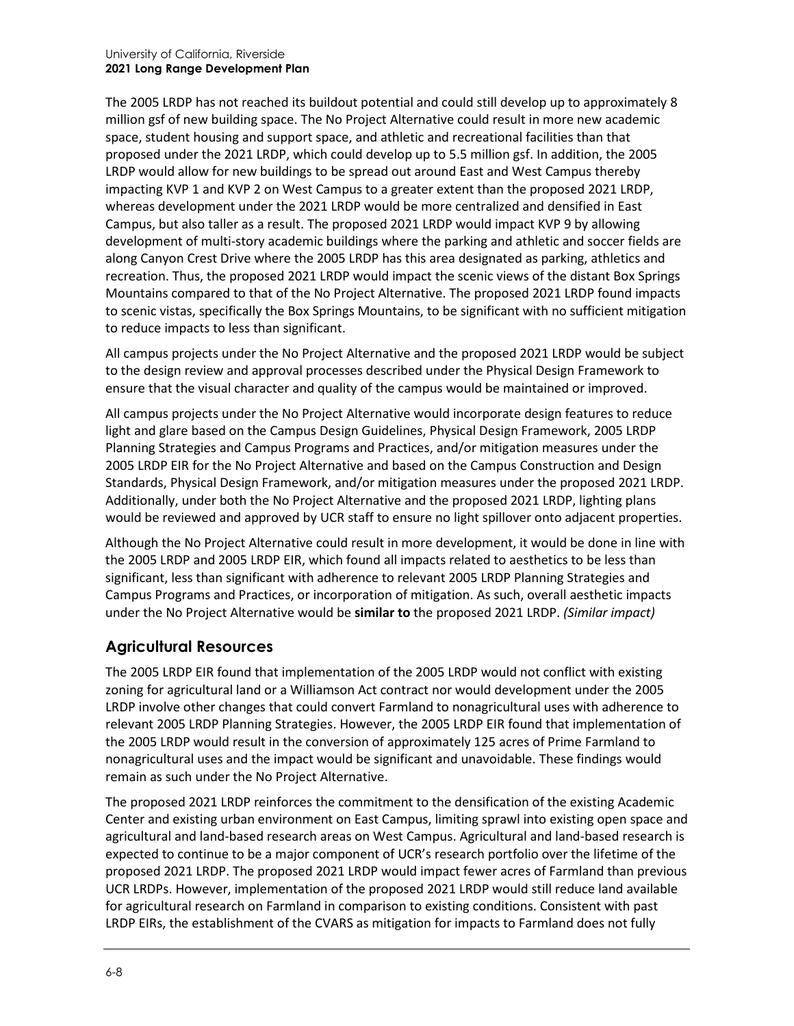The 2005 LRDP has not reached its buildout potential and could still develop up to approximately 8 million gsf of new building space. The No Project Alternative could result in more new academic space, student housing and support space, and athletic and recreational facilities than that proposed under the 2021 LRDP, which could develop up to 5.5 million gsf. In addition, the 2005 LRDP would allow for new buildings to be spread out around East and West Campus thereby impacting KVP 1 and KVP 2 on West Campus to a greater extent than the proposed 2021 LRDP, whereas development under the 2021 LRDP would be more centralized and densified in East Campus, but also taller as a result. The proposed 2021 LRDP would impact KVP 9 by allowing development of multi-story academic buildings where the parking and athletic and soccer fields are along Canyon Crest Drive where the 2005 LRDP has this area designated as parking, athletics and recreation. Thus, the proposed 2021 LRDP would impact the scenic views of the distant Box Springs Mountains compared to that of the No Project Alternative. The proposed 2021 LRDP found impacts to scenic vistas, specifically the Box Springs Mountains, to be significant with no sufficient mitigation to reduce impacts to less than significant.

All campus projects under the No Project Alternative and the proposed 2021 LRDP would be subject to the design review and approval processes described under the Physical Design Framework to ensure that the visual character and quality of the campus would be maintained or improved.

All campus projects under the No Project Alternative would incorporate design features to reduce light and glare based on the Campus Design Guidelines, Physical Design Framework, 2005 LRDP Planning Strategies and Campus Programs and Practices, and/or mitigation measures under the 2005 LRDP EIR for the No Project Alternative and based on the Campus Construction and Design Standards, Physical Design Framework, and/or mitigation measures under the proposed 2021 LRDP. Additionally, under both the No Project Alternative and the proposed 2021 LRDP, lighting plans would be reviewed and approved by UCR staff to ensure no light spillover onto adjacent properties.

Although the No Project Alternative could result in more development, it would be done in line with the 2005 LRDP and 2005 LRDP EIR, which found all impacts related to aesthetics to be less than significant, less than significant with adherence to relevant 2005 LRDP Planning Strategies and Campus Programs and Practices, or incorporation of mitigation. As such, overall aesthetic impacts under the No Project Alternative would be **similar to** the proposed 2021 LRDP. *(Similar impact)*

#### **Agricultural Resources**

The 2005 LRDP EIR found that implementation of the 2005 LRDP would not conflict with existing zoning for agricultural land or a Williamson Act contract nor would development under the 2005 LRDP involve other changes that could convert Farmland to nonagricultural uses with adherence to relevant 2005 LRDP Planning Strategies. However, the 2005 LRDP EIR found that implementation of the 2005 LRDP would result in the conversion of approximately 125 acres of Prime Farmland to nonagricultural uses and the impact would be significant and unavoidable. These findings would remain as such under the No Project Alternative.

The proposed 2021 LRDP reinforces the commitment to the densification of the existing Academic Center and existing urban environment on East Campus, limiting sprawl into existing open space and agricultural and land-based research areas on West Campus. Agricultural and land-based research is expected to continue to be a major component of UCR's research portfolio over the lifetime of the proposed 2021 LRDP. The proposed 2021 LRDP would impact fewer acres of Farmland than previous UCR LRDPs. However, implementation of the proposed 2021 LRDP would still reduce land available for agricultural research on Farmland in comparison to existing conditions. Consistent with past LRDP EIRs, the establishment of the CVARS as mitigation for impacts to Farmland does not fully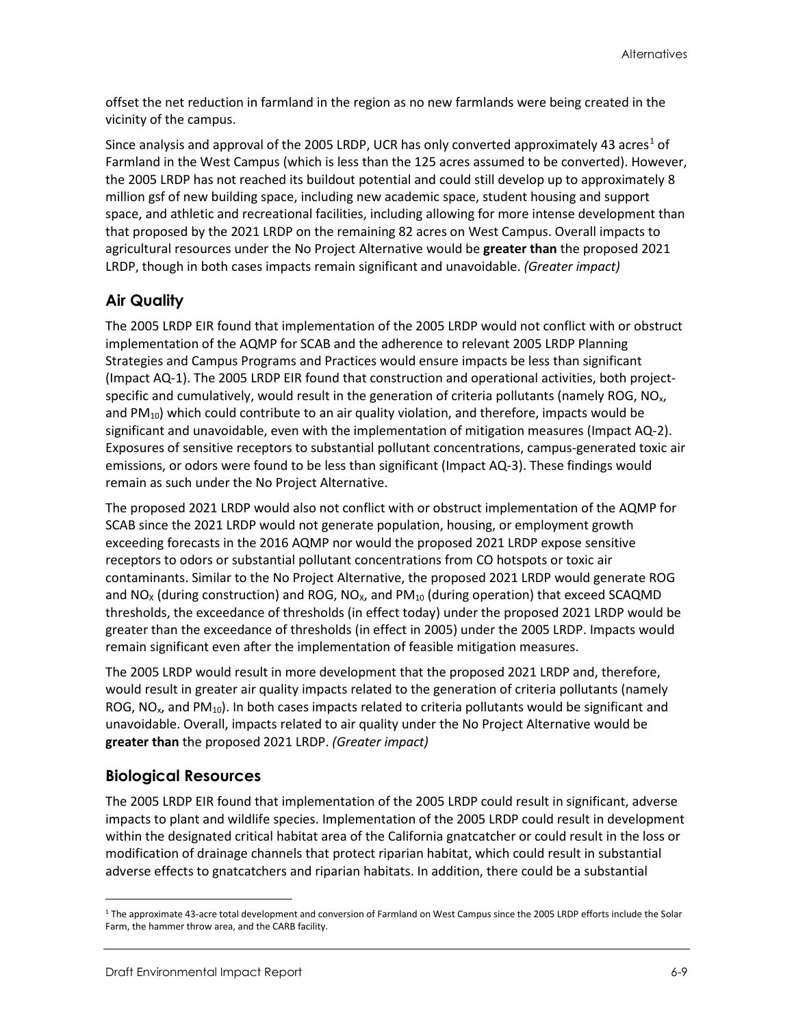offset the net reduction in farmland in the region as no new farmlands were being created in the vicinity of the campus.

Since analysis and approval of the 2005 LRDP, UCR has only converted approximately 43 acres<sup>[1](#page-8-0)</sup> of Farmland in the West Campus (which is less than the 125 acres assumed to be converted). However, the 2005 LRDP has not reached its buildout potential and could still develop up to approximately 8 million gsf of new building space, including new academic space, student housing and support space, and athletic and recreational facilities, including allowing for more intense development than that proposed by the 2021 LRDP on the remaining 82 acres on West Campus. Overall impacts to agricultural resources under the No Project Alternative would be **greater than** the proposed 2021 LRDP, though in both cases impacts remain significant and unavoidable. *(Greater impact)*

#### **Air Quality**

The 2005 LRDP EIR found that implementation of the 2005 LRDP would not conflict with or obstruct implementation of the AQMP for SCAB and the adherence to relevant 2005 LRDP Planning Strategies and Campus Programs and Practices would ensure impacts be less than significant (Impact AQ-1). The 2005 LRDP EIR found that construction and operational activities, both projectspecific and cumulatively, would result in the generation of criteria pollutants (namely ROG,  $NO<sub>x</sub>$ , and PM<sub>10</sub>) which could contribute to an air quality violation, and therefore, impacts would be significant and unavoidable, even with the implementation of mitigation measures (Impact AQ-2). Exposures of sensitive receptors to substantial pollutant concentrations, campus-generated toxic air emissions, or odors were found to be less than significant (Impact AQ-3). These findings would remain as such under the No Project Alternative.

The proposed 2021 LRDP would also not conflict with or obstruct implementation of the AQMP for SCAB since the 2021 LRDP would not generate population, housing, or employment growth exceeding forecasts in the 2016 AQMP nor would the proposed 2021 LRDP expose sensitive receptors to odors or substantial pollutant concentrations from CO hotspots or toxic air contaminants. Similar to the No Project Alternative, the proposed 2021 LRDP would generate ROG and  $NO<sub>X</sub>$  (during construction) and ROG, NO<sub>x</sub>, and PM<sub>10</sub> (during operation) that exceed SCAQMD thresholds, the exceedance of thresholds (in effect today) under the proposed 2021 LRDP would be greater than the exceedance of thresholds (in effect in 2005) under the 2005 LRDP. Impacts would remain significant even after the implementation of feasible mitigation measures.

The 2005 LRDP would result in more development that the proposed 2021 LRDP and, therefore, would result in greater air quality impacts related to the generation of criteria pollutants (namely ROG, NO<sub>x</sub>, and PM<sub>10</sub>). In both cases impacts related to criteria pollutants would be significant and unavoidable. Overall, impacts related to air quality under the No Project Alternative would be **greater than** the proposed 2021 LRDP. *(Greater impact)*

#### **Biological Resources**

The 2005 LRDP EIR found that implementation of the 2005 LRDP could result in significant, adverse impacts to plant and wildlife species. Implementation of the 2005 LRDP could result in development within the designated critical habitat area of the California gnatcatcher or could result in the loss or modification of drainage channels that protect riparian habitat, which could result in substantial adverse effects to gnatcatchers and riparian habitats. In addition, there could be a substantial

<span id="page-8-0"></span><sup>1</sup> The approximate 43-acre total development and conversion of Farmland on West Campus since the 2005 LRDP efforts include the Solar Farm, the hammer throw area, and the CARB facility.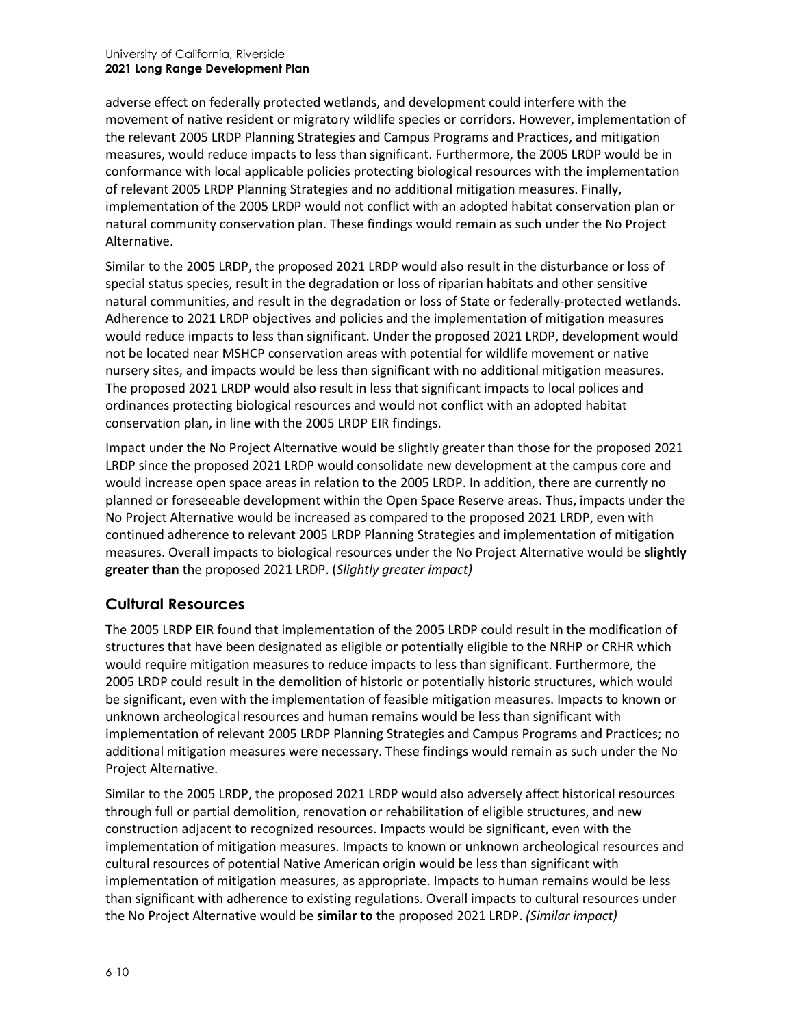adverse effect on federally protected wetlands, and development could interfere with the movement of native resident or migratory wildlife species or corridors. However, implementation of the relevant 2005 LRDP Planning Strategies and Campus Programs and Practices, and mitigation measures, would reduce impacts to less than significant. Furthermore, the 2005 LRDP would be in conformance with local applicable policies protecting biological resources with the implementation of relevant 2005 LRDP Planning Strategies and no additional mitigation measures. Finally, implementation of the 2005 LRDP would not conflict with an adopted habitat conservation plan or natural community conservation plan. These findings would remain as such under the No Project Alternative.

Similar to the 2005 LRDP, the proposed 2021 LRDP would also result in the disturbance or loss of special status species, result in the degradation or loss of riparian habitats and other sensitive natural communities, and result in the degradation or loss of State or federally-protected wetlands. Adherence to 2021 LRDP objectives and policies and the implementation of mitigation measures would reduce impacts to less than significant. Under the proposed 2021 LRDP, development would not be located near MSHCP conservation areas with potential for wildlife movement or native nursery sites, and impacts would be less than significant with no additional mitigation measures. The proposed 2021 LRDP would also result in less that significant impacts to local polices and ordinances protecting biological resources and would not conflict with an adopted habitat conservation plan, in line with the 2005 LRDP EIR findings.

Impact under the No Project Alternative would be slightly greater than those for the proposed 2021 LRDP since the proposed 2021 LRDP would consolidate new development at the campus core and would increase open space areas in relation to the 2005 LRDP. In addition, there are currently no planned or foreseeable development within the Open Space Reserve areas. Thus, impacts under the No Project Alternative would be increased as compared to the proposed 2021 LRDP, even with continued adherence to relevant 2005 LRDP Planning Strategies and implementation of mitigation measures. Overall impacts to biological resources under the No Project Alternative would be **slightly greater than** the proposed 2021 LRDP. (*Slightly greater impact)*

#### **Cultural Resources**

The 2005 LRDP EIR found that implementation of the 2005 LRDP could result in the modification of structures that have been designated as eligible or potentially eligible to the NRHP or CRHR which would require mitigation measures to reduce impacts to less than significant. Furthermore, the 2005 LRDP could result in the demolition of historic or potentially historic structures, which would be significant, even with the implementation of feasible mitigation measures. Impacts to known or unknown archeological resources and human remains would be less than significant with implementation of relevant 2005 LRDP Planning Strategies and Campus Programs and Practices; no additional mitigation measures were necessary. These findings would remain as such under the No Project Alternative.

Similar to the 2005 LRDP, the proposed 2021 LRDP would also adversely affect historical resources through full or partial demolition, renovation or rehabilitation of eligible structures, and new construction adjacent to recognized resources. Impacts would be significant, even with the implementation of mitigation measures. Impacts to known or unknown archeological resources and cultural resources of potential Native American origin would be less than significant with implementation of mitigation measures, as appropriate. Impacts to human remains would be less than significant with adherence to existing regulations. Overall impacts to cultural resources under the No Project Alternative would be **similar to** the proposed 2021 LRDP. *(Similar impact)*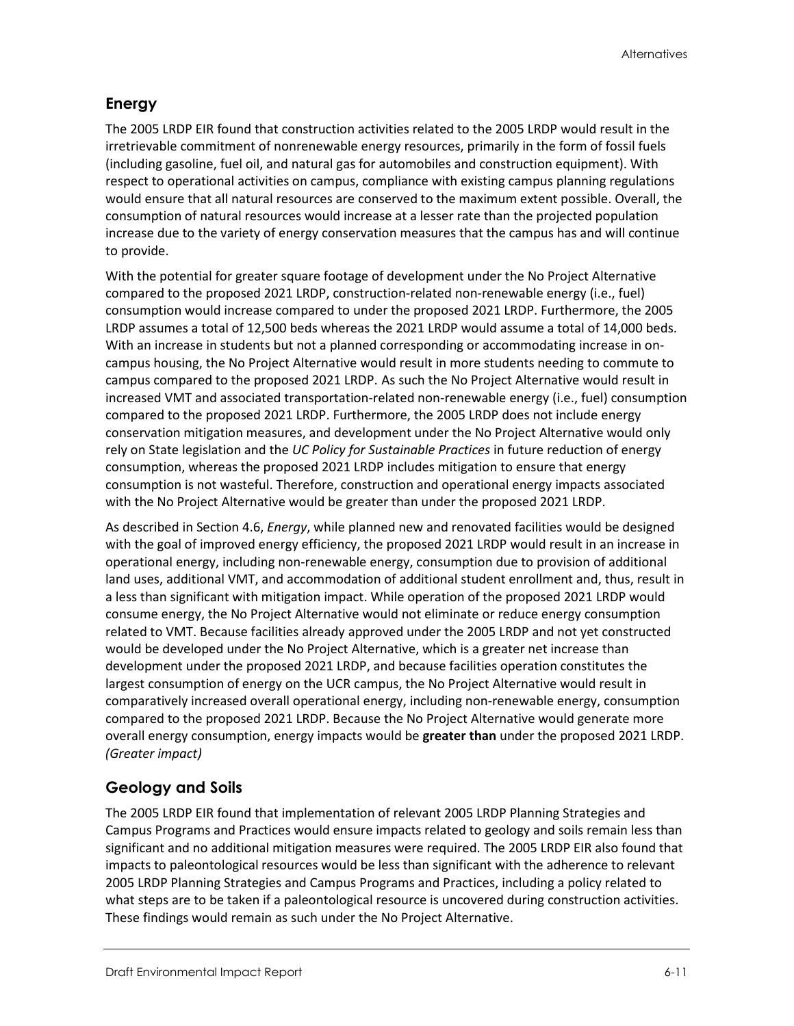### **Energy**

The 2005 LRDP EIR found that construction activities related to the 2005 LRDP would result in the irretrievable commitment of nonrenewable energy resources, primarily in the form of fossil fuels (including gasoline, fuel oil, and natural gas for automobiles and construction equipment). With respect to operational activities on campus, compliance with existing campus planning regulations would ensure that all natural resources are conserved to the maximum extent possible. Overall, the consumption of natural resources would increase at a lesser rate than the projected population increase due to the variety of energy conservation measures that the campus has and will continue to provide.

With the potential for greater square footage of development under the No Project Alternative compared to the proposed 2021 LRDP, construction-related non-renewable energy (i.e., fuel) consumption would increase compared to under the proposed 2021 LRDP. Furthermore, the 2005 LRDP assumes a total of 12,500 beds whereas the 2021 LRDP would assume a total of 14,000 beds. With an increase in students but not a planned corresponding or accommodating increase in oncampus housing, the No Project Alternative would result in more students needing to commute to campus compared to the proposed 2021 LRDP. As such the No Project Alternative would result in increased VMT and associated transportation-related non-renewable energy (i.e., fuel) consumption compared to the proposed 2021 LRDP. Furthermore, the 2005 LRDP does not include energy conservation mitigation measures, and development under the No Project Alternative would only rely on State legislation and the *UC Policy for Sustainable Practices* in future reduction of energy consumption, whereas the proposed 2021 LRDP includes mitigation to ensure that energy consumption is not wasteful. Therefore, construction and operational energy impacts associated with the No Project Alternative would be greater than under the proposed 2021 LRDP.

As described in Section 4.6, *Energy*, while planned new and renovated facilities would be designed with the goal of improved energy efficiency, the proposed 2021 LRDP would result in an increase in operational energy, including non-renewable energy, consumption due to provision of additional land uses, additional VMT, and accommodation of additional student enrollment and, thus, result in a less than significant with mitigation impact. While operation of the proposed 2021 LRDP would consume energy, the No Project Alternative would not eliminate or reduce energy consumption related to VMT. Because facilities already approved under the 2005 LRDP and not yet constructed would be developed under the No Project Alternative, which is a greater net increase than development under the proposed 2021 LRDP, and because facilities operation constitutes the largest consumption of energy on the UCR campus, the No Project Alternative would result in comparatively increased overall operational energy, including non-renewable energy, consumption compared to the proposed 2021 LRDP. Because the No Project Alternative would generate more overall energy consumption, energy impacts would be **greater than** under the proposed 2021 LRDP. *(Greater impact)*

# **Geology and Soils**

The 2005 LRDP EIR found that implementation of relevant 2005 LRDP Planning Strategies and Campus Programs and Practices would ensure impacts related to geology and soils remain less than significant and no additional mitigation measures were required. The 2005 LRDP EIR also found that impacts to paleontological resources would be less than significant with the adherence to relevant 2005 LRDP Planning Strategies and Campus Programs and Practices, including a policy related to what steps are to be taken if a paleontological resource is uncovered during construction activities. These findings would remain as such under the No Project Alternative.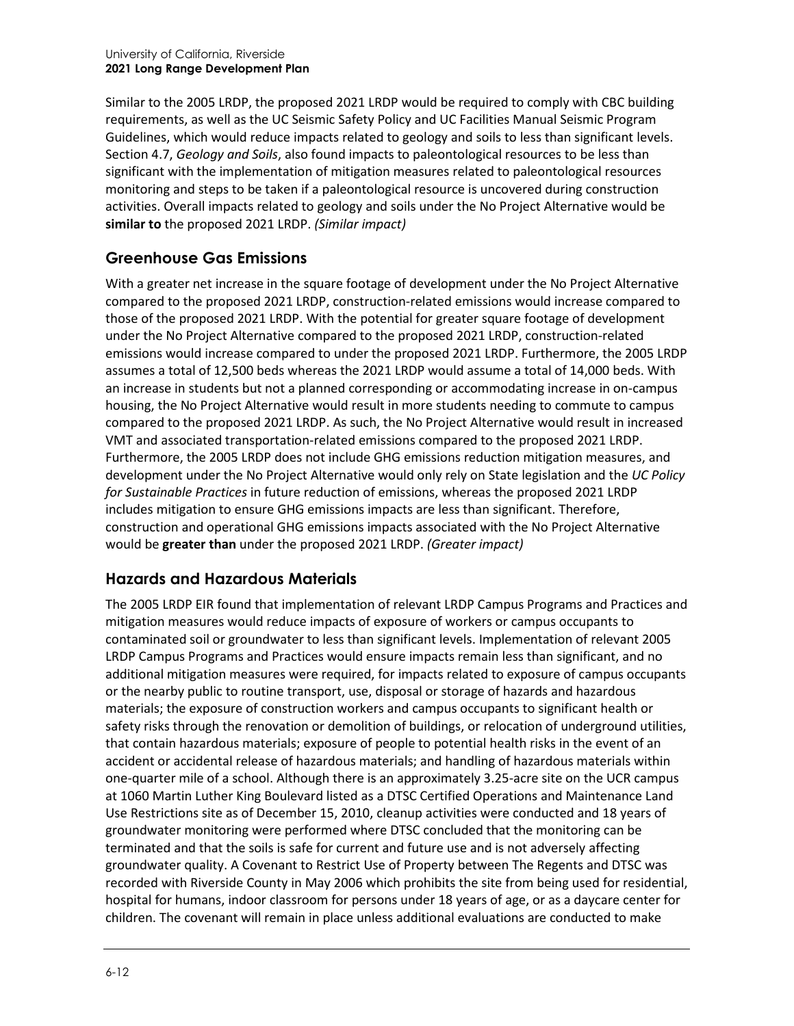Similar to the 2005 LRDP, the proposed 2021 LRDP would be required to comply with CBC building requirements, as well as the UC Seismic Safety Policy and UC Facilities Manual Seismic Program Guidelines, which would reduce impacts related to geology and soils to less than significant levels. Section 4.7, *Geology and Soils*, also found impacts to paleontological resources to be less than significant with the implementation of mitigation measures related to paleontological resources monitoring and steps to be taken if a paleontological resource is uncovered during construction activities. Overall impacts related to geology and soils under the No Project Alternative would be **similar to** the proposed 2021 LRDP. *(Similar impact)*

#### **Greenhouse Gas Emissions**

With a greater net increase in the square footage of development under the No Project Alternative compared to the proposed 2021 LRDP, construction-related emissions would increase compared to those of the proposed 2021 LRDP. With the potential for greater square footage of development under the No Project Alternative compared to the proposed 2021 LRDP, construction-related emissions would increase compared to under the proposed 2021 LRDP. Furthermore, the 2005 LRDP assumes a total of 12,500 beds whereas the 2021 LRDP would assume a total of 14,000 beds. With an increase in students but not a planned corresponding or accommodating increase in on-campus housing, the No Project Alternative would result in more students needing to commute to campus compared to the proposed 2021 LRDP. As such, the No Project Alternative would result in increased VMT and associated transportation-related emissions compared to the proposed 2021 LRDP. Furthermore, the 2005 LRDP does not include GHG emissions reduction mitigation measures, and development under the No Project Alternative would only rely on State legislation and the *UC Policy for Sustainable Practices* in future reduction of emissions, whereas the proposed 2021 LRDP includes mitigation to ensure GHG emissions impacts are less than significant. Therefore, construction and operational GHG emissions impacts associated with the No Project Alternative would be **greater than** under the proposed 2021 LRDP. *(Greater impact)*

#### **Hazards and Hazardous Materials**

The 2005 LRDP EIR found that implementation of relevant LRDP Campus Programs and Practices and mitigation measures would reduce impacts of exposure of workers or campus occupants to contaminated soil or groundwater to less than significant levels. Implementation of relevant 2005 LRDP Campus Programs and Practices would ensure impacts remain less than significant, and no additional mitigation measures were required, for impacts related to exposure of campus occupants or the nearby public to routine transport, use, disposal or storage of hazards and hazardous materials; the exposure of construction workers and campus occupants to significant health or safety risks through the renovation or demolition of buildings, or relocation of underground utilities, that contain hazardous materials; exposure of people to potential health risks in the event of an accident or accidental release of hazardous materials; and handling of hazardous materials within one-quarter mile of a school. Although there is an approximately 3.25-acre site on the UCR campus at 1060 Martin Luther King Boulevard listed as a DTSC Certified Operations and Maintenance Land Use Restrictions site as of December 15, 2010, cleanup activities were conducted and 18 years of groundwater monitoring were performed where DTSC concluded that the monitoring can be terminated and that the soils is safe for current and future use and is not adversely affecting groundwater quality. A Covenant to Restrict Use of Property between The Regents and DTSC was recorded with Riverside County in May 2006 which prohibits the site from being used for residential, hospital for humans, indoor classroom for persons under 18 years of age, or as a daycare center for children. The covenant will remain in place unless additional evaluations are conducted to make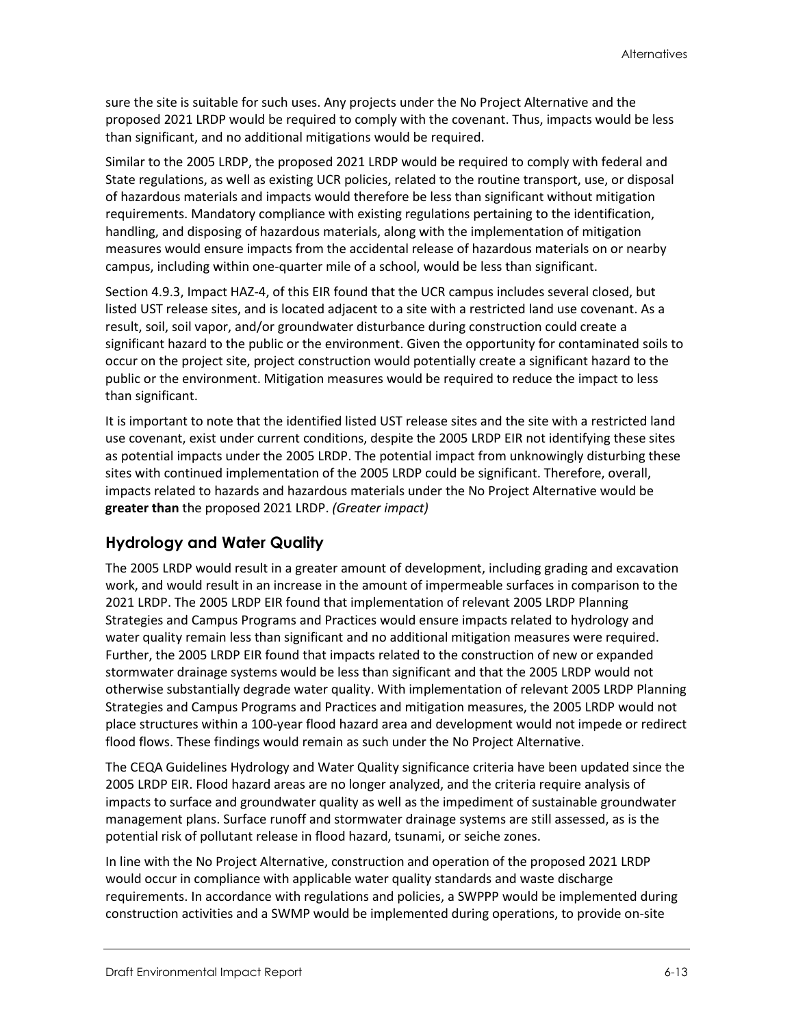sure the site is suitable for such uses. Any projects under the No Project Alternative and the proposed 2021 LRDP would be required to comply with the covenant. Thus, impacts would be less than significant, and no additional mitigations would be required.

Similar to the 2005 LRDP, the proposed 2021 LRDP would be required to comply with federal and State regulations, as well as existing UCR policies, related to the routine transport, use, or disposal of hazardous materials and impacts would therefore be less than significant without mitigation requirements. Mandatory compliance with existing regulations pertaining to the identification, handling, and disposing of hazardous materials, along with the implementation of mitigation measures would ensure impacts from the accidental release of hazardous materials on or nearby campus, including within one-quarter mile of a school, would be less than significant.

Section 4.9.3, Impact HAZ-4, of this EIR found that the UCR campus includes several closed, but listed UST release sites, and is located adjacent to a site with a restricted land use covenant. As a result, soil, soil vapor, and/or groundwater disturbance during construction could create a significant hazard to the public or the environment. Given the opportunity for contaminated soils to occur on the project site, project construction would potentially create a significant hazard to the public or the environment. Mitigation measures would be required to reduce the impact to less than significant.

It is important to note that the identified listed UST release sites and the site with a restricted land use covenant, exist under current conditions, despite the 2005 LRDP EIR not identifying these sites as potential impacts under the 2005 LRDP. The potential impact from unknowingly disturbing these sites with continued implementation of the 2005 LRDP could be significant. Therefore, overall, impacts related to hazards and hazardous materials under the No Project Alternative would be **greater than** the proposed 2021 LRDP. *(Greater impact)*

#### **Hydrology and Water Quality**

The 2005 LRDP would result in a greater amount of development, including grading and excavation work, and would result in an increase in the amount of impermeable surfaces in comparison to the 2021 LRDP. The 2005 LRDP EIR found that implementation of relevant 2005 LRDP Planning Strategies and Campus Programs and Practices would ensure impacts related to hydrology and water quality remain less than significant and no additional mitigation measures were required. Further, the 2005 LRDP EIR found that impacts related to the construction of new or expanded stormwater drainage systems would be less than significant and that the 2005 LRDP would not otherwise substantially degrade water quality. With implementation of relevant 2005 LRDP Planning Strategies and Campus Programs and Practices and mitigation measures, the 2005 LRDP would not place structures within a 100-year flood hazard area and development would not impede or redirect flood flows. These findings would remain as such under the No Project Alternative.

The CEQA Guidelines Hydrology and Water Quality significance criteria have been updated since the 2005 LRDP EIR. Flood hazard areas are no longer analyzed, and the criteria require analysis of impacts to surface and groundwater quality as well as the impediment of sustainable groundwater management plans. Surface runoff and stormwater drainage systems are still assessed, as is the potential risk of pollutant release in flood hazard, tsunami, or seiche zones.

In line with the No Project Alternative, construction and operation of the proposed 2021 LRDP would occur in compliance with applicable water quality standards and waste discharge requirements. In accordance with regulations and policies, a SWPPP would be implemented during construction activities and a SWMP would be implemented during operations, to provide on-site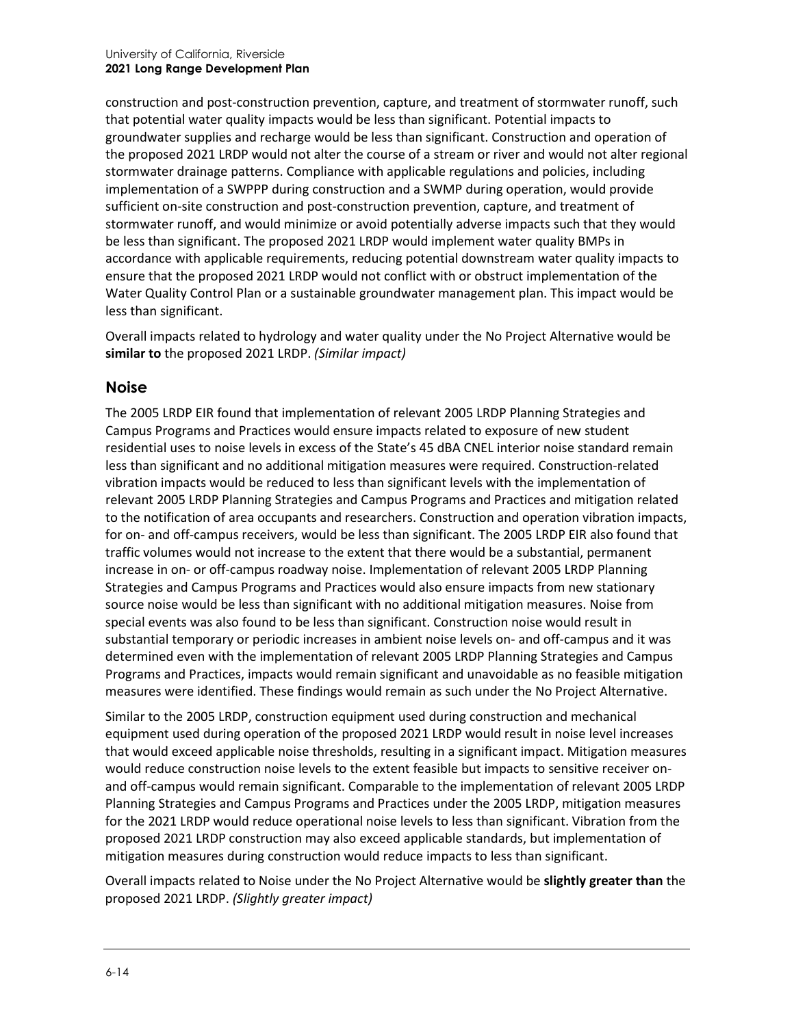construction and post-construction prevention, capture, and treatment of stormwater runoff, such that potential water quality impacts would be less than significant. Potential impacts to groundwater supplies and recharge would be less than significant. Construction and operation of the proposed 2021 LRDP would not alter the course of a stream or river and would not alter regional stormwater drainage patterns. Compliance with applicable regulations and policies, including implementation of a SWPPP during construction and a SWMP during operation, would provide sufficient on-site construction and post-construction prevention, capture, and treatment of stormwater runoff, and would minimize or avoid potentially adverse impacts such that they would be less than significant. The proposed 2021 LRDP would implement water quality BMPs in accordance with applicable requirements, reducing potential downstream water quality impacts to ensure that the proposed 2021 LRDP would not conflict with or obstruct implementation of the Water Quality Control Plan or a sustainable groundwater management plan. This impact would be less than significant.

Overall impacts related to hydrology and water quality under the No Project Alternative would be **similar to** the proposed 2021 LRDP. *(Similar impact)*

#### **Noise**

The 2005 LRDP EIR found that implementation of relevant 2005 LRDP Planning Strategies and Campus Programs and Practices would ensure impacts related to exposure of new student residential uses to noise levels in excess of the State's 45 dBA CNEL interior noise standard remain less than significant and no additional mitigation measures were required. Construction-related vibration impacts would be reduced to less than significant levels with the implementation of relevant 2005 LRDP Planning Strategies and Campus Programs and Practices and mitigation related to the notification of area occupants and researchers. Construction and operation vibration impacts, for on- and off-campus receivers, would be less than significant. The 2005 LRDP EIR also found that traffic volumes would not increase to the extent that there would be a substantial, permanent increase in on- or off-campus roadway noise. Implementation of relevant 2005 LRDP Planning Strategies and Campus Programs and Practices would also ensure impacts from new stationary source noise would be less than significant with no additional mitigation measures. Noise from special events was also found to be less than significant. Construction noise would result in substantial temporary or periodic increases in ambient noise levels on- and off-campus and it was determined even with the implementation of relevant 2005 LRDP Planning Strategies and Campus Programs and Practices, impacts would remain significant and unavoidable as no feasible mitigation measures were identified. These findings would remain as such under the No Project Alternative.

Similar to the 2005 LRDP, construction equipment used during construction and mechanical equipment used during operation of the proposed 2021 LRDP would result in noise level increases that would exceed applicable noise thresholds, resulting in a significant impact. Mitigation measures would reduce construction noise levels to the extent feasible but impacts to sensitive receiver onand off-campus would remain significant. Comparable to the implementation of relevant 2005 LRDP Planning Strategies and Campus Programs and Practices under the 2005 LRDP, mitigation measures for the 2021 LRDP would reduce operational noise levels to less than significant. Vibration from the proposed 2021 LRDP construction may also exceed applicable standards, but implementation of mitigation measures during construction would reduce impacts to less than significant.

Overall impacts related to Noise under the No Project Alternative would be **slightly greater than** the proposed 2021 LRDP. *(Slightly greater impact)*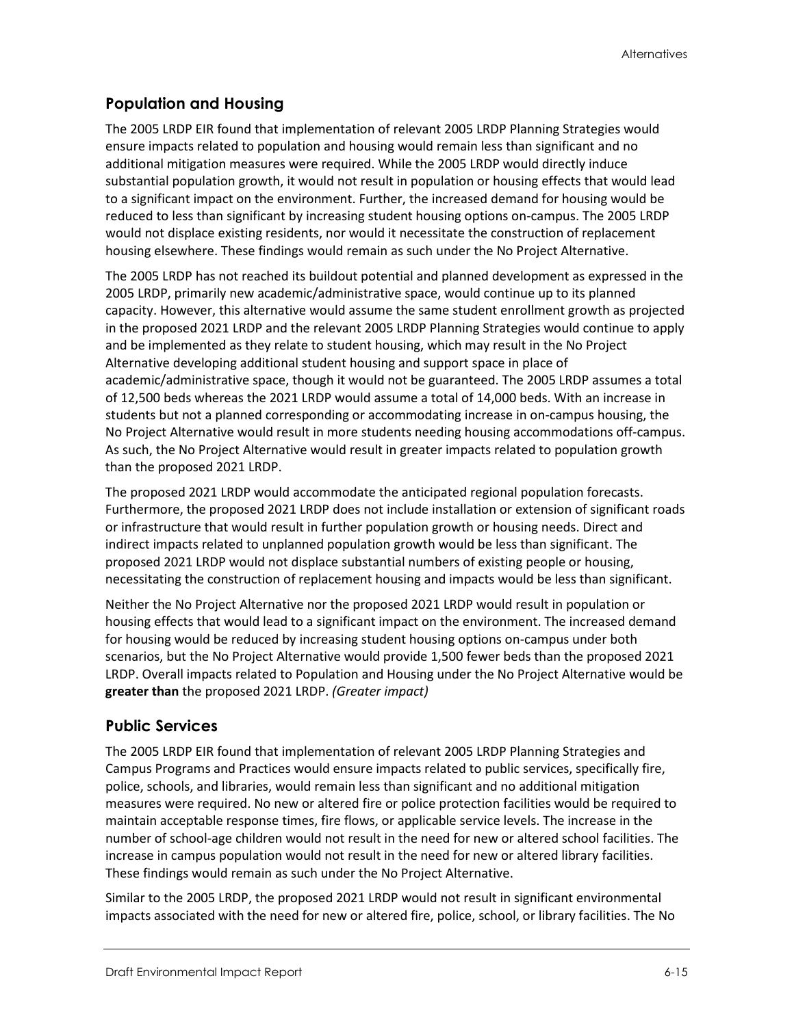### **Population and Housing**

The 2005 LRDP EIR found that implementation of relevant 2005 LRDP Planning Strategies would ensure impacts related to population and housing would remain less than significant and no additional mitigation measures were required. While the 2005 LRDP would directly induce substantial population growth, it would not result in population or housing effects that would lead to a significant impact on the environment. Further, the increased demand for housing would be reduced to less than significant by increasing student housing options on-campus. The 2005 LRDP would not displace existing residents, nor would it necessitate the construction of replacement housing elsewhere. These findings would remain as such under the No Project Alternative.

The 2005 LRDP has not reached its buildout potential and planned development as expressed in the 2005 LRDP, primarily new academic/administrative space, would continue up to its planned capacity. However, this alternative would assume the same student enrollment growth as projected in the proposed 2021 LRDP and the relevant 2005 LRDP Planning Strategies would continue to apply and be implemented as they relate to student housing, which may result in the No Project Alternative developing additional student housing and support space in place of academic/administrative space, though it would not be guaranteed. The 2005 LRDP assumes a total of 12,500 beds whereas the 2021 LRDP would assume a total of 14,000 beds. With an increase in students but not a planned corresponding or accommodating increase in on-campus housing, the No Project Alternative would result in more students needing housing accommodations off-campus. As such, the No Project Alternative would result in greater impacts related to population growth than the proposed 2021 LRDP.

The proposed 2021 LRDP would accommodate the anticipated regional population forecasts. Furthermore, the proposed 2021 LRDP does not include installation or extension of significant roads or infrastructure that would result in further population growth or housing needs. Direct and indirect impacts related to unplanned population growth would be less than significant. The proposed 2021 LRDP would not displace substantial numbers of existing people or housing, necessitating the construction of replacement housing and impacts would be less than significant.

Neither the No Project Alternative nor the proposed 2021 LRDP would result in population or housing effects that would lead to a significant impact on the environment. The increased demand for housing would be reduced by increasing student housing options on-campus under both scenarios, but the No Project Alternative would provide 1,500 fewer beds than the proposed 2021 LRDP. Overall impacts related to Population and Housing under the No Project Alternative would be **greater than** the proposed 2021 LRDP. *(Greater impact)*

#### **Public Services**

The 2005 LRDP EIR found that implementation of relevant 2005 LRDP Planning Strategies and Campus Programs and Practices would ensure impacts related to public services, specifically fire, police, schools, and libraries, would remain less than significant and no additional mitigation measures were required. No new or altered fire or police protection facilities would be required to maintain acceptable response times, fire flows, or applicable service levels. The increase in the number of school-age children would not result in the need for new or altered school facilities. The increase in campus population would not result in the need for new or altered library facilities. These findings would remain as such under the No Project Alternative.

Similar to the 2005 LRDP, the proposed 2021 LRDP would not result in significant environmental impacts associated with the need for new or altered fire, police, school, or library facilities. The No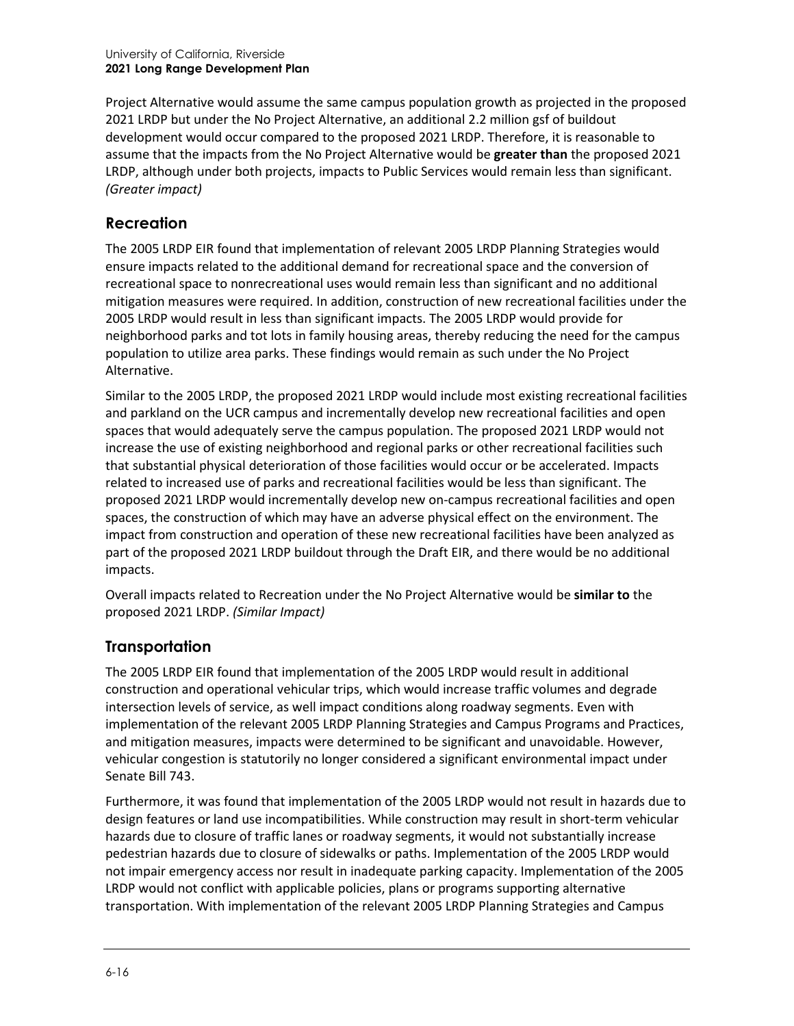Project Alternative would assume the same campus population growth as projected in the proposed 2021 LRDP but under the No Project Alternative, an additional 2.2 million gsf of buildout development would occur compared to the proposed 2021 LRDP. Therefore, it is reasonable to assume that the impacts from the No Project Alternative would be **greater than** the proposed 2021 LRDP, although under both projects, impacts to Public Services would remain less than significant. *(Greater impact)*

#### **Recreation**

The 2005 LRDP EIR found that implementation of relevant 2005 LRDP Planning Strategies would ensure impacts related to the additional demand for recreational space and the conversion of recreational space to nonrecreational uses would remain less than significant and no additional mitigation measures were required. In addition, construction of new recreational facilities under the 2005 LRDP would result in less than significant impacts. The 2005 LRDP would provide for neighborhood parks and tot lots in family housing areas, thereby reducing the need for the campus population to utilize area parks. These findings would remain as such under the No Project Alternative.

Similar to the 2005 LRDP, the proposed 2021 LRDP would include most existing recreational facilities and parkland on the UCR campus and incrementally develop new recreational facilities and open spaces that would adequately serve the campus population. The proposed 2021 LRDP would not increase the use of existing neighborhood and regional parks or other recreational facilities such that substantial physical deterioration of those facilities would occur or be accelerated. Impacts related to increased use of parks and recreational facilities would be less than significant. The proposed 2021 LRDP would incrementally develop new on-campus recreational facilities and open spaces, the construction of which may have an adverse physical effect on the environment. The impact from construction and operation of these new recreational facilities have been analyzed as part of the proposed 2021 LRDP buildout through the Draft EIR, and there would be no additional impacts.

Overall impacts related to Recreation under the No Project Alternative would be **similar to** the proposed 2021 LRDP. *(Similar Impact)*

# **Transportation**

The 2005 LRDP EIR found that implementation of the 2005 LRDP would result in additional construction and operational vehicular trips, which would increase traffic volumes and degrade intersection levels of service, as well impact conditions along roadway segments. Even with implementation of the relevant 2005 LRDP Planning Strategies and Campus Programs and Practices, and mitigation measures, impacts were determined to be significant and unavoidable. However, vehicular congestion is statutorily no longer considered a significant environmental impact under Senate Bill 743.

Furthermore, it was found that implementation of the 2005 LRDP would not result in hazards due to design features or land use incompatibilities. While construction may result in short-term vehicular hazards due to closure of traffic lanes or roadway segments, it would not substantially increase pedestrian hazards due to closure of sidewalks or paths. Implementation of the 2005 LRDP would not impair emergency access nor result in inadequate parking capacity. Implementation of the 2005 LRDP would not conflict with applicable policies, plans or programs supporting alternative transportation. With implementation of the relevant 2005 LRDP Planning Strategies and Campus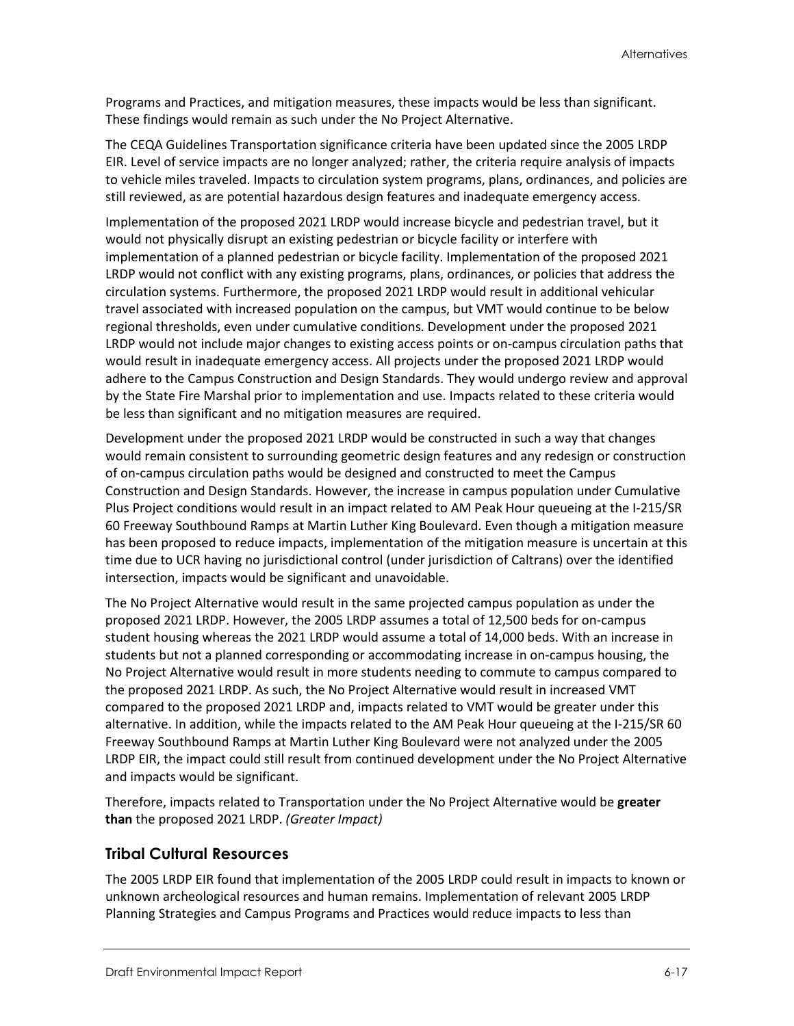Programs and Practices, and mitigation measures, these impacts would be less than significant. These findings would remain as such under the No Project Alternative.

The CEQA Guidelines Transportation significance criteria have been updated since the 2005 LRDP EIR. Level of service impacts are no longer analyzed; rather, the criteria require analysis of impacts to vehicle miles traveled. Impacts to circulation system programs, plans, ordinances, and policies are still reviewed, as are potential hazardous design features and inadequate emergency access.

Implementation of the proposed 2021 LRDP would increase bicycle and pedestrian travel, but it would not physically disrupt an existing pedestrian or bicycle facility or interfere with implementation of a planned pedestrian or bicycle facility. Implementation of the proposed 2021 LRDP would not conflict with any existing programs, plans, ordinances, or policies that address the circulation systems. Furthermore, the proposed 2021 LRDP would result in additional vehicular travel associated with increased population on the campus, but VMT would continue to be below regional thresholds, even under cumulative conditions. Development under the proposed 2021 LRDP would not include major changes to existing access points or on-campus circulation paths that would result in inadequate emergency access. All projects under the proposed 2021 LRDP would adhere to the Campus Construction and Design Standards. They would undergo review and approval by the State Fire Marshal prior to implementation and use. Impacts related to these criteria would be less than significant and no mitigation measures are required.

Development under the proposed 2021 LRDP would be constructed in such a way that changes would remain consistent to surrounding geometric design features and any redesign or construction of on-campus circulation paths would be designed and constructed to meet the Campus Construction and Design Standards. However, the increase in campus population under Cumulative Plus Project conditions would result in an impact related to AM Peak Hour queueing at the I-215/SR 60 Freeway Southbound Ramps at Martin Luther King Boulevard. Even though a mitigation measure has been proposed to reduce impacts, implementation of the mitigation measure is uncertain at this time due to UCR having no jurisdictional control (under jurisdiction of Caltrans) over the identified intersection, impacts would be significant and unavoidable.

The No Project Alternative would result in the same projected campus population as under the proposed 2021 LRDP. However, the 2005 LRDP assumes a total of 12,500 beds for on-campus student housing whereas the 2021 LRDP would assume a total of 14,000 beds. With an increase in students but not a planned corresponding or accommodating increase in on-campus housing, the No Project Alternative would result in more students needing to commute to campus compared to the proposed 2021 LRDP. As such, the No Project Alternative would result in increased VMT compared to the proposed 2021 LRDP and, impacts related to VMT would be greater under this alternative. In addition, while the impacts related to the AM Peak Hour queueing at the I-215/SR 60 Freeway Southbound Ramps at Martin Luther King Boulevard were not analyzed under the 2005 LRDP EIR, the impact could still result from continued development under the No Project Alternative and impacts would be significant.

Therefore, impacts related to Transportation under the No Project Alternative would be **greater than** the proposed 2021 LRDP. *(Greater Impact)*

#### **Tribal Cultural Resources**

The 2005 LRDP EIR found that implementation of the 2005 LRDP could result in impacts to known or unknown archeological resources and human remains. Implementation of relevant 2005 LRDP Planning Strategies and Campus Programs and Practices would reduce impacts to less than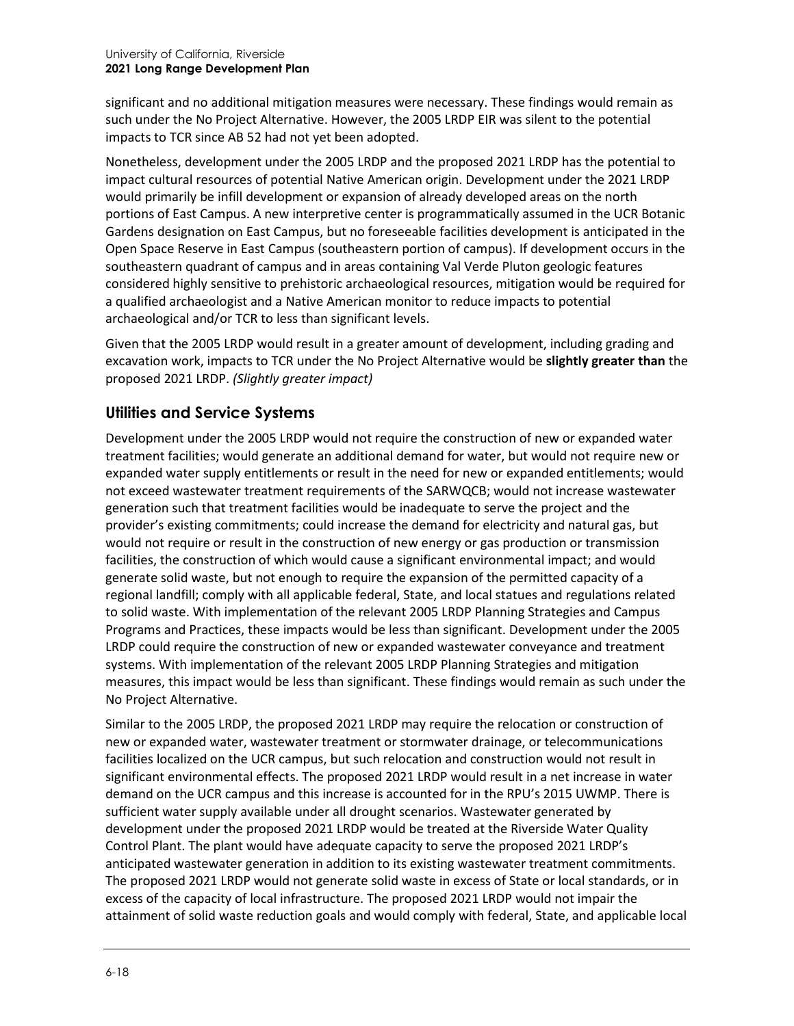significant and no additional mitigation measures were necessary. These findings would remain as such under the No Project Alternative. However, the 2005 LRDP EIR was silent to the potential impacts to TCR since AB 52 had not yet been adopted.

Nonetheless, development under the 2005 LRDP and the proposed 2021 LRDP has the potential to impact cultural resources of potential Native American origin. Development under the 2021 LRDP would primarily be infill development or expansion of already developed areas on the north portions of East Campus. A new interpretive center is programmatically assumed in the UCR Botanic Gardens designation on East Campus, but no foreseeable facilities development is anticipated in the Open Space Reserve in East Campus (southeastern portion of campus). If development occurs in the southeastern quadrant of campus and in areas containing Val Verde Pluton geologic features considered highly sensitive to prehistoric archaeological resources, mitigation would be required for a qualified archaeologist and a Native American monitor to reduce impacts to potential archaeological and/or TCR to less than significant levels.

Given that the 2005 LRDP would result in a greater amount of development, including grading and excavation work, impacts to TCR under the No Project Alternative would be **slightly greater than** the proposed 2021 LRDP. *(Slightly greater impact)*

### **Utilities and Service Systems**

Development under the 2005 LRDP would not require the construction of new or expanded water treatment facilities; would generate an additional demand for water, but would not require new or expanded water supply entitlements or result in the need for new or expanded entitlements; would not exceed wastewater treatment requirements of the SARWQCB; would not increase wastewater generation such that treatment facilities would be inadequate to serve the project and the provider's existing commitments; could increase the demand for electricity and natural gas, but would not require or result in the construction of new energy or gas production or transmission facilities, the construction of which would cause a significant environmental impact; and would generate solid waste, but not enough to require the expansion of the permitted capacity of a regional landfill; comply with all applicable federal, State, and local statues and regulations related to solid waste. With implementation of the relevant 2005 LRDP Planning Strategies and Campus Programs and Practices, these impacts would be less than significant. Development under the 2005 LRDP could require the construction of new or expanded wastewater conveyance and treatment systems. With implementation of the relevant 2005 LRDP Planning Strategies and mitigation measures, this impact would be less than significant. These findings would remain as such under the No Project Alternative.

Similar to the 2005 LRDP, the proposed 2021 LRDP may require the relocation or construction of new or expanded water, wastewater treatment or stormwater drainage, or telecommunications facilities localized on the UCR campus, but such relocation and construction would not result in significant environmental effects. The proposed 2021 LRDP would result in a net increase in water demand on the UCR campus and this increase is accounted for in the RPU's 2015 UWMP. There is sufficient water supply available under all drought scenarios. Wastewater generated by development under the proposed 2021 LRDP would be treated at the Riverside Water Quality Control Plant. The plant would have adequate capacity to serve the proposed 2021 LRDP's anticipated wastewater generation in addition to its existing wastewater treatment commitments. The proposed 2021 LRDP would not generate solid waste in excess of State or local standards, or in excess of the capacity of local infrastructure. The proposed 2021 LRDP would not impair the attainment of solid waste reduction goals and would comply with federal, State, and applicable local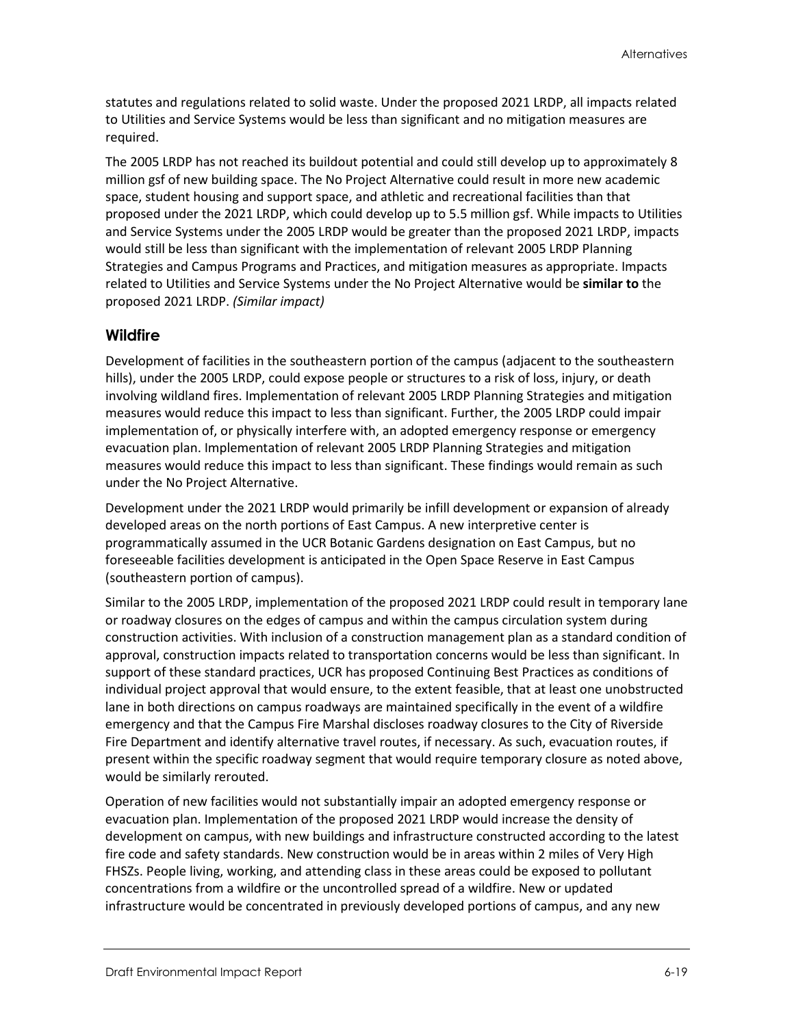statutes and regulations related to solid waste. Under the proposed 2021 LRDP, all impacts related to Utilities and Service Systems would be less than significant and no mitigation measures are required.

The 2005 LRDP has not reached its buildout potential and could still develop up to approximately 8 million gsf of new building space. The No Project Alternative could result in more new academic space, student housing and support space, and athletic and recreational facilities than that proposed under the 2021 LRDP, which could develop up to 5.5 million gsf. While impacts to Utilities and Service Systems under the 2005 LRDP would be greater than the proposed 2021 LRDP, impacts would still be less than significant with the implementation of relevant 2005 LRDP Planning Strategies and Campus Programs and Practices, and mitigation measures as appropriate. Impacts related to Utilities and Service Systems under the No Project Alternative would be **similar to** the proposed 2021 LRDP. *(Similar impact)*

#### **Wildfire**

Development of facilities in the southeastern portion of the campus (adjacent to the southeastern hills), under the 2005 LRDP, could expose people or structures to a risk of loss, injury, or death involving wildland fires. Implementation of relevant 2005 LRDP Planning Strategies and mitigation measures would reduce this impact to less than significant. Further, the 2005 LRDP could impair implementation of, or physically interfere with, an adopted emergency response or emergency evacuation plan. Implementation of relevant 2005 LRDP Planning Strategies and mitigation measures would reduce this impact to less than significant. These findings would remain as such under the No Project Alternative.

Development under the 2021 LRDP would primarily be infill development or expansion of already developed areas on the north portions of East Campus. A new interpretive center is programmatically assumed in the UCR Botanic Gardens designation on East Campus, but no foreseeable facilities development is anticipated in the Open Space Reserve in East Campus (southeastern portion of campus).

Similar to the 2005 LRDP, implementation of the proposed 2021 LRDP could result in temporary lane or roadway closures on the edges of campus and within the campus circulation system during construction activities. With inclusion of a construction management plan as a standard condition of approval, construction impacts related to transportation concerns would be less than significant. In support of these standard practices, UCR has proposed Continuing Best Practices as conditions of individual project approval that would ensure, to the extent feasible, that at least one unobstructed lane in both directions on campus roadways are maintained specifically in the event of a wildfire emergency and that the Campus Fire Marshal discloses roadway closures to the City of Riverside Fire Department and identify alternative travel routes, if necessary. As such, evacuation routes, if present within the specific roadway segment that would require temporary closure as noted above, would be similarly rerouted.

Operation of new facilities would not substantially impair an adopted emergency response or evacuation plan. Implementation of the proposed 2021 LRDP would increase the density of development on campus, with new buildings and infrastructure constructed according to the latest fire code and safety standards. New construction would be in areas within 2 miles of Very High FHSZs. People living, working, and attending class in these areas could be exposed to pollutant concentrations from a wildfire or the uncontrolled spread of a wildfire. New or updated infrastructure would be concentrated in previously developed portions of campus, and any new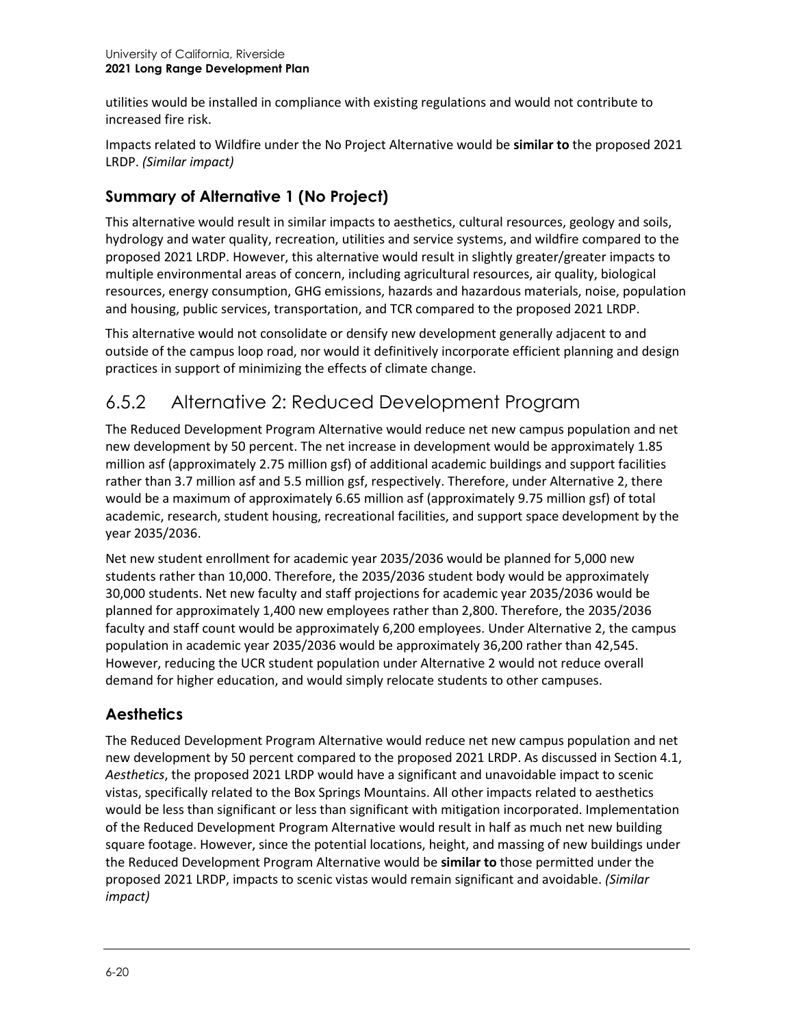utilities would be installed in compliance with existing regulations and would not contribute to increased fire risk.

Impacts related to Wildfire under the No Project Alternative would be **similar to** the proposed 2021 LRDP. *(Similar impact)*

# **Summary of Alternative 1 (No Project)**

This alternative would result in similar impacts to aesthetics, cultural resources, geology and soils, hydrology and water quality, recreation, utilities and service systems, and wildfire compared to the proposed 2021 LRDP. However, this alternative would result in slightly greater/greater impacts to multiple environmental areas of concern, including agricultural resources, air quality, biological resources, energy consumption, GHG emissions, hazards and hazardous materials, noise, population and housing, public services, transportation, and TCR compared to the proposed 2021 LRDP.

This alternative would not consolidate or densify new development generally adjacent to and outside of the campus loop road, nor would it definitively incorporate efficient planning and design practices in support of minimizing the effects of climate change.

# 6.5.2 Alternative 2: Reduced Development Program

The Reduced Development Program Alternative would reduce net new campus population and net new development by 50 percent. The net increase in development would be approximately 1.85 million asf (approximately 2.75 million gsf) of additional academic buildings and support facilities rather than 3.7 million asf and 5.5 million gsf, respectively. Therefore, under Alternative 2, there would be a maximum of approximately 6.65 million asf (approximately 9.75 million gsf) of total academic, research, student housing, recreational facilities, and support space development by the year 2035/2036.

Net new student enrollment for academic year 2035/2036 would be planned for 5,000 new students rather than 10,000. Therefore, the 2035/2036 student body would be approximately 30,000 students. Net new faculty and staff projections for academic year 2035/2036 would be planned for approximately 1,400 new employees rather than 2,800. Therefore, the 2035/2036 faculty and staff count would be approximately 6,200 employees. Under Alternative 2, the campus population in academic year 2035/2036 would be approximately 36,200 rather than 42,545. However, reducing the UCR student population under Alternative 2 would not reduce overall demand for higher education, and would simply relocate students to other campuses.

# **Aesthetics**

The Reduced Development Program Alternative would reduce net new campus population and net new development by 50 percent compared to the proposed 2021 LRDP. As discussed in Section 4.1, *Aesthetics*, the proposed 2021 LRDP would have a significant and unavoidable impact to scenic vistas, specifically related to the Box Springs Mountains. All other impacts related to aesthetics would be less than significant or less than significant with mitigation incorporated. Implementation of the Reduced Development Program Alternative would result in half as much net new building square footage. However, since the potential locations, height, and massing of new buildings under the Reduced Development Program Alternative would be **similar to** those permitted under the proposed 2021 LRDP, impacts to scenic vistas would remain significant and avoidable. *(Similar impact)*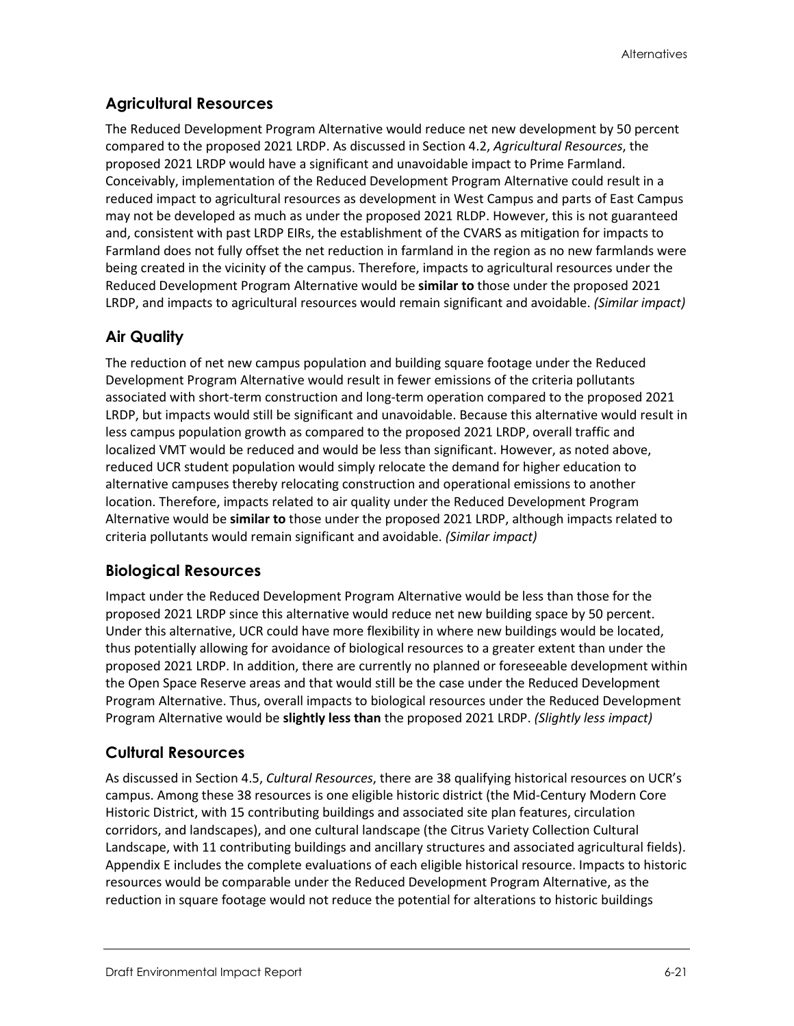#### **Agricultural Resources**

The Reduced Development Program Alternative would reduce net new development by 50 percent compared to the proposed 2021 LRDP. As discussed in Section 4.2, *Agricultural Resources*, the proposed 2021 LRDP would have a significant and unavoidable impact to Prime Farmland. Conceivably, implementation of the Reduced Development Program Alternative could result in a reduced impact to agricultural resources as development in West Campus and parts of East Campus may not be developed as much as under the proposed 2021 RLDP. However, this is not guaranteed and, consistent with past LRDP EIRs, the establishment of the CVARS as mitigation for impacts to Farmland does not fully offset the net reduction in farmland in the region as no new farmlands were being created in the vicinity of the campus. Therefore, impacts to agricultural resources under the Reduced Development Program Alternative would be **similar to** those under the proposed 2021 LRDP, and impacts to agricultural resources would remain significant and avoidable. *(Similar impact)*

#### **Air Quality**

The reduction of net new campus population and building square footage under the Reduced Development Program Alternative would result in fewer emissions of the criteria pollutants associated with short-term construction and long-term operation compared to the proposed 2021 LRDP, but impacts would still be significant and unavoidable. Because this alternative would result in less campus population growth as compared to the proposed 2021 LRDP, overall traffic and localized VMT would be reduced and would be less than significant. However, as noted above, reduced UCR student population would simply relocate the demand for higher education to alternative campuses thereby relocating construction and operational emissions to another location. Therefore, impacts related to air quality under the Reduced Development Program Alternative would be **similar to** those under the proposed 2021 LRDP, although impacts related to criteria pollutants would remain significant and avoidable. *(Similar impact)*

#### **Biological Resources**

Impact under the Reduced Development Program Alternative would be less than those for the proposed 2021 LRDP since this alternative would reduce net new building space by 50 percent. Under this alternative, UCR could have more flexibility in where new buildings would be located, thus potentially allowing for avoidance of biological resources to a greater extent than under the proposed 2021 LRDP. In addition, there are currently no planned or foreseeable development within the Open Space Reserve areas and that would still be the case under the Reduced Development Program Alternative. Thus, overall impacts to biological resources under the Reduced Development Program Alternative would be **slightly less than** the proposed 2021 LRDP. *(Slightly less impact)*

#### **Cultural Resources**

As discussed in Section 4.5, *Cultural Resources*, there are 38 qualifying historical resources on UCR's campus. Among these 38 resources is one eligible historic district (the Mid-Century Modern Core Historic District, with 15 contributing buildings and associated site plan features, circulation corridors, and landscapes), and one cultural landscape (the Citrus Variety Collection Cultural Landscape, with 11 contributing buildings and ancillary structures and associated agricultural fields). Appendix E includes the complete evaluations of each eligible historical resource. Impacts to historic resources would be comparable under the Reduced Development Program Alternative, as the reduction in square footage would not reduce the potential for alterations to historic buildings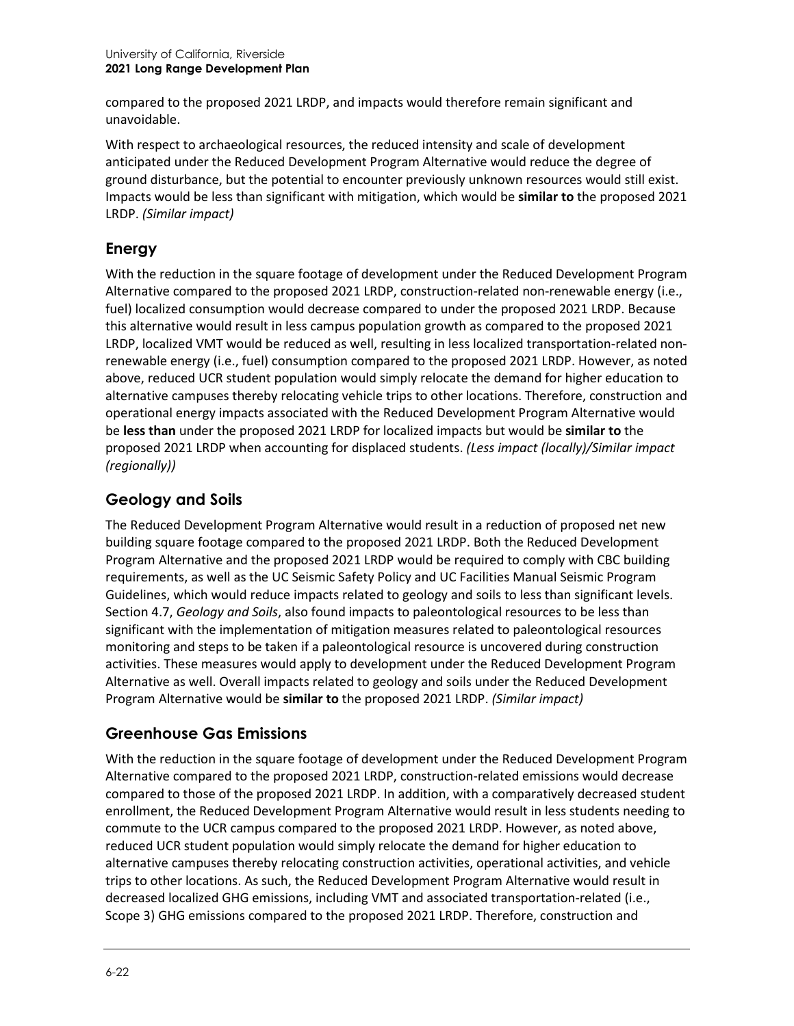compared to the proposed 2021 LRDP, and impacts would therefore remain significant and unavoidable.

With respect to archaeological resources, the reduced intensity and scale of development anticipated under the Reduced Development Program Alternative would reduce the degree of ground disturbance, but the potential to encounter previously unknown resources would still exist. Impacts would be less than significant with mitigation, which would be **similar to** the proposed 2021 LRDP. *(Similar impact)*

## **Energy**

With the reduction in the square footage of development under the Reduced Development Program Alternative compared to the proposed 2021 LRDP, construction-related non-renewable energy (i.e., fuel) localized consumption would decrease compared to under the proposed 2021 LRDP. Because this alternative would result in less campus population growth as compared to the proposed 2021 LRDP, localized VMT would be reduced as well, resulting in less localized transportation-related nonrenewable energy (i.e., fuel) consumption compared to the proposed 2021 LRDP. However, as noted above, reduced UCR student population would simply relocate the demand for higher education to alternative campuses thereby relocating vehicle trips to other locations. Therefore, construction and operational energy impacts associated with the Reduced Development Program Alternative would be **less than** under the proposed 2021 LRDP for localized impacts but would be **similar to** the proposed 2021 LRDP when accounting for displaced students. *(Less impact (locally)/Similar impact (regionally))*

# **Geology and Soils**

The Reduced Development Program Alternative would result in a reduction of proposed net new building square footage compared to the proposed 2021 LRDP. Both the Reduced Development Program Alternative and the proposed 2021 LRDP would be required to comply with CBC building requirements, as well as the UC Seismic Safety Policy and UC Facilities Manual Seismic Program Guidelines, which would reduce impacts related to geology and soils to less than significant levels. Section 4.7, *Geology and Soils*, also found impacts to paleontological resources to be less than significant with the implementation of mitigation measures related to paleontological resources monitoring and steps to be taken if a paleontological resource is uncovered during construction activities. These measures would apply to development under the Reduced Development Program Alternative as well. Overall impacts related to geology and soils under the Reduced Development Program Alternative would be **similar to** the proposed 2021 LRDP. *(Similar impact)*

#### **Greenhouse Gas Emissions**

With the reduction in the square footage of development under the Reduced Development Program Alternative compared to the proposed 2021 LRDP, construction-related emissions would decrease compared to those of the proposed 2021 LRDP. In addition, with a comparatively decreased student enrollment, the Reduced Development Program Alternative would result in less students needing to commute to the UCR campus compared to the proposed 2021 LRDP. However, as noted above, reduced UCR student population would simply relocate the demand for higher education to alternative campuses thereby relocating construction activities, operational activities, and vehicle trips to other locations. As such, the Reduced Development Program Alternative would result in decreased localized GHG emissions, including VMT and associated transportation-related (i.e., Scope 3) GHG emissions compared to the proposed 2021 LRDP. Therefore, construction and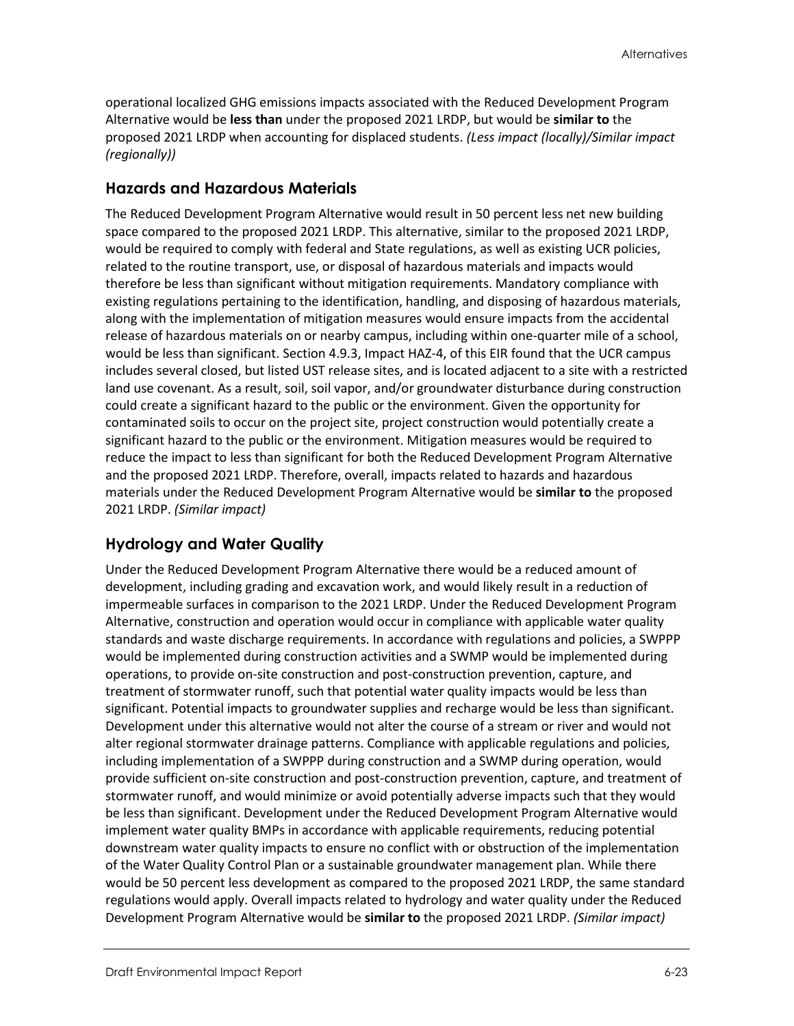operational localized GHG emissions impacts associated with the Reduced Development Program Alternative would be **less than** under the proposed 2021 LRDP, but would be **similar to** the proposed 2021 LRDP when accounting for displaced students. *(Less impact (locally)/Similar impact (regionally))*

#### **Hazards and Hazardous Materials**

The Reduced Development Program Alternative would result in 50 percent less net new building space compared to the proposed 2021 LRDP. This alternative, similar to the proposed 2021 LRDP, would be required to comply with federal and State regulations, as well as existing UCR policies, related to the routine transport, use, or disposal of hazardous materials and impacts would therefore be less than significant without mitigation requirements. Mandatory compliance with existing regulations pertaining to the identification, handling, and disposing of hazardous materials, along with the implementation of mitigation measures would ensure impacts from the accidental release of hazardous materials on or nearby campus, including within one-quarter mile of a school, would be less than significant. Section 4.9.3, Impact HAZ-4, of this EIR found that the UCR campus includes several closed, but listed UST release sites, and is located adjacent to a site with a restricted land use covenant. As a result, soil, soil vapor, and/or groundwater disturbance during construction could create a significant hazard to the public or the environment. Given the opportunity for contaminated soils to occur on the project site, project construction would potentially create a significant hazard to the public or the environment. Mitigation measures would be required to reduce the impact to less than significant for both the Reduced Development Program Alternative and the proposed 2021 LRDP. Therefore, overall, impacts related to hazards and hazardous materials under the Reduced Development Program Alternative would be **similar to** the proposed 2021 LRDP. *(Similar impact)*

#### **Hydrology and Water Quality**

Under the Reduced Development Program Alternative there would be a reduced amount of development, including grading and excavation work, and would likely result in a reduction of impermeable surfaces in comparison to the 2021 LRDP. Under the Reduced Development Program Alternative, construction and operation would occur in compliance with applicable water quality standards and waste discharge requirements. In accordance with regulations and policies, a SWPPP would be implemented during construction activities and a SWMP would be implemented during operations, to provide on-site construction and post-construction prevention, capture, and treatment of stormwater runoff, such that potential water quality impacts would be less than significant. Potential impacts to groundwater supplies and recharge would be less than significant. Development under this alternative would not alter the course of a stream or river and would not alter regional stormwater drainage patterns. Compliance with applicable regulations and policies, including implementation of a SWPPP during construction and a SWMP during operation, would provide sufficient on-site construction and post-construction prevention, capture, and treatment of stormwater runoff, and would minimize or avoid potentially adverse impacts such that they would be less than significant. Development under the Reduced Development Program Alternative would implement water quality BMPs in accordance with applicable requirements, reducing potential downstream water quality impacts to ensure no conflict with or obstruction of the implementation of the Water Quality Control Plan or a sustainable groundwater management plan. While there would be 50 percent less development as compared to the proposed 2021 LRDP, the same standard regulations would apply. Overall impacts related to hydrology and water quality under the Reduced Development Program Alternative would be **similar to** the proposed 2021 LRDP. *(Similar impact)*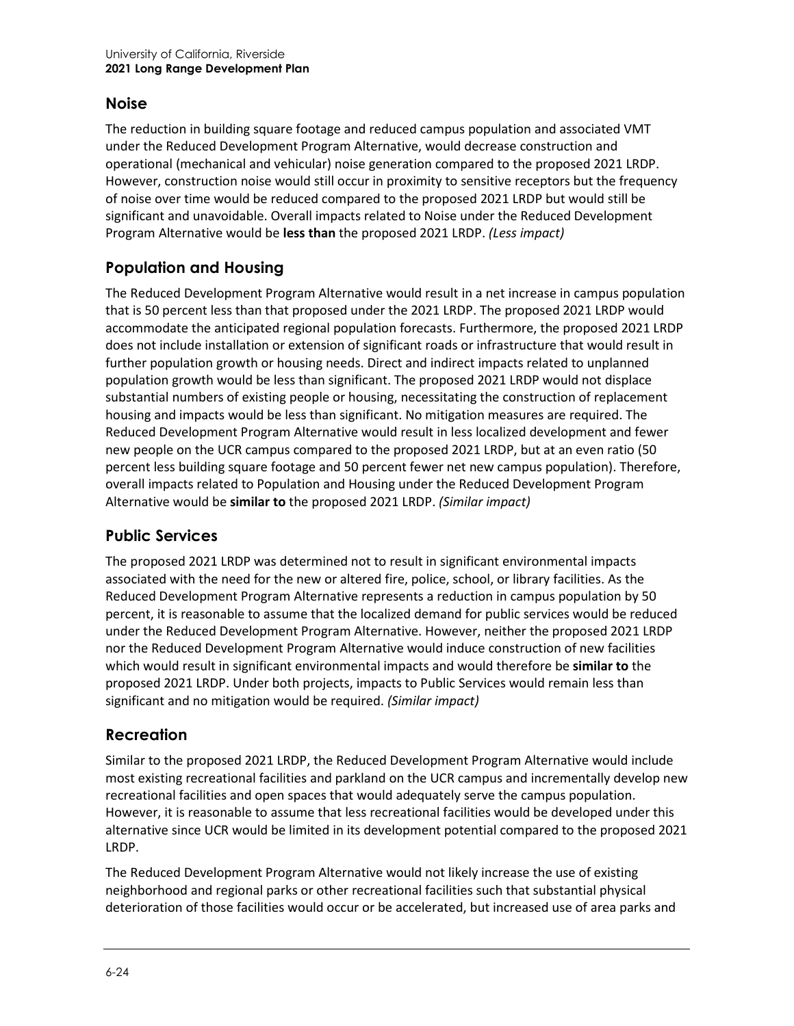#### **Noise**

The reduction in building square footage and reduced campus population and associated VMT under the Reduced Development Program Alternative, would decrease construction and operational (mechanical and vehicular) noise generation compared to the proposed 2021 LRDP. However, construction noise would still occur in proximity to sensitive receptors but the frequency of noise over time would be reduced compared to the proposed 2021 LRDP but would still be significant and unavoidable. Overall impacts related to Noise under the Reduced Development Program Alternative would be **less than** the proposed 2021 LRDP. *(Less impact)*

# **Population and Housing**

The Reduced Development Program Alternative would result in a net increase in campus population that is 50 percent less than that proposed under the 2021 LRDP. The proposed 2021 LRDP would accommodate the anticipated regional population forecasts. Furthermore, the proposed 2021 LRDP does not include installation or extension of significant roads or infrastructure that would result in further population growth or housing needs. Direct and indirect impacts related to unplanned population growth would be less than significant. The proposed 2021 LRDP would not displace substantial numbers of existing people or housing, necessitating the construction of replacement housing and impacts would be less than significant. No mitigation measures are required. The Reduced Development Program Alternative would result in less localized development and fewer new people on the UCR campus compared to the proposed 2021 LRDP, but at an even ratio (50 percent less building square footage and 50 percent fewer net new campus population). Therefore, overall impacts related to Population and Housing under the Reduced Development Program Alternative would be **similar to** the proposed 2021 LRDP. *(Similar impact)*

#### **Public Services**

The proposed 2021 LRDP was determined not to result in significant environmental impacts associated with the need for the new or altered fire, police, school, or library facilities. As the Reduced Development Program Alternative represents a reduction in campus population by 50 percent, it is reasonable to assume that the localized demand for public services would be reduced under the Reduced Development Program Alternative. However, neither the proposed 2021 LRDP nor the Reduced Development Program Alternative would induce construction of new facilities which would result in significant environmental impacts and would therefore be **similar to** the proposed 2021 LRDP. Under both projects, impacts to Public Services would remain less than significant and no mitigation would be required. *(Similar impact)*

#### **Recreation**

Similar to the proposed 2021 LRDP, the Reduced Development Program Alternative would include most existing recreational facilities and parkland on the UCR campus and incrementally develop new recreational facilities and open spaces that would adequately serve the campus population. However, it is reasonable to assume that less recreational facilities would be developed under this alternative since UCR would be limited in its development potential compared to the proposed 2021 LRDP.

The Reduced Development Program Alternative would not likely increase the use of existing neighborhood and regional parks or other recreational facilities such that substantial physical deterioration of those facilities would occur or be accelerated, but increased use of area parks and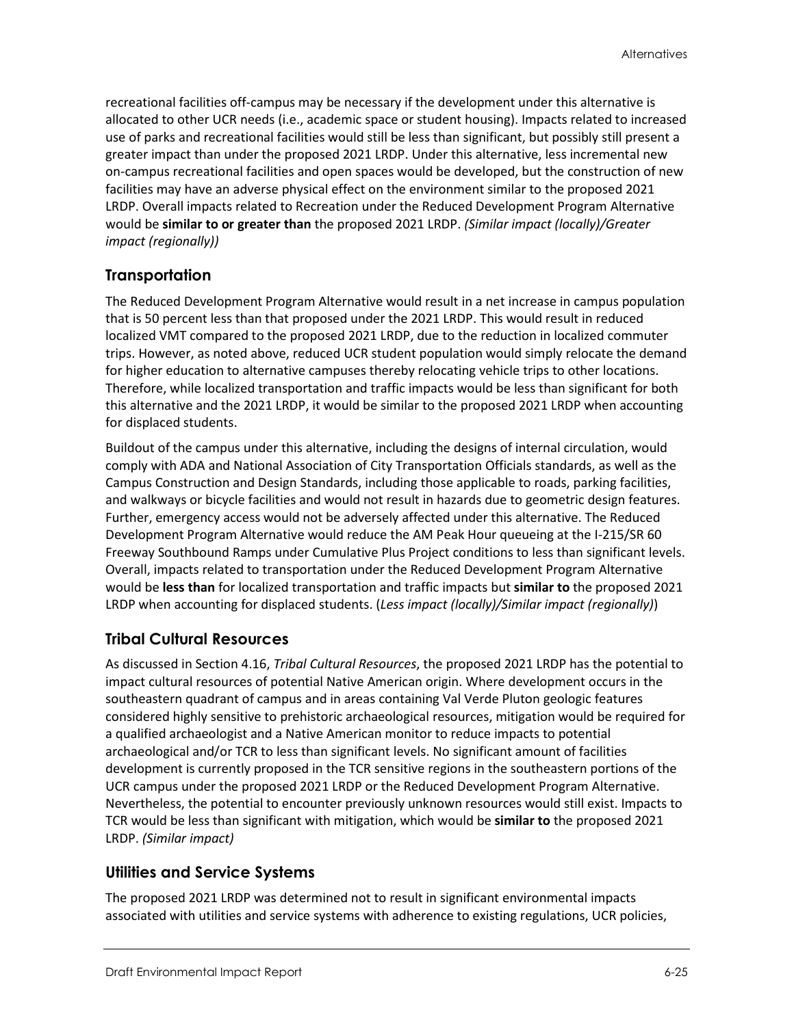recreational facilities off-campus may be necessary if the development under this alternative is allocated to other UCR needs (i.e., academic space or student housing). Impacts related to increased use of parks and recreational facilities would still be less than significant, but possibly still present a greater impact than under the proposed 2021 LRDP. Under this alternative, less incremental new on-campus recreational facilities and open spaces would be developed, but the construction of new facilities may have an adverse physical effect on the environment similar to the proposed 2021 LRDP. Overall impacts related to Recreation under the Reduced Development Program Alternative would be **similar to or greater than** the proposed 2021 LRDP. *(Similar impact (locally)/Greater impact (regionally))*

#### **Transportation**

The Reduced Development Program Alternative would result in a net increase in campus population that is 50 percent less than that proposed under the 2021 LRDP. This would result in reduced localized VMT compared to the proposed 2021 LRDP, due to the reduction in localized commuter trips. However, as noted above, reduced UCR student population would simply relocate the demand for higher education to alternative campuses thereby relocating vehicle trips to other locations. Therefore, while localized transportation and traffic impacts would be less than significant for both this alternative and the 2021 LRDP, it would be similar to the proposed 2021 LRDP when accounting for displaced students.

Buildout of the campus under this alternative, including the designs of internal circulation, would comply with ADA and National Association of City Transportation Officials standards, as well as the Campus Construction and Design Standards, including those applicable to roads, parking facilities, and walkways or bicycle facilities and would not result in hazards due to geometric design features. Further, emergency access would not be adversely affected under this alternative. The Reduced Development Program Alternative would reduce the AM Peak Hour queueing at the I-215/SR 60 Freeway Southbound Ramps under Cumulative Plus Project conditions to less than significant levels. Overall, impacts related to transportation under the Reduced Development Program Alternative would be **less than** for localized transportation and traffic impacts but **similar to** the proposed 2021 LRDP when accounting for displaced students. (*Less impact (locally)/Similar impact (regionally)*)

#### **Tribal Cultural Resources**

As discussed in Section 4.16, *Tribal Cultural Resources*, the proposed 2021 LRDP has the potential to impact cultural resources of potential Native American origin. Where development occurs in the southeastern quadrant of campus and in areas containing Val Verde Pluton geologic features considered highly sensitive to prehistoric archaeological resources, mitigation would be required for a qualified archaeologist and a Native American monitor to reduce impacts to potential archaeological and/or TCR to less than significant levels. No significant amount of facilities development is currently proposed in the TCR sensitive regions in the southeastern portions of the UCR campus under the proposed 2021 LRDP or the Reduced Development Program Alternative. Nevertheless, the potential to encounter previously unknown resources would still exist. Impacts to TCR would be less than significant with mitigation, which would be **similar to** the proposed 2021 LRDP. *(Similar impact)*

#### **Utilities and Service Systems**

The proposed 2021 LRDP was determined not to result in significant environmental impacts associated with utilities and service systems with adherence to existing regulations, UCR policies,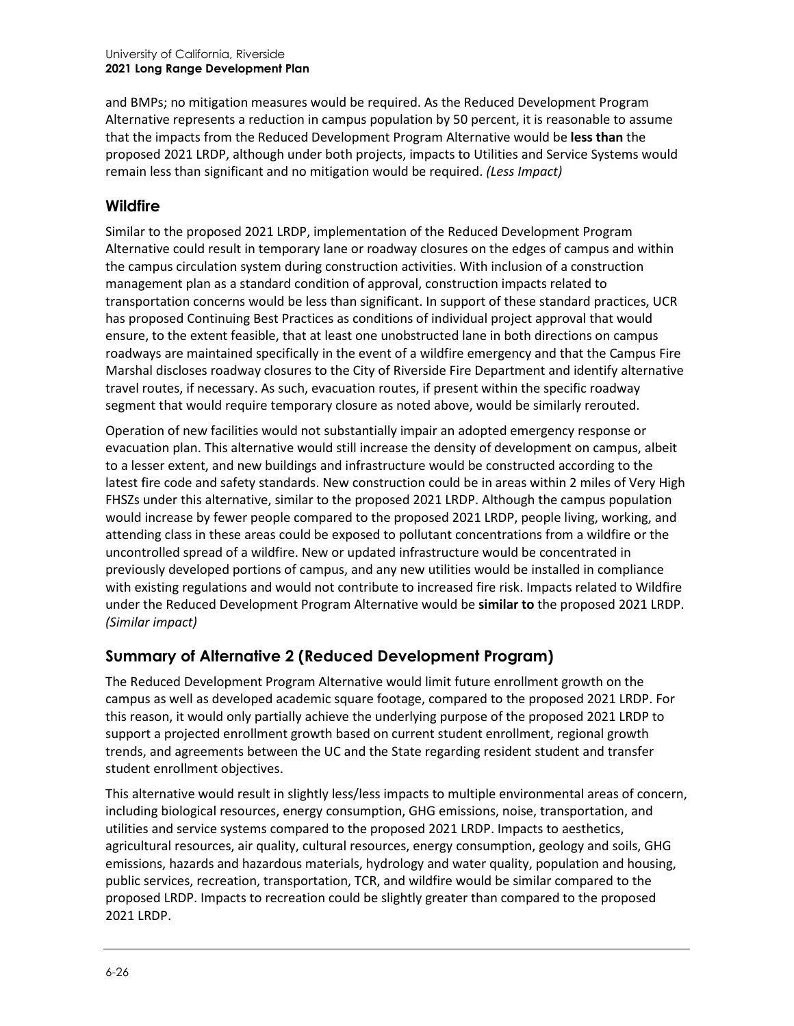and BMPs; no mitigation measures would be required. As the Reduced Development Program Alternative represents a reduction in campus population by 50 percent, it is reasonable to assume that the impacts from the Reduced Development Program Alternative would be **less than** the proposed 2021 LRDP, although under both projects, impacts to Utilities and Service Systems would remain less than significant and no mitigation would be required. *(Less Impact)*

#### **Wildfire**

Similar to the proposed 2021 LRDP, implementation of the Reduced Development Program Alternative could result in temporary lane or roadway closures on the edges of campus and within the campus circulation system during construction activities. With inclusion of a construction management plan as a standard condition of approval, construction impacts related to transportation concerns would be less than significant. In support of these standard practices, UCR has proposed Continuing Best Practices as conditions of individual project approval that would ensure, to the extent feasible, that at least one unobstructed lane in both directions on campus roadways are maintained specifically in the event of a wildfire emergency and that the Campus Fire Marshal discloses roadway closures to the City of Riverside Fire Department and identify alternative travel routes, if necessary. As such, evacuation routes, if present within the specific roadway segment that would require temporary closure as noted above, would be similarly rerouted.

Operation of new facilities would not substantially impair an adopted emergency response or evacuation plan. This alternative would still increase the density of development on campus, albeit to a lesser extent, and new buildings and infrastructure would be constructed according to the latest fire code and safety standards. New construction could be in areas within 2 miles of Very High FHSZs under this alternative, similar to the proposed 2021 LRDP. Although the campus population would increase by fewer people compared to the proposed 2021 LRDP, people living, working, and attending class in these areas could be exposed to pollutant concentrations from a wildfire or the uncontrolled spread of a wildfire. New or updated infrastructure would be concentrated in previously developed portions of campus, and any new utilities would be installed in compliance with existing regulations and would not contribute to increased fire risk. Impacts related to Wildfire under the Reduced Development Program Alternative would be **similar to** the proposed 2021 LRDP. *(Similar impact)*

# **Summary of Alternative 2 (Reduced Development Program)**

The Reduced Development Program Alternative would limit future enrollment growth on the campus as well as developed academic square footage, compared to the proposed 2021 LRDP. For this reason, it would only partially achieve the underlying purpose of the proposed 2021 LRDP to support a projected enrollment growth based on current student enrollment, regional growth trends, and agreements between the UC and the State regarding resident student and transfer student enrollment objectives.

This alternative would result in slightly less/less impacts to multiple environmental areas of concern, including biological resources, energy consumption, GHG emissions, noise, transportation, and utilities and service systems compared to the proposed 2021 LRDP. Impacts to aesthetics, agricultural resources, air quality, cultural resources, energy consumption, geology and soils, GHG emissions, hazards and hazardous materials, hydrology and water quality, population and housing, public services, recreation, transportation, TCR, and wildfire would be similar compared to the proposed LRDP. Impacts to recreation could be slightly greater than compared to the proposed 2021 LRDP.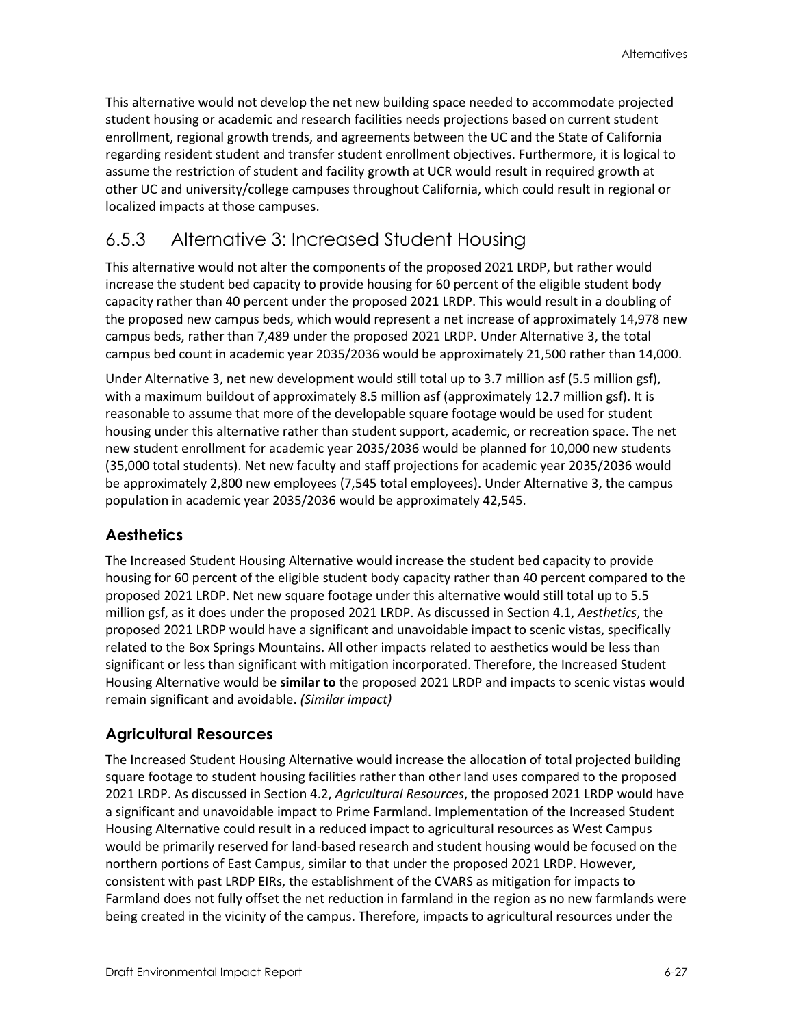This alternative would not develop the net new building space needed to accommodate projected student housing or academic and research facilities needs projections based on current student enrollment, regional growth trends, and agreements between the UC and the State of California regarding resident student and transfer student enrollment objectives. Furthermore, it is logical to assume the restriction of student and facility growth at UCR would result in required growth at other UC and university/college campuses throughout California, which could result in regional or localized impacts at those campuses.

# 6.5.3 Alternative 3: Increased Student Housing

This alternative would not alter the components of the proposed 2021 LRDP, but rather would increase the student bed capacity to provide housing for 60 percent of the eligible student body capacity rather than 40 percent under the proposed 2021 LRDP. This would result in a doubling of the proposed new campus beds, which would represent a net increase of approximately 14,978 new campus beds, rather than 7,489 under the proposed 2021 LRDP. Under Alternative 3, the total campus bed count in academic year 2035/2036 would be approximately 21,500 rather than 14,000.

Under Alternative 3, net new development would still total up to 3.7 million asf (5.5 million gsf), with a maximum buildout of approximately 8.5 million asf (approximately 12.7 million gsf). It is reasonable to assume that more of the developable square footage would be used for student housing under this alternative rather than student support, academic, or recreation space. The net new student enrollment for academic year 2035/2036 would be planned for 10,000 new students (35,000 total students). Net new faculty and staff projections for academic year 2035/2036 would be approximately 2,800 new employees (7,545 total employees). Under Alternative 3, the campus population in academic year 2035/2036 would be approximately 42,545.

# **Aesthetics**

The Increased Student Housing Alternative would increase the student bed capacity to provide housing for 60 percent of the eligible student body capacity rather than 40 percent compared to the proposed 2021 LRDP. Net new square footage under this alternative would still total up to 5.5 million gsf, as it does under the proposed 2021 LRDP. As discussed in Section 4.1, *Aesthetics*, the proposed 2021 LRDP would have a significant and unavoidable impact to scenic vistas, specifically related to the Box Springs Mountains. All other impacts related to aesthetics would be less than significant or less than significant with mitigation incorporated. Therefore, the Increased Student Housing Alternative would be **similar to** the proposed 2021 LRDP and impacts to scenic vistas would remain significant and avoidable. *(Similar impact)*

# **Agricultural Resources**

The Increased Student Housing Alternative would increase the allocation of total projected building square footage to student housing facilities rather than other land uses compared to the proposed 2021 LRDP. As discussed in Section 4.2, *Agricultural Resources*, the proposed 2021 LRDP would have a significant and unavoidable impact to Prime Farmland. Implementation of the Increased Student Housing Alternative could result in a reduced impact to agricultural resources as West Campus would be primarily reserved for land-based research and student housing would be focused on the northern portions of East Campus, similar to that under the proposed 2021 LRDP. However, consistent with past LRDP EIRs, the establishment of the CVARS as mitigation for impacts to Farmland does not fully offset the net reduction in farmland in the region as no new farmlands were being created in the vicinity of the campus. Therefore, impacts to agricultural resources under the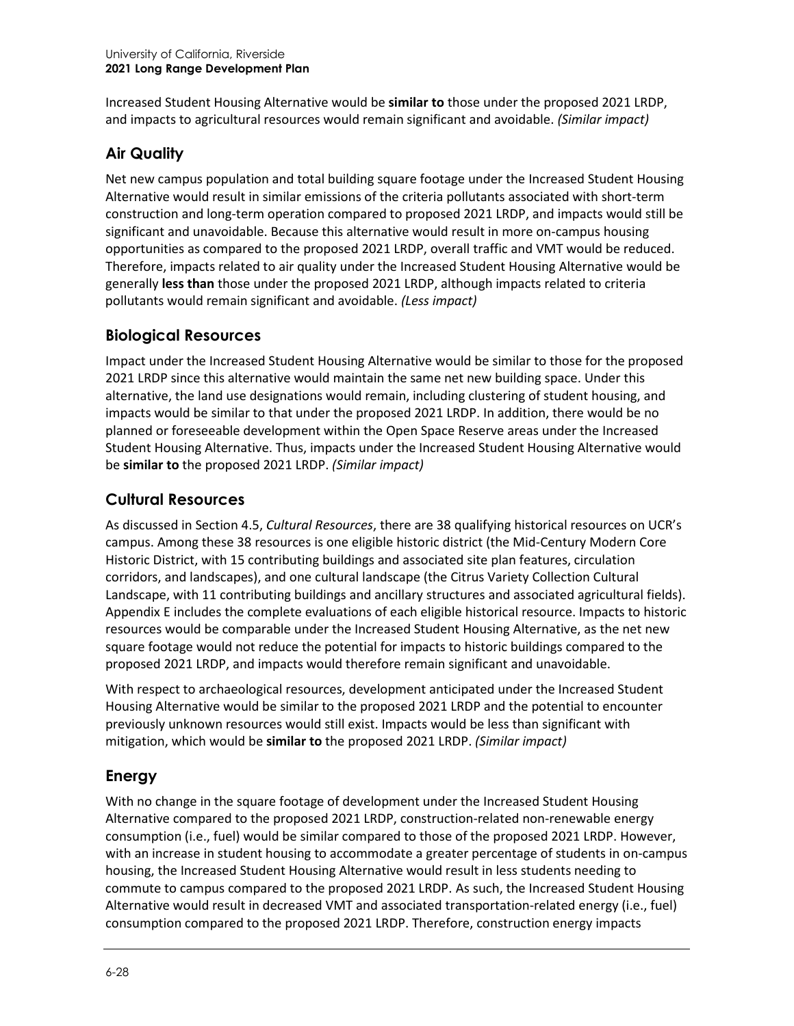Increased Student Housing Alternative would be **similar to** those under the proposed 2021 LRDP, and impacts to agricultural resources would remain significant and avoidable. *(Similar impact)*

### **Air Quality**

Net new campus population and total building square footage under the Increased Student Housing Alternative would result in similar emissions of the criteria pollutants associated with short-term construction and long-term operation compared to proposed 2021 LRDP, and impacts would still be significant and unavoidable. Because this alternative would result in more on-campus housing opportunities as compared to the proposed 2021 LRDP, overall traffic and VMT would be reduced. Therefore, impacts related to air quality under the Increased Student Housing Alternative would be generally **less than** those under the proposed 2021 LRDP, although impacts related to criteria pollutants would remain significant and avoidable. *(Less impact)*

### **Biological Resources**

Impact under the Increased Student Housing Alternative would be similar to those for the proposed 2021 LRDP since this alternative would maintain the same net new building space. Under this alternative, the land use designations would remain, including clustering of student housing, and impacts would be similar to that under the proposed 2021 LRDP. In addition, there would be no planned or foreseeable development within the Open Space Reserve areas under the Increased Student Housing Alternative. Thus, impacts under the Increased Student Housing Alternative would be **similar to** the proposed 2021 LRDP. *(Similar impact)*

### **Cultural Resources**

As discussed in Section 4.5, *Cultural Resources*, there are 38 qualifying historical resources on UCR's campus. Among these 38 resources is one eligible historic district (the Mid-Century Modern Core Historic District, with 15 contributing buildings and associated site plan features, circulation corridors, and landscapes), and one cultural landscape (the Citrus Variety Collection Cultural Landscape, with 11 contributing buildings and ancillary structures and associated agricultural fields). Appendix E includes the complete evaluations of each eligible historical resource. Impacts to historic resources would be comparable under the Increased Student Housing Alternative, as the net new square footage would not reduce the potential for impacts to historic buildings compared to the proposed 2021 LRDP, and impacts would therefore remain significant and unavoidable.

With respect to archaeological resources, development anticipated under the Increased Student Housing Alternative would be similar to the proposed 2021 LRDP and the potential to encounter previously unknown resources would still exist. Impacts would be less than significant with mitigation, which would be **similar to** the proposed 2021 LRDP. *(Similar impact)*

#### **Energy**

With no change in the square footage of development under the Increased Student Housing Alternative compared to the proposed 2021 LRDP, construction-related non-renewable energy consumption (i.e., fuel) would be similar compared to those of the proposed 2021 LRDP. However, with an increase in student housing to accommodate a greater percentage of students in on-campus housing, the Increased Student Housing Alternative would result in less students needing to commute to campus compared to the proposed 2021 LRDP. As such, the Increased Student Housing Alternative would result in decreased VMT and associated transportation-related energy (i.e., fuel) consumption compared to the proposed 2021 LRDP. Therefore, construction energy impacts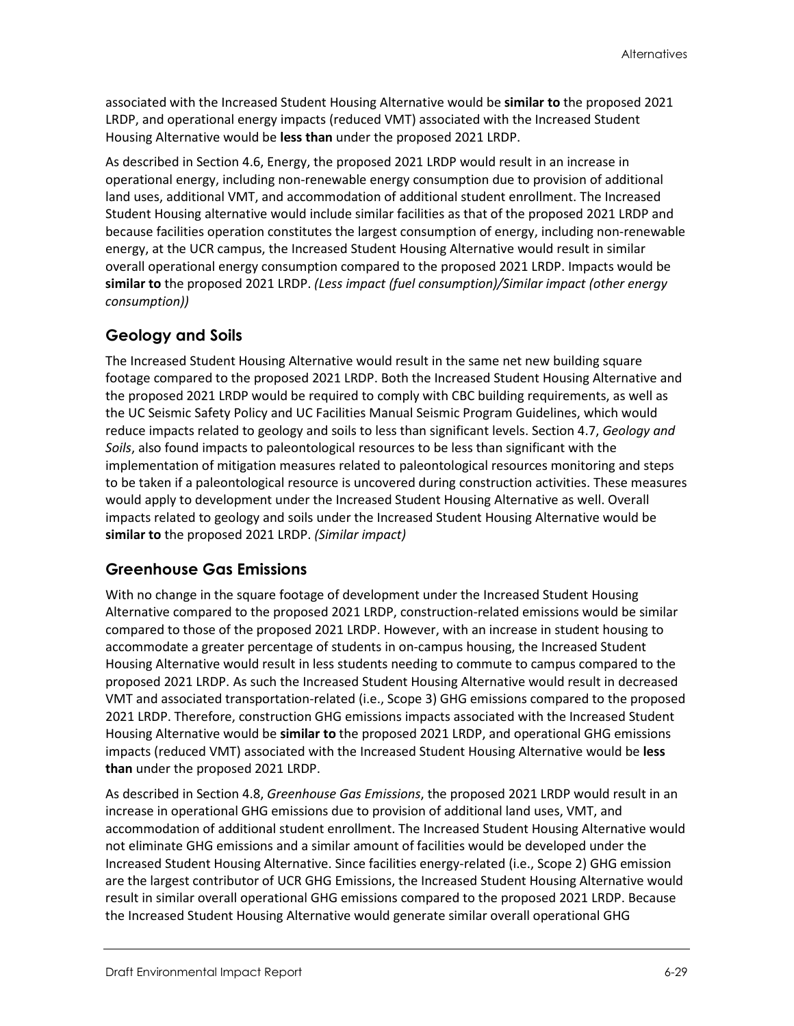associated with the Increased Student Housing Alternative would be **similar to** the proposed 2021 LRDP, and operational energy impacts (reduced VMT) associated with the Increased Student Housing Alternative would be **less than** under the proposed 2021 LRDP.

As described in Section 4.6, Energy, the proposed 2021 LRDP would result in an increase in operational energy, including non-renewable energy consumption due to provision of additional land uses, additional VMT, and accommodation of additional student enrollment. The Increased Student Housing alternative would include similar facilities as that of the proposed 2021 LRDP and because facilities operation constitutes the largest consumption of energy, including non-renewable energy, at the UCR campus, the Increased Student Housing Alternative would result in similar overall operational energy consumption compared to the proposed 2021 LRDP. Impacts would be **similar to** the proposed 2021 LRDP. *(Less impact (fuel consumption)/Similar impact (other energy consumption))*

# **Geology and Soils**

The Increased Student Housing Alternative would result in the same net new building square footage compared to the proposed 2021 LRDP. Both the Increased Student Housing Alternative and the proposed 2021 LRDP would be required to comply with CBC building requirements, as well as the UC Seismic Safety Policy and UC Facilities Manual Seismic Program Guidelines, which would reduce impacts related to geology and soils to less than significant levels. Section 4.7, *Geology and Soils*, also found impacts to paleontological resources to be less than significant with the implementation of mitigation measures related to paleontological resources monitoring and steps to be taken if a paleontological resource is uncovered during construction activities. These measures would apply to development under the Increased Student Housing Alternative as well. Overall impacts related to geology and soils under the Increased Student Housing Alternative would be **similar to** the proposed 2021 LRDP. *(Similar impact)*

# **Greenhouse Gas Emissions**

With no change in the square footage of development under the Increased Student Housing Alternative compared to the proposed 2021 LRDP, construction-related emissions would be similar compared to those of the proposed 2021 LRDP. However, with an increase in student housing to accommodate a greater percentage of students in on-campus housing, the Increased Student Housing Alternative would result in less students needing to commute to campus compared to the proposed 2021 LRDP. As such the Increased Student Housing Alternative would result in decreased VMT and associated transportation-related (i.e., Scope 3) GHG emissions compared to the proposed 2021 LRDP. Therefore, construction GHG emissions impacts associated with the Increased Student Housing Alternative would be **similar to** the proposed 2021 LRDP, and operational GHG emissions impacts (reduced VMT) associated with the Increased Student Housing Alternative would be **less than** under the proposed 2021 LRDP.

As described in Section 4.8, *Greenhouse Gas Emissions*, the proposed 2021 LRDP would result in an increase in operational GHG emissions due to provision of additional land uses, VMT, and accommodation of additional student enrollment. The Increased Student Housing Alternative would not eliminate GHG emissions and a similar amount of facilities would be developed under the Increased Student Housing Alternative. Since facilities energy-related (i.e., Scope 2) GHG emission are the largest contributor of UCR GHG Emissions, the Increased Student Housing Alternative would result in similar overall operational GHG emissions compared to the proposed 2021 LRDP. Because the Increased Student Housing Alternative would generate similar overall operational GHG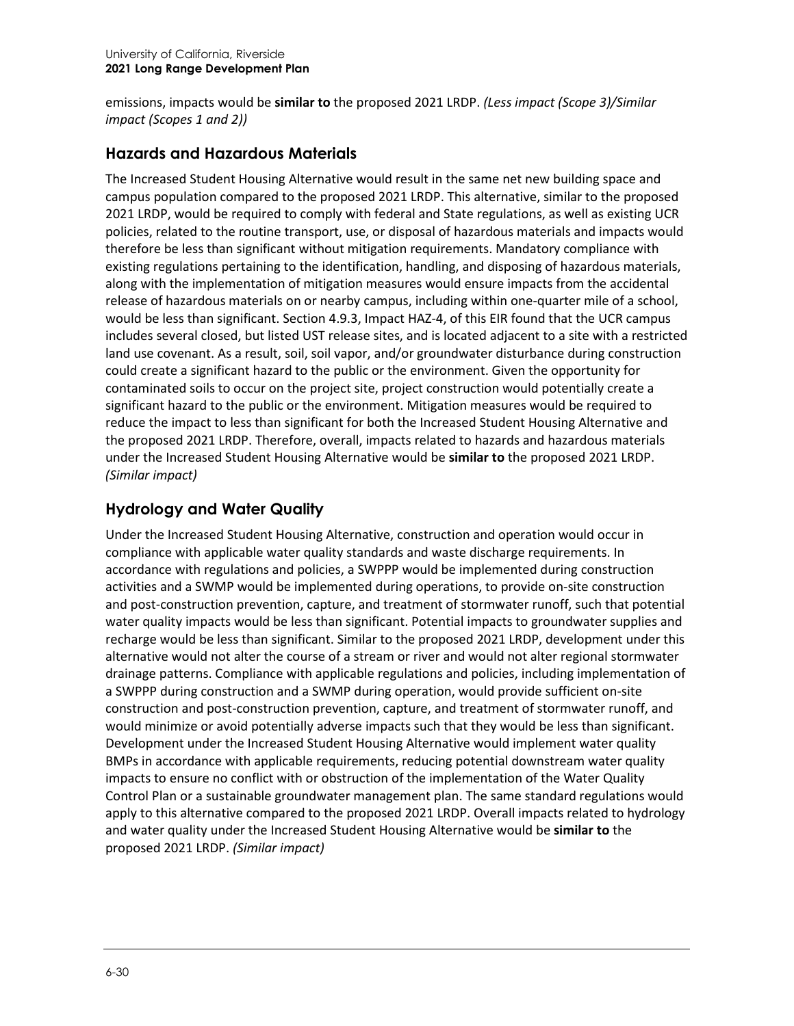emissions, impacts would be **similar to** the proposed 2021 LRDP. *(Less impact (Scope 3)/Similar impact (Scopes 1 and 2))*

#### **Hazards and Hazardous Materials**

The Increased Student Housing Alternative would result in the same net new building space and campus population compared to the proposed 2021 LRDP. This alternative, similar to the proposed 2021 LRDP, would be required to comply with federal and State regulations, as well as existing UCR policies, related to the routine transport, use, or disposal of hazardous materials and impacts would therefore be less than significant without mitigation requirements. Mandatory compliance with existing regulations pertaining to the identification, handling, and disposing of hazardous materials, along with the implementation of mitigation measures would ensure impacts from the accidental release of hazardous materials on or nearby campus, including within one-quarter mile of a school, would be less than significant. Section 4.9.3, Impact HAZ-4, of this EIR found that the UCR campus includes several closed, but listed UST release sites, and is located adjacent to a site with a restricted land use covenant. As a result, soil, soil vapor, and/or groundwater disturbance during construction could create a significant hazard to the public or the environment. Given the opportunity for contaminated soils to occur on the project site, project construction would potentially create a significant hazard to the public or the environment. Mitigation measures would be required to reduce the impact to less than significant for both the Increased Student Housing Alternative and the proposed 2021 LRDP. Therefore, overall, impacts related to hazards and hazardous materials under the Increased Student Housing Alternative would be **similar to** the proposed 2021 LRDP. *(Similar impact)*

#### **Hydrology and Water Quality**

Under the Increased Student Housing Alternative, construction and operation would occur in compliance with applicable water quality standards and waste discharge requirements. In accordance with regulations and policies, a SWPPP would be implemented during construction activities and a SWMP would be implemented during operations, to provide on-site construction and post-construction prevention, capture, and treatment of stormwater runoff, such that potential water quality impacts would be less than significant. Potential impacts to groundwater supplies and recharge would be less than significant. Similar to the proposed 2021 LRDP, development under this alternative would not alter the course of a stream or river and would not alter regional stormwater drainage patterns. Compliance with applicable regulations and policies, including implementation of a SWPPP during construction and a SWMP during operation, would provide sufficient on-site construction and post-construction prevention, capture, and treatment of stormwater runoff, and would minimize or avoid potentially adverse impacts such that they would be less than significant. Development under the Increased Student Housing Alternative would implement water quality BMPs in accordance with applicable requirements, reducing potential downstream water quality impacts to ensure no conflict with or obstruction of the implementation of the Water Quality Control Plan or a sustainable groundwater management plan. The same standard regulations would apply to this alternative compared to the proposed 2021 LRDP. Overall impacts related to hydrology and water quality under the Increased Student Housing Alternative would be **similar to** the proposed 2021 LRDP. *(Similar impact)*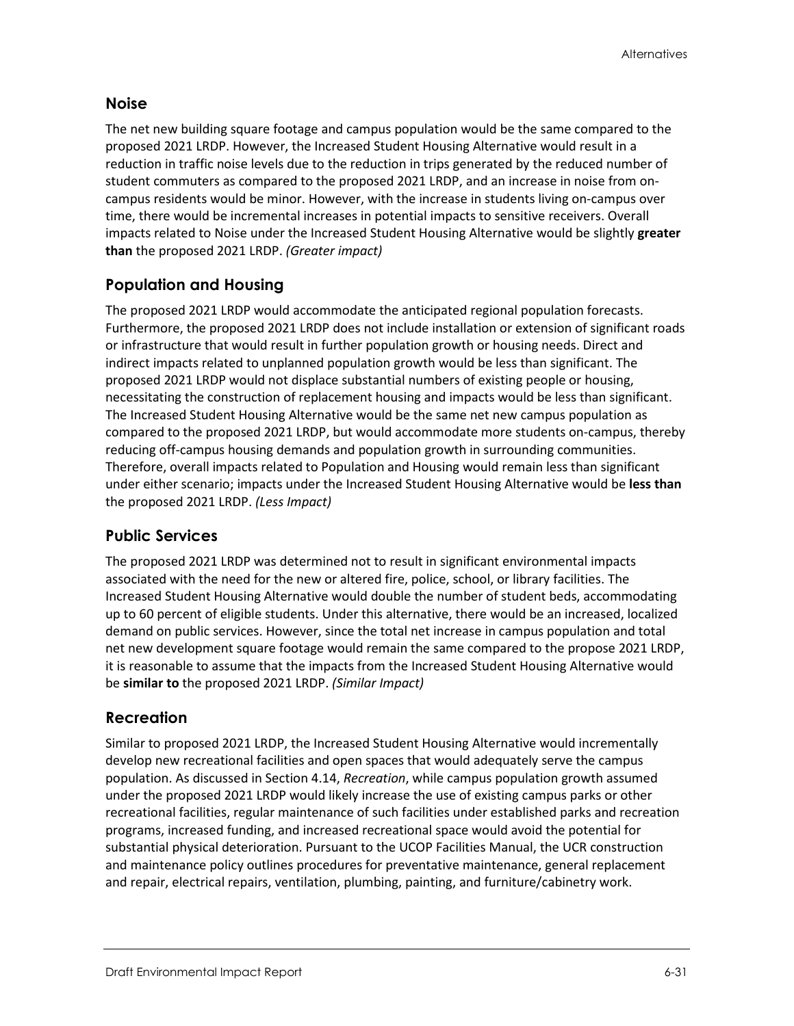#### **Noise**

The net new building square footage and campus population would be the same compared to the proposed 2021 LRDP. However, the Increased Student Housing Alternative would result in a reduction in traffic noise levels due to the reduction in trips generated by the reduced number of student commuters as compared to the proposed 2021 LRDP, and an increase in noise from oncampus residents would be minor. However, with the increase in students living on-campus over time, there would be incremental increases in potential impacts to sensitive receivers. Overall impacts related to Noise under the Increased Student Housing Alternative would be slightly **greater than** the proposed 2021 LRDP. *(Greater impact)*

### **Population and Housing**

The proposed 2021 LRDP would accommodate the anticipated regional population forecasts. Furthermore, the proposed 2021 LRDP does not include installation or extension of significant roads or infrastructure that would result in further population growth or housing needs. Direct and indirect impacts related to unplanned population growth would be less than significant. The proposed 2021 LRDP would not displace substantial numbers of existing people or housing, necessitating the construction of replacement housing and impacts would be less than significant. The Increased Student Housing Alternative would be the same net new campus population as compared to the proposed 2021 LRDP, but would accommodate more students on-campus, thereby reducing off-campus housing demands and population growth in surrounding communities. Therefore, overall impacts related to Population and Housing would remain less than significant under either scenario; impacts under the Increased Student Housing Alternative would be **less than** the proposed 2021 LRDP. *(Less Impact)*

#### **Public Services**

The proposed 2021 LRDP was determined not to result in significant environmental impacts associated with the need for the new or altered fire, police, school, or library facilities. The Increased Student Housing Alternative would double the number of student beds, accommodating up to 60 percent of eligible students. Under this alternative, there would be an increased, localized demand on public services. However, since the total net increase in campus population and total net new development square footage would remain the same compared to the propose 2021 LRDP, it is reasonable to assume that the impacts from the Increased Student Housing Alternative would be **similar to** the proposed 2021 LRDP. *(Similar Impact)*

#### **Recreation**

Similar to proposed 2021 LRDP, the Increased Student Housing Alternative would incrementally develop new recreational facilities and open spaces that would adequately serve the campus population. As discussed in Section 4.14, *Recreation*, while campus population growth assumed under the proposed 2021 LRDP would likely increase the use of existing campus parks or other recreational facilities, regular maintenance of such facilities under established parks and recreation programs, increased funding, and increased recreational space would avoid the potential for substantial physical deterioration. Pursuant to the UCOP Facilities Manual, the UCR construction and maintenance policy outlines procedures for preventative maintenance, general replacement and repair, electrical repairs, ventilation, plumbing, painting, and furniture/cabinetry work.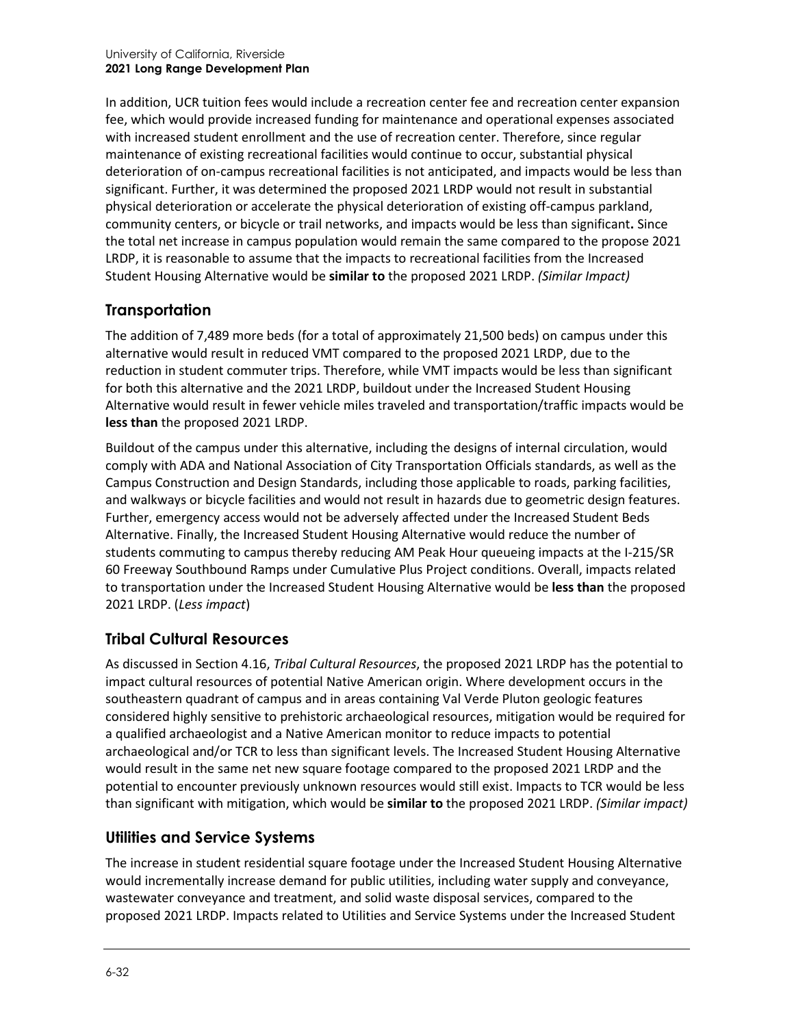In addition, UCR tuition fees would include a recreation center fee and recreation center expansion fee, which would provide increased funding for maintenance and operational expenses associated with increased student enrollment and the use of recreation center. Therefore, since regular maintenance of existing recreational facilities would continue to occur, substantial physical deterioration of on-campus recreational facilities is not anticipated, and impacts would be less than significant. Further, it was determined the proposed 2021 LRDP would not result in substantial physical deterioration or accelerate the physical deterioration of existing off-campus parkland, community centers, or bicycle or trail networks, and impacts would be less than significant**.** Since the total net increase in campus population would remain the same compared to the propose 2021 LRDP, it is reasonable to assume that the impacts to recreational facilities from the Increased Student Housing Alternative would be **similar to** the proposed 2021 LRDP. *(Similar Impact)*

# **Transportation**

The addition of 7,489 more beds (for a total of approximately 21,500 beds) on campus under this alternative would result in reduced VMT compared to the proposed 2021 LRDP, due to the reduction in student commuter trips. Therefore, while VMT impacts would be less than significant for both this alternative and the 2021 LRDP, buildout under the Increased Student Housing Alternative would result in fewer vehicle miles traveled and transportation/traffic impacts would be **less than** the proposed 2021 LRDP.

Buildout of the campus under this alternative, including the designs of internal circulation, would comply with ADA and National Association of City Transportation Officials standards, as well as the Campus Construction and Design Standards, including those applicable to roads, parking facilities, and walkways or bicycle facilities and would not result in hazards due to geometric design features. Further, emergency access would not be adversely affected under the Increased Student Beds Alternative. Finally, the Increased Student Housing Alternative would reduce the number of students commuting to campus thereby reducing AM Peak Hour queueing impacts at the I-215/SR 60 Freeway Southbound Ramps under Cumulative Plus Project conditions. Overall, impacts related to transportation under the Increased Student Housing Alternative would be **less than** the proposed 2021 LRDP. (*Less impact*)

# **Tribal Cultural Resources**

As discussed in Section 4.16, *Tribal Cultural Resources*, the proposed 2021 LRDP has the potential to impact cultural resources of potential Native American origin. Where development occurs in the southeastern quadrant of campus and in areas containing Val Verde Pluton geologic features considered highly sensitive to prehistoric archaeological resources, mitigation would be required for a qualified archaeologist and a Native American monitor to reduce impacts to potential archaeological and/or TCR to less than significant levels. The Increased Student Housing Alternative would result in the same net new square footage compared to the proposed 2021 LRDP and the potential to encounter previously unknown resources would still exist. Impacts to TCR would be less than significant with mitigation, which would be **similar to** the proposed 2021 LRDP. *(Similar impact)*

# **Utilities and Service Systems**

The increase in student residential square footage under the Increased Student Housing Alternative would incrementally increase demand for public utilities, including water supply and conveyance, wastewater conveyance and treatment, and solid waste disposal services, compared to the proposed 2021 LRDP. Impacts related to Utilities and Service Systems under the Increased Student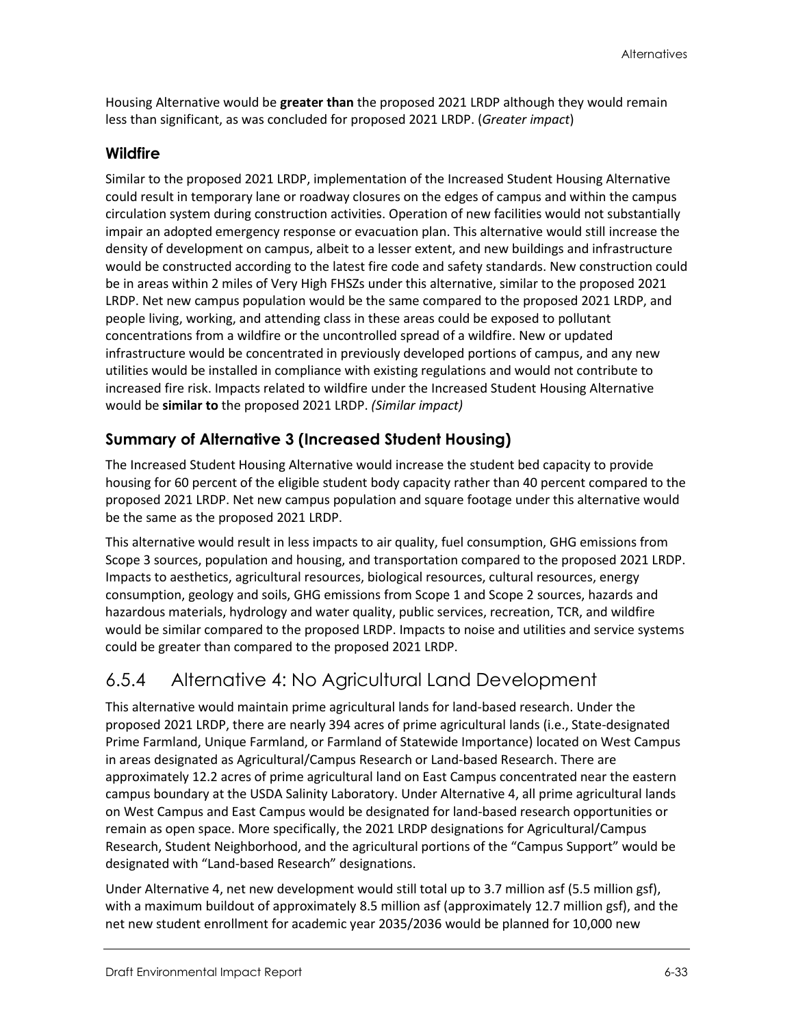Housing Alternative would be **greater than** the proposed 2021 LRDP although they would remain less than significant, as was concluded for proposed 2021 LRDP. (*Greater impact*)

#### **Wildfire**

Similar to the proposed 2021 LRDP, implementation of the Increased Student Housing Alternative could result in temporary lane or roadway closures on the edges of campus and within the campus circulation system during construction activities. Operation of new facilities would not substantially impair an adopted emergency response or evacuation plan. This alternative would still increase the density of development on campus, albeit to a lesser extent, and new buildings and infrastructure would be constructed according to the latest fire code and safety standards. New construction could be in areas within 2 miles of Very High FHSZs under this alternative, similar to the proposed 2021 LRDP. Net new campus population would be the same compared to the proposed 2021 LRDP, and people living, working, and attending class in these areas could be exposed to pollutant concentrations from a wildfire or the uncontrolled spread of a wildfire. New or updated infrastructure would be concentrated in previously developed portions of campus, and any new utilities would be installed in compliance with existing regulations and would not contribute to increased fire risk. Impacts related to wildfire under the Increased Student Housing Alternative would be **similar to** the proposed 2021 LRDP. *(Similar impact)*

### **Summary of Alternative 3 (Increased Student Housing)**

The Increased Student Housing Alternative would increase the student bed capacity to provide housing for 60 percent of the eligible student body capacity rather than 40 percent compared to the proposed 2021 LRDP. Net new campus population and square footage under this alternative would be the same as the proposed 2021 LRDP.

This alternative would result in less impacts to air quality, fuel consumption, GHG emissions from Scope 3 sources, population and housing, and transportation compared to the proposed 2021 LRDP. Impacts to aesthetics, agricultural resources, biological resources, cultural resources, energy consumption, geology and soils, GHG emissions from Scope 1 and Scope 2 sources, hazards and hazardous materials, hydrology and water quality, public services, recreation, TCR, and wildfire would be similar compared to the proposed LRDP. Impacts to noise and utilities and service systems could be greater than compared to the proposed 2021 LRDP.

# 6.5.4 Alternative 4: No Agricultural Land Development

This alternative would maintain prime agricultural lands for land-based research. Under the proposed 2021 LRDP, there are nearly 394 acres of prime agricultural lands (i.e., State-designated Prime Farmland, Unique Farmland, or Farmland of Statewide Importance) located on West Campus in areas designated as Agricultural/Campus Research or Land-based Research. There are approximately 12.2 acres of prime agricultural land on East Campus concentrated near the eastern campus boundary at the USDA Salinity Laboratory. Under Alternative 4, all prime agricultural lands on West Campus and East Campus would be designated for land-based research opportunities or remain as open space. More specifically, the 2021 LRDP designations for Agricultural/Campus Research, Student Neighborhood, and the agricultural portions of the "Campus Support" would be designated with "Land-based Research" designations.

Under Alternative 4, net new development would still total up to 3.7 million asf (5.5 million gsf), with a maximum buildout of approximately 8.5 million asf (approximately 12.7 million gsf), and the net new student enrollment for academic year 2035/2036 would be planned for 10,000 new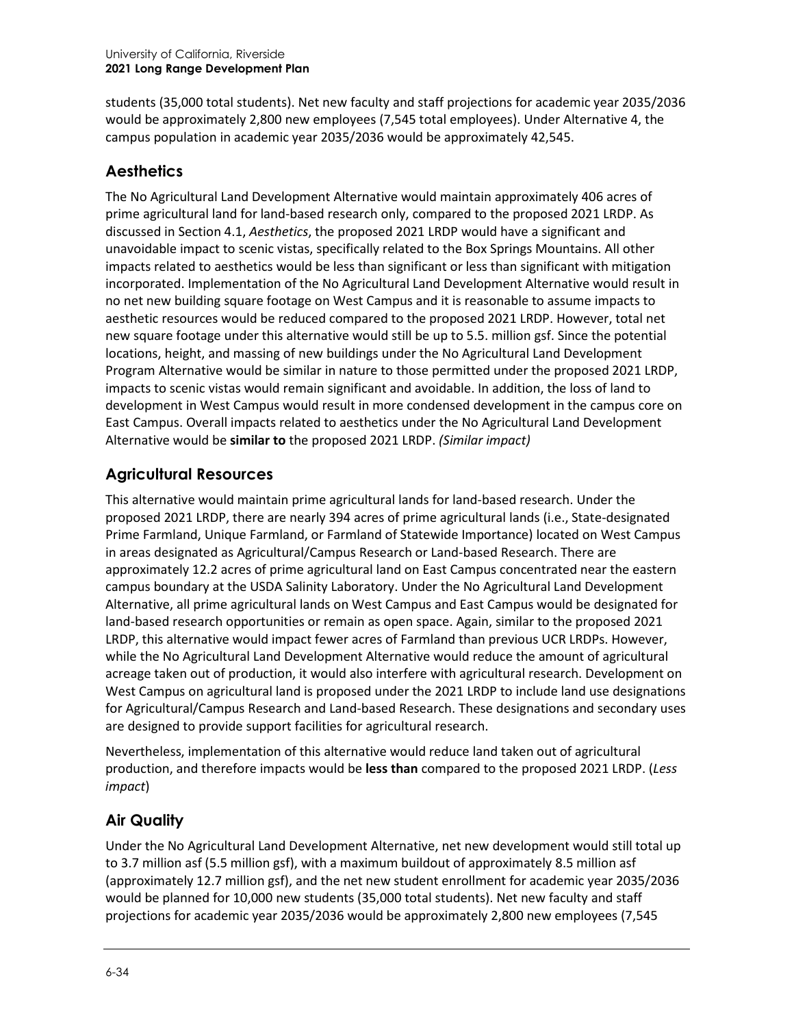students (35,000 total students). Net new faculty and staff projections for academic year 2035/2036 would be approximately 2,800 new employees (7,545 total employees). Under Alternative 4, the campus population in academic year 2035/2036 would be approximately 42,545.

#### **Aesthetics**

The No Agricultural Land Development Alternative would maintain approximately 406 acres of prime agricultural land for land-based research only, compared to the proposed 2021 LRDP. As discussed in Section 4.1, *Aesthetics*, the proposed 2021 LRDP would have a significant and unavoidable impact to scenic vistas, specifically related to the Box Springs Mountains. All other impacts related to aesthetics would be less than significant or less than significant with mitigation incorporated. Implementation of the No Agricultural Land Development Alternative would result in no net new building square footage on West Campus and it is reasonable to assume impacts to aesthetic resources would be reduced compared to the proposed 2021 LRDP. However, total net new square footage under this alternative would still be up to 5.5. million gsf. Since the potential locations, height, and massing of new buildings under the No Agricultural Land Development Program Alternative would be similar in nature to those permitted under the proposed 2021 LRDP, impacts to scenic vistas would remain significant and avoidable. In addition, the loss of land to development in West Campus would result in more condensed development in the campus core on East Campus. Overall impacts related to aesthetics under the No Agricultural Land Development Alternative would be **similar to** the proposed 2021 LRDP. *(Similar impact)*

### **Agricultural Resources**

This alternative would maintain prime agricultural lands for land-based research. Under the proposed 2021 LRDP, there are nearly 394 acres of prime agricultural lands (i.e., State-designated Prime Farmland, Unique Farmland, or Farmland of Statewide Importance) located on West Campus in areas designated as Agricultural/Campus Research or Land-based Research. There are approximately 12.2 acres of prime agricultural land on East Campus concentrated near the eastern campus boundary at the USDA Salinity Laboratory. Under the No Agricultural Land Development Alternative, all prime agricultural lands on West Campus and East Campus would be designated for land-based research opportunities or remain as open space. Again, similar to the proposed 2021 LRDP, this alternative would impact fewer acres of Farmland than previous UCR LRDPs. However, while the No Agricultural Land Development Alternative would reduce the amount of agricultural acreage taken out of production, it would also interfere with agricultural research. Development on West Campus on agricultural land is proposed under the 2021 LRDP to include land use designations for Agricultural/Campus Research and Land-based Research. These designations and secondary uses are designed to provide support facilities for agricultural research.

Nevertheless, implementation of this alternative would reduce land taken out of agricultural production, and therefore impacts would be **less than** compared to the proposed 2021 LRDP. (*Less impact*)

#### **Air Quality**

Under the No Agricultural Land Development Alternative, net new development would still total up to 3.7 million asf (5.5 million gsf), with a maximum buildout of approximately 8.5 million asf (approximately 12.7 million gsf), and the net new student enrollment for academic year 2035/2036 would be planned for 10,000 new students (35,000 total students). Net new faculty and staff projections for academic year 2035/2036 would be approximately 2,800 new employees (7,545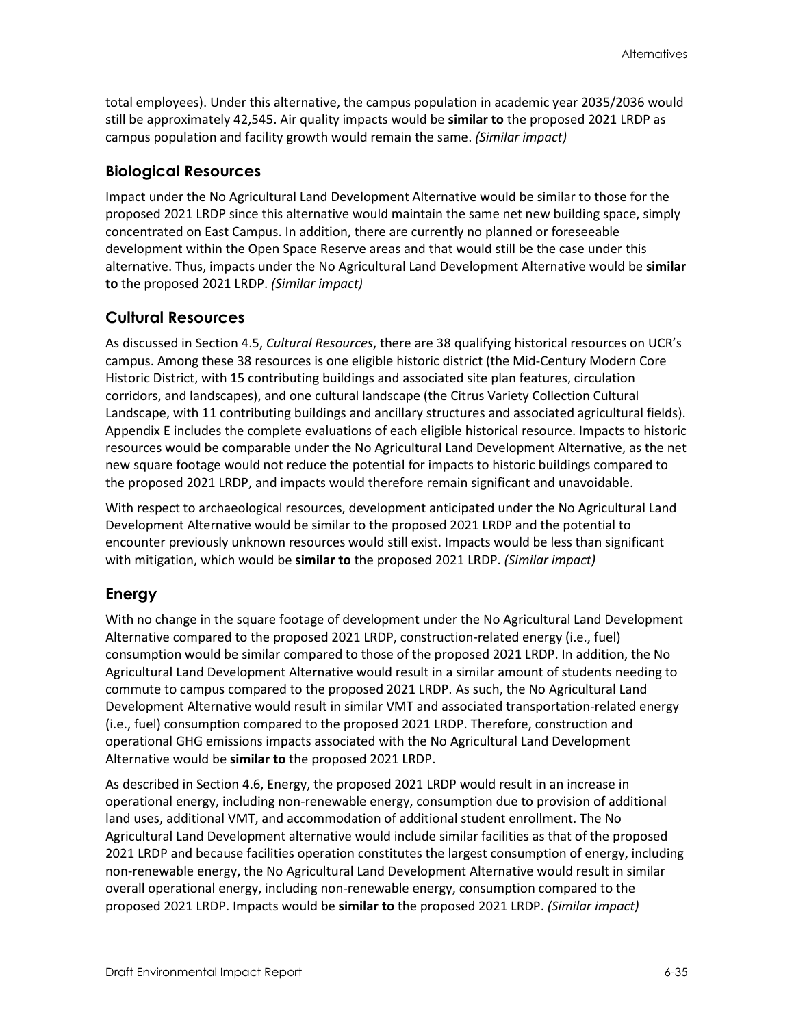total employees). Under this alternative, the campus population in academic year 2035/2036 would still be approximately 42,545. Air quality impacts would be **similar to** the proposed 2021 LRDP as campus population and facility growth would remain the same. *(Similar impact)*

#### **Biological Resources**

Impact under the No Agricultural Land Development Alternative would be similar to those for the proposed 2021 LRDP since this alternative would maintain the same net new building space, simply concentrated on East Campus. In addition, there are currently no planned or foreseeable development within the Open Space Reserve areas and that would still be the case under this alternative. Thus, impacts under the No Agricultural Land Development Alternative would be **similar to** the proposed 2021 LRDP. *(Similar impact)*

#### **Cultural Resources**

As discussed in Section 4.5, *Cultural Resources*, there are 38 qualifying historical resources on UCR's campus. Among these 38 resources is one eligible historic district (the Mid-Century Modern Core Historic District, with 15 contributing buildings and associated site plan features, circulation corridors, and landscapes), and one cultural landscape (the Citrus Variety Collection Cultural Landscape, with 11 contributing buildings and ancillary structures and associated agricultural fields). Appendix E includes the complete evaluations of each eligible historical resource. Impacts to historic resources would be comparable under the No Agricultural Land Development Alternative, as the net new square footage would not reduce the potential for impacts to historic buildings compared to the proposed 2021 LRDP, and impacts would therefore remain significant and unavoidable.

With respect to archaeological resources, development anticipated under the No Agricultural Land Development Alternative would be similar to the proposed 2021 LRDP and the potential to encounter previously unknown resources would still exist. Impacts would be less than significant with mitigation, which would be **similar to** the proposed 2021 LRDP. *(Similar impact)*

#### **Energy**

With no change in the square footage of development under the No Agricultural Land Development Alternative compared to the proposed 2021 LRDP, construction-related energy (i.e., fuel) consumption would be similar compared to those of the proposed 2021 LRDP. In addition, the No Agricultural Land Development Alternative would result in a similar amount of students needing to commute to campus compared to the proposed 2021 LRDP. As such, the No Agricultural Land Development Alternative would result in similar VMT and associated transportation-related energy (i.e., fuel) consumption compared to the proposed 2021 LRDP. Therefore, construction and operational GHG emissions impacts associated with the No Agricultural Land Development Alternative would be **similar to** the proposed 2021 LRDP.

As described in Section 4.6, Energy, the proposed 2021 LRDP would result in an increase in operational energy, including non-renewable energy, consumption due to provision of additional land uses, additional VMT, and accommodation of additional student enrollment. The No Agricultural Land Development alternative would include similar facilities as that of the proposed 2021 LRDP and because facilities operation constitutes the largest consumption of energy, including non-renewable energy, the No Agricultural Land Development Alternative would result in similar overall operational energy, including non-renewable energy, consumption compared to the proposed 2021 LRDP. Impacts would be **similar to** the proposed 2021 LRDP. *(Similar impact)*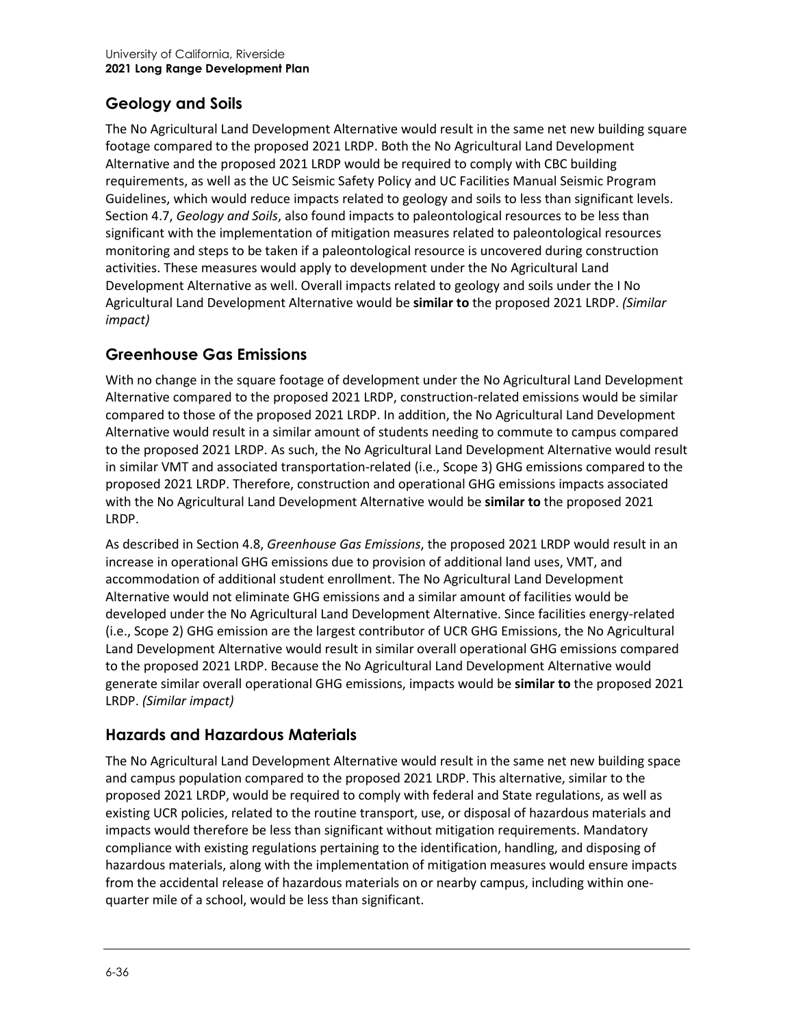# **Geology and Soils**

The No Agricultural Land Development Alternative would result in the same net new building square footage compared to the proposed 2021 LRDP. Both the No Agricultural Land Development Alternative and the proposed 2021 LRDP would be required to comply with CBC building requirements, as well as the UC Seismic Safety Policy and UC Facilities Manual Seismic Program Guidelines, which would reduce impacts related to geology and soils to less than significant levels. Section 4.7, *Geology and Soils*, also found impacts to paleontological resources to be less than significant with the implementation of mitigation measures related to paleontological resources monitoring and steps to be taken if a paleontological resource is uncovered during construction activities. These measures would apply to development under the No Agricultural Land Development Alternative as well. Overall impacts related to geology and soils under the I No Agricultural Land Development Alternative would be **similar to** the proposed 2021 LRDP. *(Similar impact)*

### **Greenhouse Gas Emissions**

With no change in the square footage of development under the No Agricultural Land Development Alternative compared to the proposed 2021 LRDP, construction-related emissions would be similar compared to those of the proposed 2021 LRDP. In addition, the No Agricultural Land Development Alternative would result in a similar amount of students needing to commute to campus compared to the proposed 2021 LRDP. As such, the No Agricultural Land Development Alternative would result in similar VMT and associated transportation-related (i.e., Scope 3) GHG emissions compared to the proposed 2021 LRDP. Therefore, construction and operational GHG emissions impacts associated with the No Agricultural Land Development Alternative would be **similar to** the proposed 2021 LRDP.

As described in Section 4.8, *Greenhouse Gas Emissions*, the proposed 2021 LRDP would result in an increase in operational GHG emissions due to provision of additional land uses, VMT, and accommodation of additional student enrollment. The No Agricultural Land Development Alternative would not eliminate GHG emissions and a similar amount of facilities would be developed under the No Agricultural Land Development Alternative. Since facilities energy-related (i.e., Scope 2) GHG emission are the largest contributor of UCR GHG Emissions, the No Agricultural Land Development Alternative would result in similar overall operational GHG emissions compared to the proposed 2021 LRDP. Because the No Agricultural Land Development Alternative would generate similar overall operational GHG emissions, impacts would be **similar to** the proposed 2021 LRDP. *(Similar impact)*

#### **Hazards and Hazardous Materials**

The No Agricultural Land Development Alternative would result in the same net new building space and campus population compared to the proposed 2021 LRDP. This alternative, similar to the proposed 2021 LRDP, would be required to comply with federal and State regulations, as well as existing UCR policies, related to the routine transport, use, or disposal of hazardous materials and impacts would therefore be less than significant without mitigation requirements. Mandatory compliance with existing regulations pertaining to the identification, handling, and disposing of hazardous materials, along with the implementation of mitigation measures would ensure impacts from the accidental release of hazardous materials on or nearby campus, including within onequarter mile of a school, would be less than significant.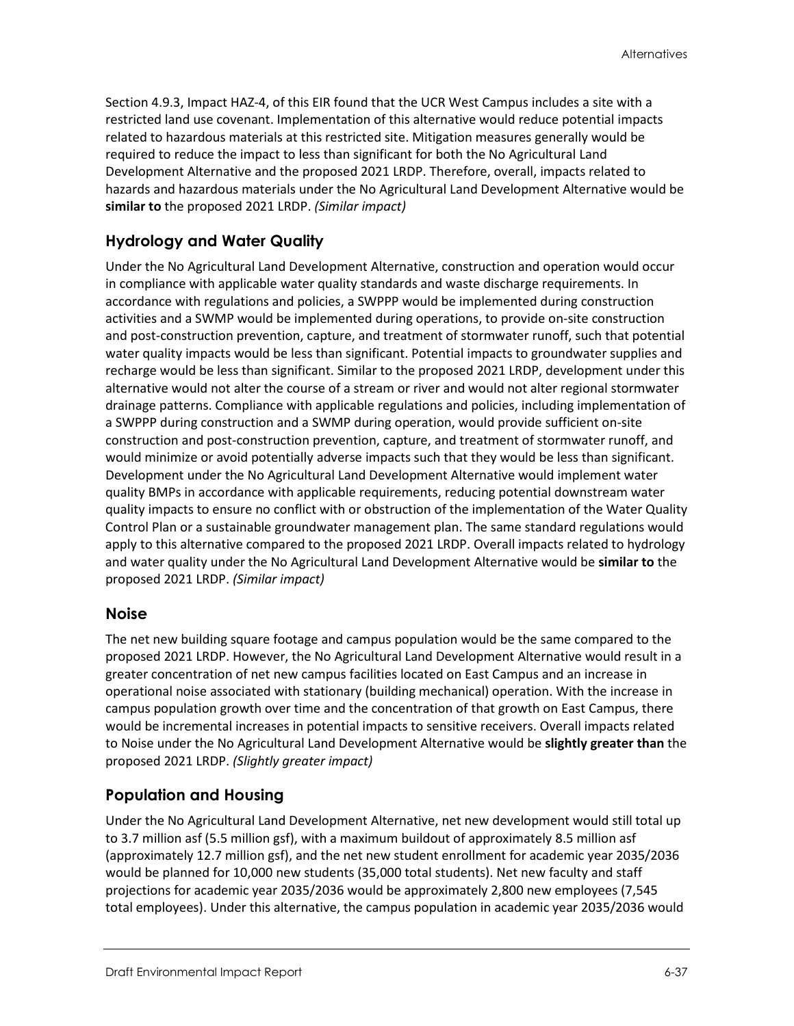Section 4.9.3, Impact HAZ-4, of this EIR found that the UCR West Campus includes a site with a restricted land use covenant. Implementation of this alternative would reduce potential impacts related to hazardous materials at this restricted site. Mitigation measures generally would be required to reduce the impact to less than significant for both the No Agricultural Land Development Alternative and the proposed 2021 LRDP. Therefore, overall, impacts related to hazards and hazardous materials under the No Agricultural Land Development Alternative would be **similar to** the proposed 2021 LRDP. *(Similar impact)*

### **Hydrology and Water Quality**

Under the No Agricultural Land Development Alternative, construction and operation would occur in compliance with applicable water quality standards and waste discharge requirements. In accordance with regulations and policies, a SWPPP would be implemented during construction activities and a SWMP would be implemented during operations, to provide on-site construction and post-construction prevention, capture, and treatment of stormwater runoff, such that potential water quality impacts would be less than significant. Potential impacts to groundwater supplies and recharge would be less than significant. Similar to the proposed 2021 LRDP, development under this alternative would not alter the course of a stream or river and would not alter regional stormwater drainage patterns. Compliance with applicable regulations and policies, including implementation of a SWPPP during construction and a SWMP during operation, would provide sufficient on-site construction and post-construction prevention, capture, and treatment of stormwater runoff, and would minimize or avoid potentially adverse impacts such that they would be less than significant. Development under the No Agricultural Land Development Alternative would implement water quality BMPs in accordance with applicable requirements, reducing potential downstream water quality impacts to ensure no conflict with or obstruction of the implementation of the Water Quality Control Plan or a sustainable groundwater management plan. The same standard regulations would apply to this alternative compared to the proposed 2021 LRDP. Overall impacts related to hydrology and water quality under the No Agricultural Land Development Alternative would be **similar to** the proposed 2021 LRDP. *(Similar impact)*

#### **Noise**

The net new building square footage and campus population would be the same compared to the proposed 2021 LRDP. However, the No Agricultural Land Development Alternative would result in a greater concentration of net new campus facilities located on East Campus and an increase in operational noise associated with stationary (building mechanical) operation. With the increase in campus population growth over time and the concentration of that growth on East Campus, there would be incremental increases in potential impacts to sensitive receivers. Overall impacts related to Noise under the No Agricultural Land Development Alternative would be **slightly greater than** the proposed 2021 LRDP. *(Slightly greater impact)*

#### **Population and Housing**

Under the No Agricultural Land Development Alternative, net new development would still total up to 3.7 million asf (5.5 million gsf), with a maximum buildout of approximately 8.5 million asf (approximately 12.7 million gsf), and the net new student enrollment for academic year 2035/2036 would be planned for 10,000 new students (35,000 total students). Net new faculty and staff projections for academic year 2035/2036 would be approximately 2,800 new employees (7,545 total employees). Under this alternative, the campus population in academic year 2035/2036 would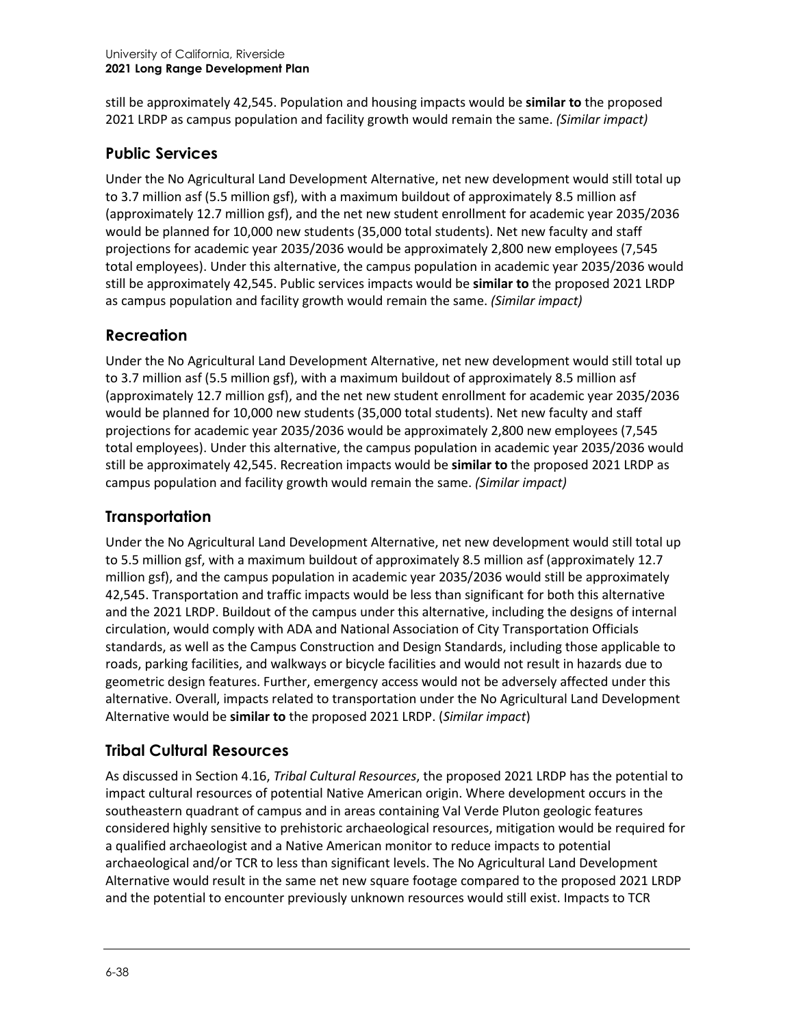still be approximately 42,545. Population and housing impacts would be **similar to** the proposed 2021 LRDP as campus population and facility growth would remain the same. *(Similar impact)*

#### **Public Services**

Under the No Agricultural Land Development Alternative, net new development would still total up to 3.7 million asf (5.5 million gsf), with a maximum buildout of approximately 8.5 million asf (approximately 12.7 million gsf), and the net new student enrollment for academic year 2035/2036 would be planned for 10,000 new students (35,000 total students). Net new faculty and staff projections for academic year 2035/2036 would be approximately 2,800 new employees (7,545 total employees). Under this alternative, the campus population in academic year 2035/2036 would still be approximately 42,545. Public services impacts would be **similar to** the proposed 2021 LRDP as campus population and facility growth would remain the same. *(Similar impact)*

### **Recreation**

Under the No Agricultural Land Development Alternative, net new development would still total up to 3.7 million asf (5.5 million gsf), with a maximum buildout of approximately 8.5 million asf (approximately 12.7 million gsf), and the net new student enrollment for academic year 2035/2036 would be planned for 10,000 new students (35,000 total students). Net new faculty and staff projections for academic year 2035/2036 would be approximately 2,800 new employees (7,545 total employees). Under this alternative, the campus population in academic year 2035/2036 would still be approximately 42,545. Recreation impacts would be **similar to** the proposed 2021 LRDP as campus population and facility growth would remain the same. *(Similar impact)*

## **Transportation**

Under the No Agricultural Land Development Alternative, net new development would still total up to 5.5 million gsf, with a maximum buildout of approximately 8.5 million asf (approximately 12.7 million gsf), and the campus population in academic year 2035/2036 would still be approximately 42,545. Transportation and traffic impacts would be less than significant for both this alternative and the 2021 LRDP. Buildout of the campus under this alternative, including the designs of internal circulation, would comply with ADA and National Association of City Transportation Officials standards, as well as the Campus Construction and Design Standards, including those applicable to roads, parking facilities, and walkways or bicycle facilities and would not result in hazards due to geometric design features. Further, emergency access would not be adversely affected under this alternative. Overall, impacts related to transportation under the No Agricultural Land Development Alternative would be **similar to** the proposed 2021 LRDP. (*Similar impact*)

# **Tribal Cultural Resources**

As discussed in Section 4.16, *Tribal Cultural Resources*, the proposed 2021 LRDP has the potential to impact cultural resources of potential Native American origin. Where development occurs in the southeastern quadrant of campus and in areas containing Val Verde Pluton geologic features considered highly sensitive to prehistoric archaeological resources, mitigation would be required for a qualified archaeologist and a Native American monitor to reduce impacts to potential archaeological and/or TCR to less than significant levels. The No Agricultural Land Development Alternative would result in the same net new square footage compared to the proposed 2021 LRDP and the potential to encounter previously unknown resources would still exist. Impacts to TCR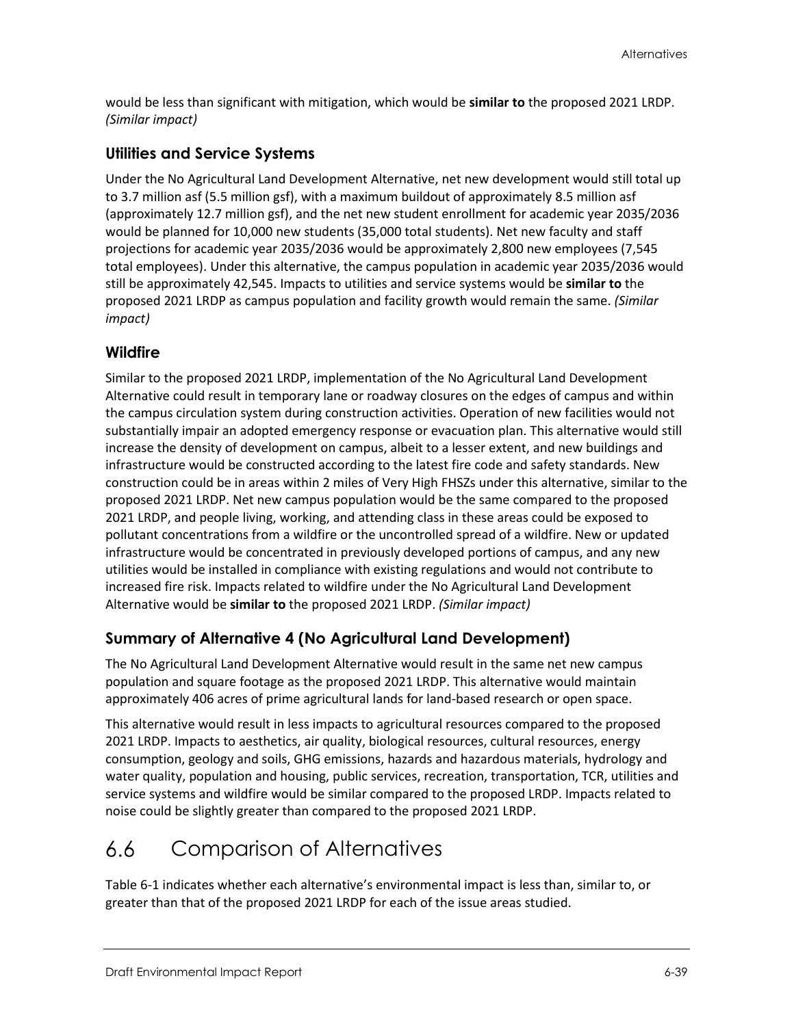would be less than significant with mitigation, which would be **similar to** the proposed 2021 LRDP. *(Similar impact)*

#### **Utilities and Service Systems**

Under the No Agricultural Land Development Alternative, net new development would still total up to 3.7 million asf (5.5 million gsf), with a maximum buildout of approximately 8.5 million asf (approximately 12.7 million gsf), and the net new student enrollment for academic year 2035/2036 would be planned for 10,000 new students (35,000 total students). Net new faculty and staff projections for academic year 2035/2036 would be approximately 2,800 new employees (7,545 total employees). Under this alternative, the campus population in academic year 2035/2036 would still be approximately 42,545. Impacts to utilities and service systems would be **similar to** the proposed 2021 LRDP as campus population and facility growth would remain the same. *(Similar impact)*

#### **Wildfire**

Similar to the proposed 2021 LRDP, implementation of the No Agricultural Land Development Alternative could result in temporary lane or roadway closures on the edges of campus and within the campus circulation system during construction activities. Operation of new facilities would not substantially impair an adopted emergency response or evacuation plan. This alternative would still increase the density of development on campus, albeit to a lesser extent, and new buildings and infrastructure would be constructed according to the latest fire code and safety standards. New construction could be in areas within 2 miles of Very High FHSZs under this alternative, similar to the proposed 2021 LRDP. Net new campus population would be the same compared to the proposed 2021 LRDP, and people living, working, and attending class in these areas could be exposed to pollutant concentrations from a wildfire or the uncontrolled spread of a wildfire. New or updated infrastructure would be concentrated in previously developed portions of campus, and any new utilities would be installed in compliance with existing regulations and would not contribute to increased fire risk. Impacts related to wildfire under the No Agricultural Land Development Alternative would be **similar to** the proposed 2021 LRDP. *(Similar impact)*

# **Summary of Alternative 4 (No Agricultural Land Development)**

The No Agricultural Land Development Alternative would result in the same net new campus population and square footage as the proposed 2021 LRDP. This alternative would maintain approximately 406 acres of prime agricultural lands for land-based research or open space.

This alternative would result in less impacts to agricultural resources compared to the proposed 2021 LRDP. Impacts to aesthetics, air quality, biological resources, cultural resources, energy consumption, geology and soils, GHG emissions, hazards and hazardous materials, hydrology and water quality, population and housing, public services, recreation, transportation, TCR, utilities and service systems and wildfire would be similar compared to the proposed LRDP. Impacts related to noise could be slightly greater than compared to the proposed 2021 LRDP.

#### $6.6$ Comparison of Alternatives

[Table 6-1](#page-39-0) indicates whether each alternative's environmental impact is less than, similar to, or greater than that of the proposed 2021 LRDP for each of the issue areas studied.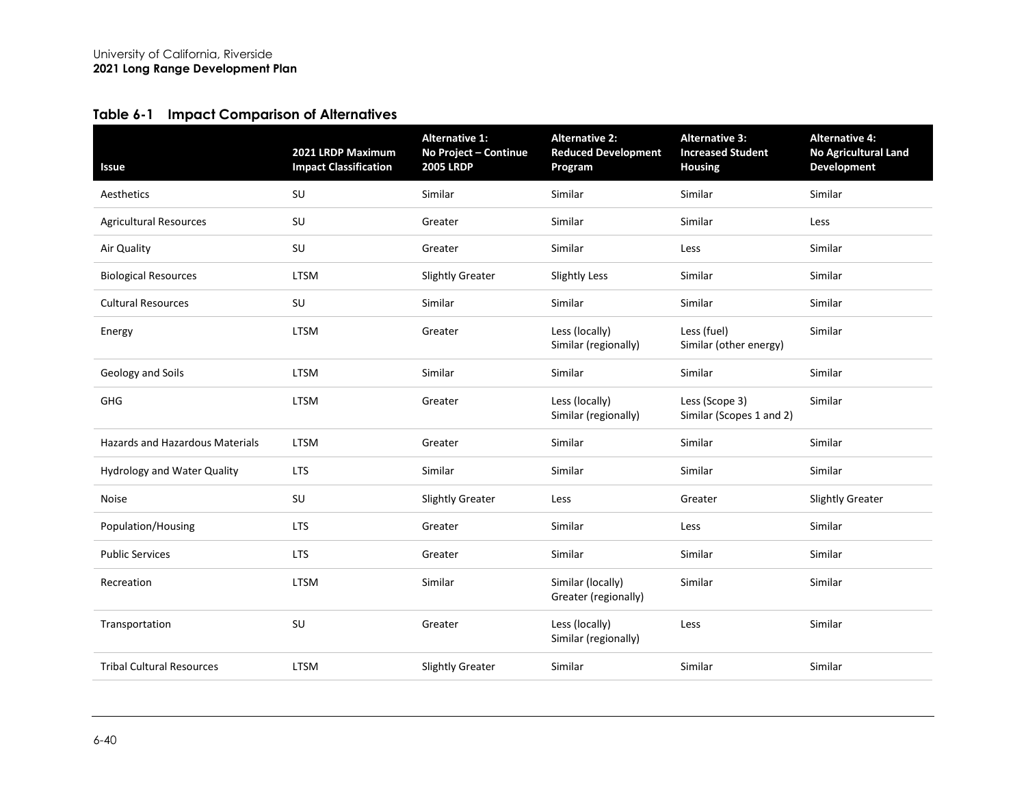### **Table 6-1 Impact Comparison of Alternatives**

<span id="page-39-0"></span>

| <b>Issue</b>                           | 2021 LRDP Maximum<br><b>Impact Classification</b> | <b>Alternative 1:</b><br>No Project - Continue<br><b>2005 LRDP</b> | <b>Alternative 2:</b><br><b>Reduced Development</b><br>Program | <b>Alternative 3:</b><br><b>Increased Student</b><br><b>Housing</b> | <b>Alternative 4:</b><br><b>No Agricultural Land</b><br><b>Development</b> |
|----------------------------------------|---------------------------------------------------|--------------------------------------------------------------------|----------------------------------------------------------------|---------------------------------------------------------------------|----------------------------------------------------------------------------|
| Aesthetics                             | SU                                                | Similar                                                            | Similar                                                        | Similar                                                             | Similar                                                                    |
| <b>Agricultural Resources</b>          | SU                                                | Greater                                                            | Similar                                                        | Similar                                                             | Less                                                                       |
| Air Quality                            | SU                                                | Greater                                                            | Similar                                                        | Less                                                                | Similar                                                                    |
| <b>Biological Resources</b>            | <b>LTSM</b>                                       | <b>Slightly Greater</b>                                            | <b>Slightly Less</b>                                           | Similar                                                             | Similar                                                                    |
| <b>Cultural Resources</b>              | SU                                                | Similar                                                            | Similar                                                        | Similar                                                             | Similar                                                                    |
| Energy                                 | <b>LTSM</b>                                       | Greater                                                            | Less (locally)<br>Similar (regionally)                         | Less (fuel)<br>Similar (other energy)                               | Similar                                                                    |
| Geology and Soils                      | <b>LTSM</b>                                       | Similar                                                            | Similar                                                        | Similar                                                             | Similar                                                                    |
| GHG                                    | <b>LTSM</b>                                       | Greater                                                            | Less (locally)<br>Similar (regionally)                         | Less (Scope 3)<br>Similar (Scopes 1 and 2)                          | Similar                                                                    |
| <b>Hazards and Hazardous Materials</b> | <b>LTSM</b>                                       | Greater                                                            | Similar                                                        | Similar                                                             | Similar                                                                    |
| <b>Hydrology and Water Quality</b>     | <b>LTS</b>                                        | Similar                                                            | Similar                                                        | Similar                                                             | Similar                                                                    |
| Noise                                  | SU                                                | <b>Slightly Greater</b>                                            | Less                                                           | Greater                                                             | <b>Slightly Greater</b>                                                    |
| Population/Housing                     | <b>LTS</b>                                        | Greater                                                            | Similar                                                        | Less                                                                | Similar                                                                    |
| <b>Public Services</b>                 | <b>LTS</b>                                        | Greater                                                            | Similar                                                        | Similar                                                             | Similar                                                                    |
| Recreation                             | LTSM                                              | Similar                                                            | Similar (locally)<br>Greater (regionally)                      | Similar                                                             | Similar                                                                    |
| Transportation                         | SU                                                | Greater                                                            | Less (locally)<br>Similar (regionally)                         | Less                                                                | Similar                                                                    |
| <b>Tribal Cultural Resources</b>       | <b>LTSM</b>                                       | <b>Slightly Greater</b>                                            | Similar                                                        | Similar                                                             | Similar                                                                    |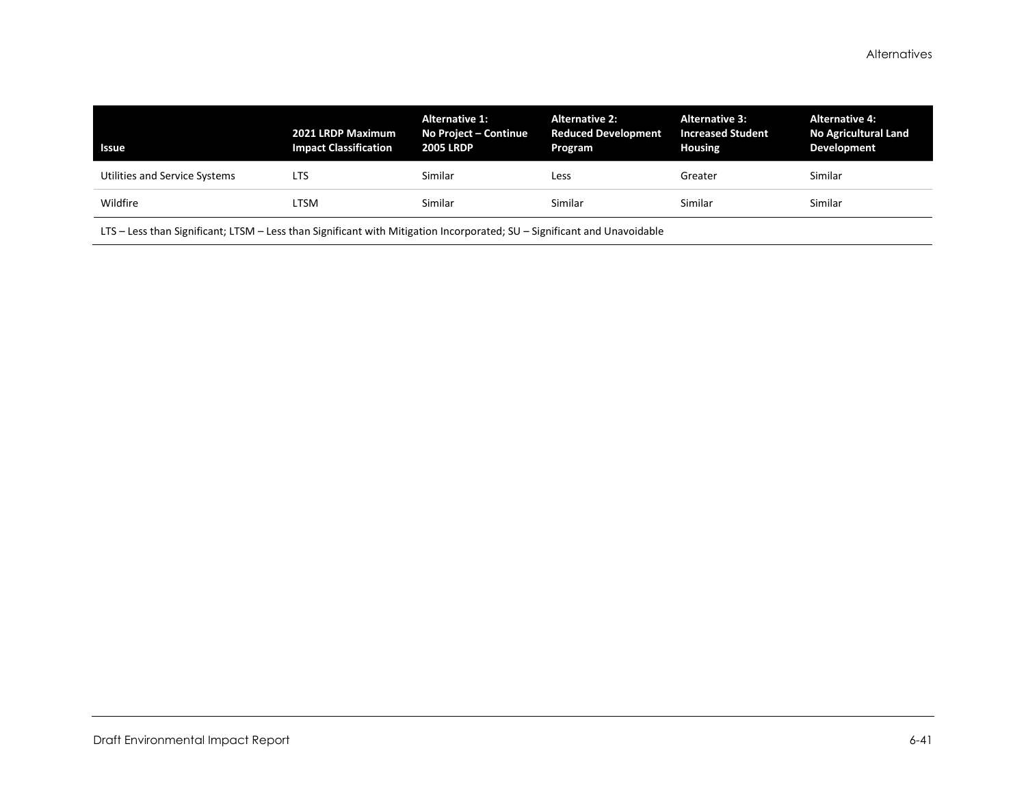| <b>Issue</b>                  | 2021 LRDP Maximum<br><b>Impact Classification</b> | <b>Alternative 1:</b><br>No Project - Continue<br><b>2005 LRDP</b> | <b>Alternative 2:</b><br><b>Reduced Development</b><br>Program | <b>Alternative 3:</b><br><b>Increased Student</b><br><b>Housing</b> | <b>Alternative 4:</b><br><b>No Agricultural Land</b><br><b>Development</b> |
|-------------------------------|---------------------------------------------------|--------------------------------------------------------------------|----------------------------------------------------------------|---------------------------------------------------------------------|----------------------------------------------------------------------------|
| Utilities and Service Systems | LTS                                               | Similar                                                            | Less                                                           | Greater                                                             | Similar                                                                    |
| Wildfire                      | LTSM                                              | Similar                                                            | Similar                                                        | Similar                                                             | Similar                                                                    |

LTS – Less than Significant; LTSM – Less than Significant with Mitigation Incorporated; SU – Significant and Unavoidable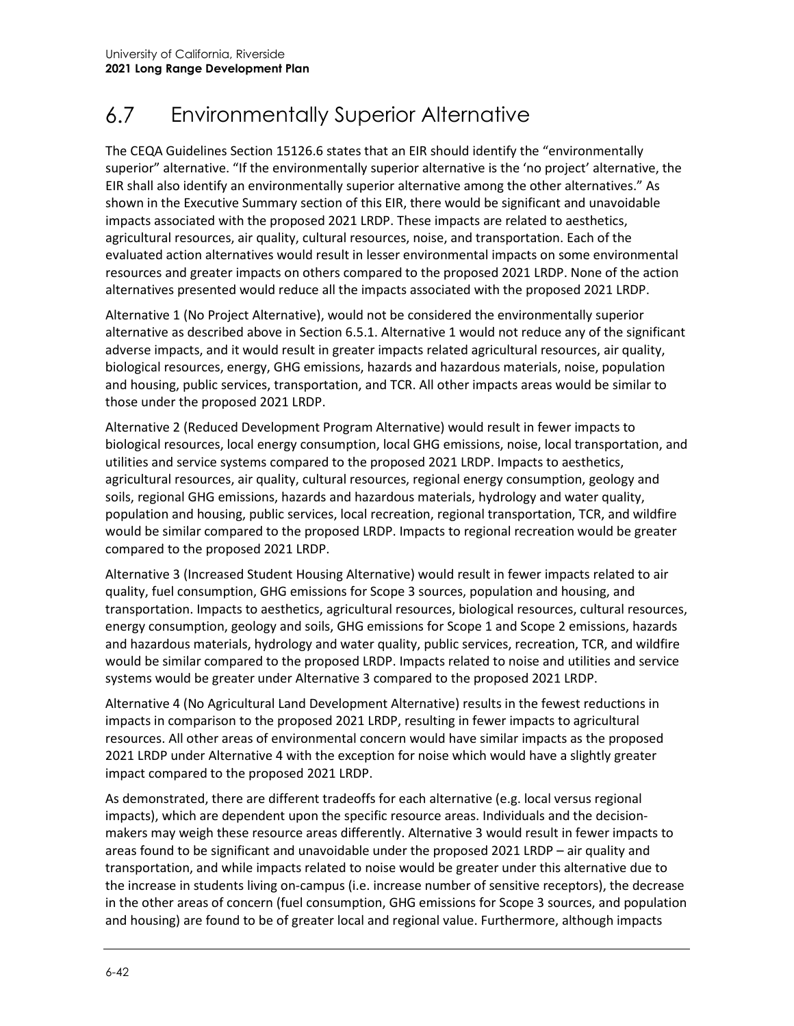#### $6.7$ Environmentally Superior Alternative

The CEQA Guidelines Section 15126.6 states that an EIR should identify the "environmentally superior" alternative. "If the environmentally superior alternative is the 'no project' alternative, the EIR shall also identify an environmentally superior alternative among the other alternatives." As shown in the Executive Summary section of this EIR, there would be significant and unavoidable impacts associated with the proposed 2021 LRDP. These impacts are related to aesthetics, agricultural resources, air quality, cultural resources, noise, and transportation. Each of the evaluated action alternatives would result in lesser environmental impacts on some environmental resources and greater impacts on others compared to the proposed 2021 LRDP. None of the action alternatives presented would reduce all the impacts associated with the proposed 2021 LRDP.

Alternative 1 (No Project Alternative), would not be considered the environmentally superior alternative as described above in Section 6.5.1. Alternative 1 would not reduce any of the significant adverse impacts, and it would result in greater impacts related agricultural resources, air quality, biological resources, energy, GHG emissions, hazards and hazardous materials, noise, population and housing, public services, transportation, and TCR. All other impacts areas would be similar to those under the proposed 2021 LRDP.

Alternative 2 (Reduced Development Program Alternative) would result in fewer impacts to biological resources, local energy consumption, local GHG emissions, noise, local transportation, and utilities and service systems compared to the proposed 2021 LRDP. Impacts to aesthetics, agricultural resources, air quality, cultural resources, regional energy consumption, geology and soils, regional GHG emissions, hazards and hazardous materials, hydrology and water quality, population and housing, public services, local recreation, regional transportation, TCR, and wildfire would be similar compared to the proposed LRDP. Impacts to regional recreation would be greater compared to the proposed 2021 LRDP.

Alternative 3 (Increased Student Housing Alternative) would result in fewer impacts related to air quality, fuel consumption, GHG emissions for Scope 3 sources, population and housing, and transportation. Impacts to aesthetics, agricultural resources, biological resources, cultural resources, energy consumption, geology and soils, GHG emissions for Scope 1 and Scope 2 emissions, hazards and hazardous materials, hydrology and water quality, public services, recreation, TCR, and wildfire would be similar compared to the proposed LRDP. Impacts related to noise and utilities and service systems would be greater under Alternative 3 compared to the proposed 2021 LRDP.

Alternative 4 (No Agricultural Land Development Alternative) results in the fewest reductions in impacts in comparison to the proposed 2021 LRDP, resulting in fewer impacts to agricultural resources. All other areas of environmental concern would have similar impacts as the proposed 2021 LRDP under Alternative 4 with the exception for noise which would have a slightly greater impact compared to the proposed 2021 LRDP.

As demonstrated, there are different tradeoffs for each alternative (e.g. local versus regional impacts), which are dependent upon the specific resource areas. Individuals and the decisionmakers may weigh these resource areas differently. Alternative 3 would result in fewer impacts to areas found to be significant and unavoidable under the proposed 2021 LRDP – air quality and transportation, and while impacts related to noise would be greater under this alternative due to the increase in students living on-campus (i.e. increase number of sensitive receptors), the decrease in the other areas of concern (fuel consumption, GHG emissions for Scope 3 sources, and population and housing) are found to be of greater local and regional value. Furthermore, although impacts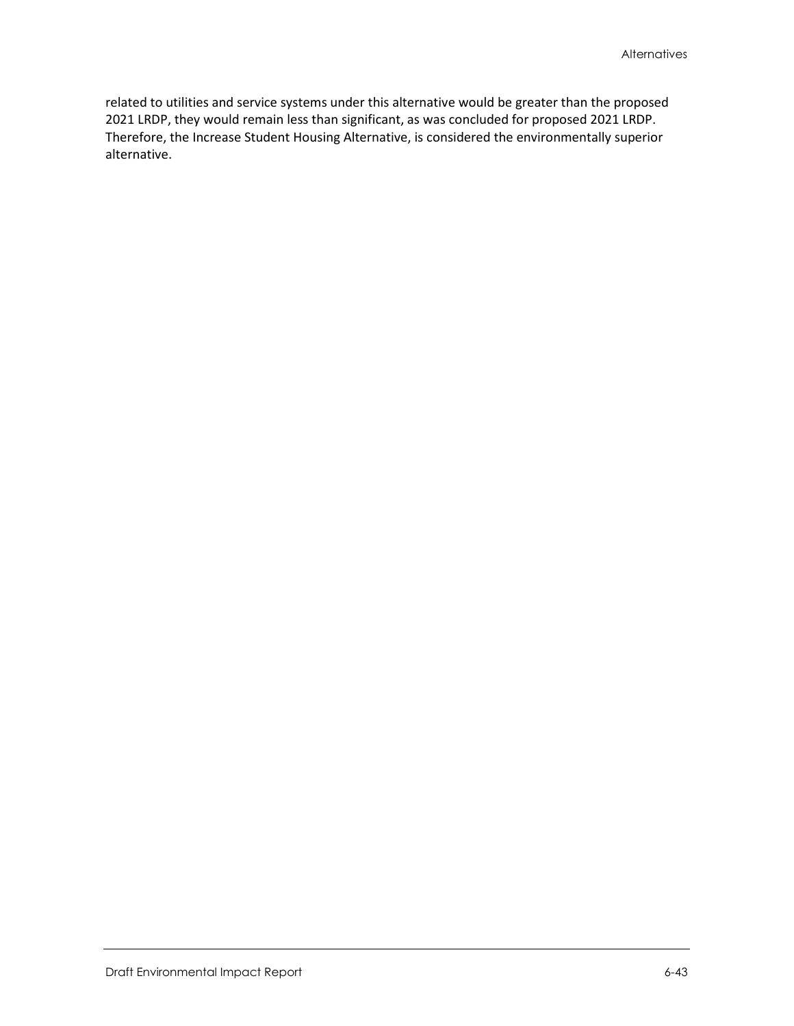related to utilities and service systems under this alternative would be greater than the proposed 2021 LRDP, they would remain less than significant, as was concluded for proposed 2021 LRDP. Therefore, the Increase Student Housing Alternative, is considered the environmentally superior alternative.